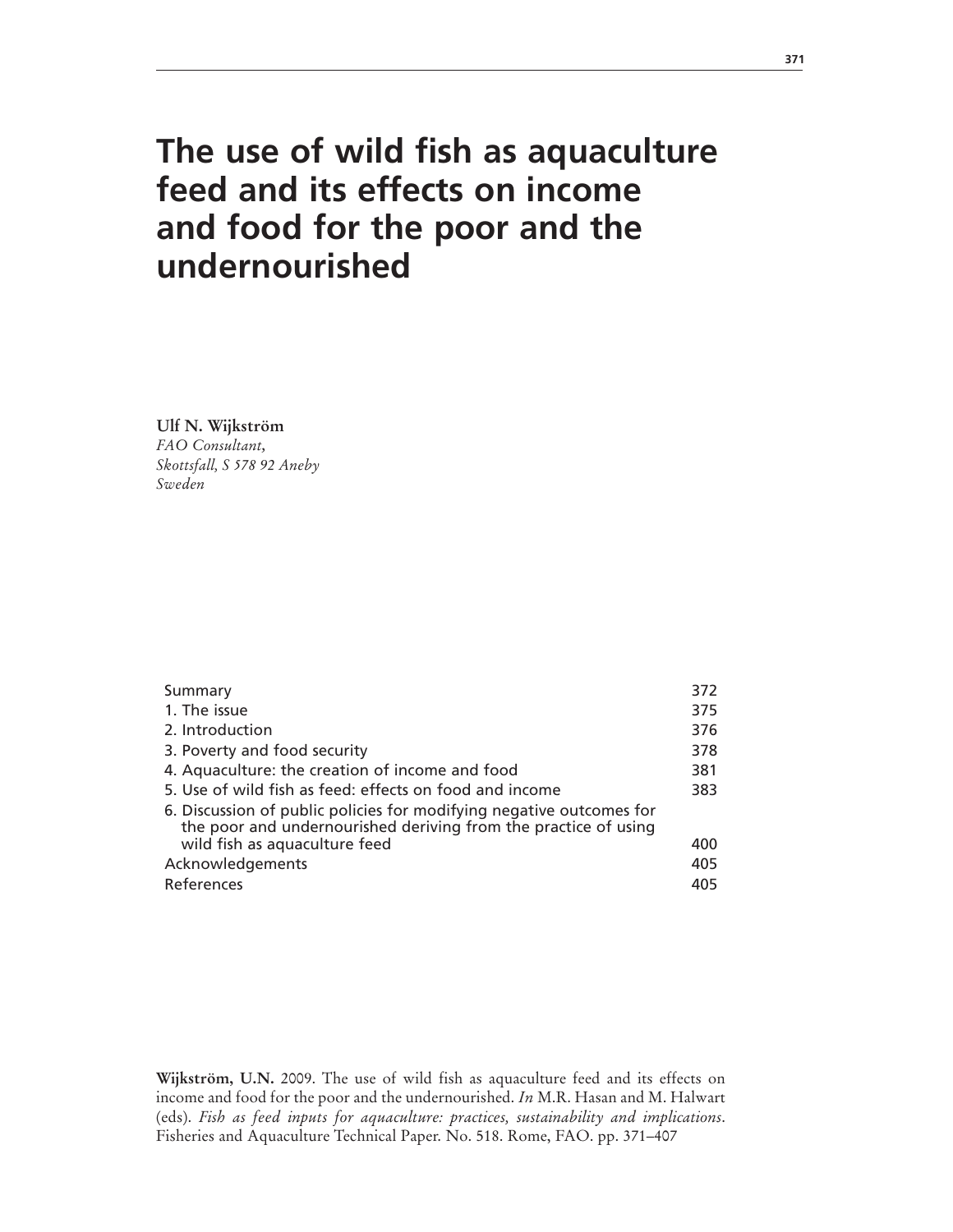# **The use of wild fish as aquaculture feed and its effects on income and food for the poor and the undernourished**

**Ulf N. Wijkström**

*FAO Consultant, Skottsfall, S 578 92 Aneby Sweden*

| 372 |
|-----|
| 375 |
| 376 |
| 378 |
| 381 |
| 383 |
|     |
| 400 |
| 405 |
| 405 |
|     |

**Wijkström, U.N.** 2009. The use of wild fish as aquaculture feed and its effects on income and food for the poor and the undernourished. *In* M.R. Hasan and M. Halwart (eds). *Fish as feed inputs for aquaculture: practices, sustainability and implications*. Fisheries and Aquaculture Technical Paper. No. 518. Rome, FAO. pp. 371–407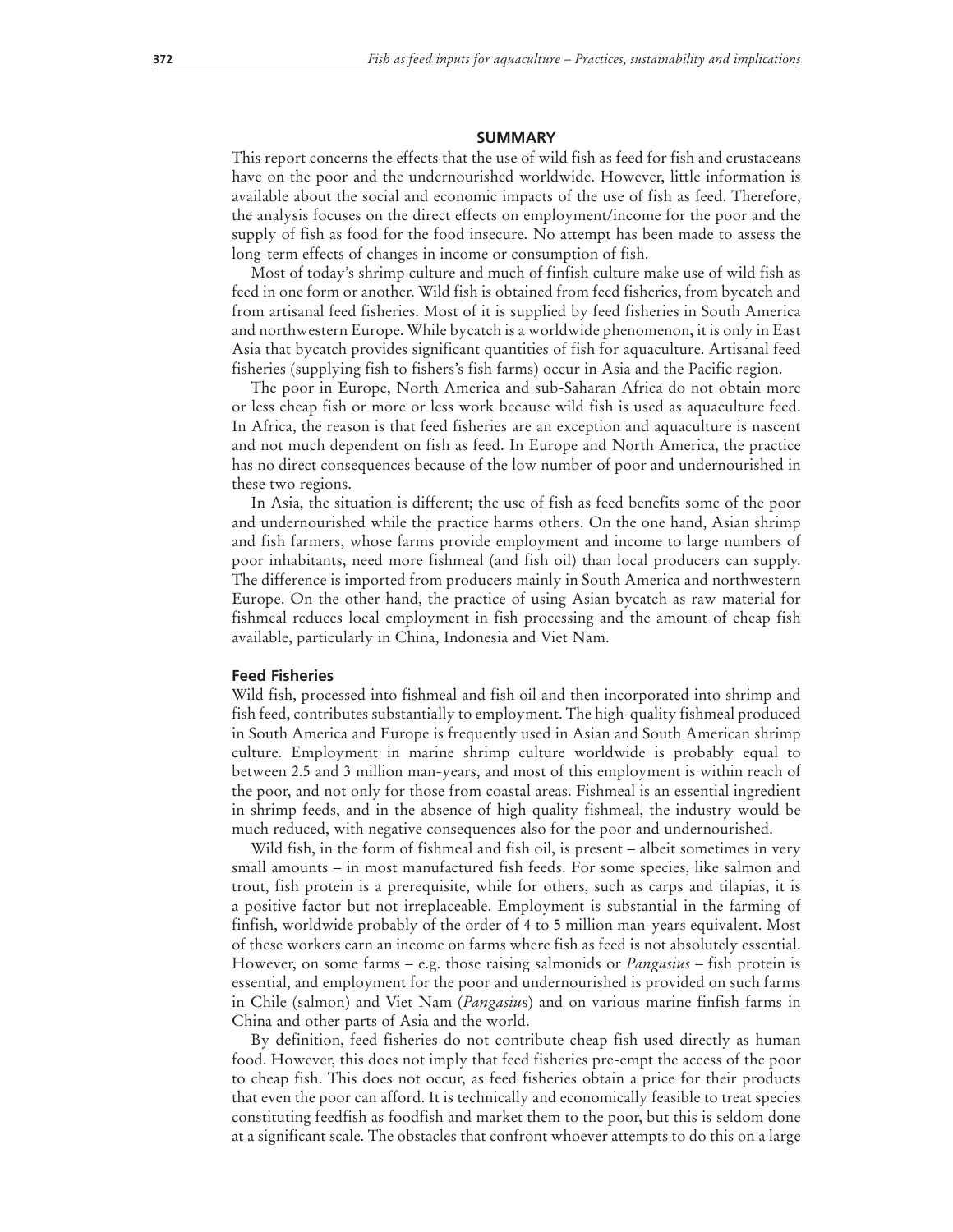#### **SUMMARY**

This report concerns the effects that the use of wild fish as feed for fish and crustaceans have on the poor and the undernourished worldwide. However, little information is available about the social and economic impacts of the use of fish as feed. Therefore, the analysis focuses on the direct effects on employment/income for the poor and the supply of fish as food for the food insecure. No attempt has been made to assess the long-term effects of changes in income or consumption of fish.

Most of today's shrimp culture and much of finfish culture make use of wild fish as feed in one form or another. Wild fish is obtained from feed fisheries, from bycatch and from artisanal feed fisheries. Most of it is supplied by feed fisheries in South America and northwestern Europe. While bycatch is a worldwide phenomenon, it is only in East Asia that bycatch provides significant quantities of fish for aquaculture. Artisanal feed fisheries (supplying fish to fishers's fish farms) occur in Asia and the Pacific region.

The poor in Europe, North America and sub-Saharan Africa do not obtain more or less cheap fish or more or less work because wild fish is used as aquaculture feed. In Africa, the reason is that feed fisheries are an exception and aquaculture is nascent and not much dependent on fish as feed. In Europe and North America, the practice has no direct consequences because of the low number of poor and undernourished in these two regions.

In Asia, the situation is different; the use of fish as feed benefits some of the poor and undernourished while the practice harms others. On the one hand, Asian shrimp and fish farmers, whose farms provide employment and income to large numbers of poor inhabitants, need more fishmeal (and fish oil) than local producers can supply. The difference is imported from producers mainly in South America and northwestern Europe. On the other hand, the practice of using Asian bycatch as raw material for fishmeal reduces local employment in fish processing and the amount of cheap fish available, particularly in China, Indonesia and Viet Nam.

#### **Feed Fisheries**

Wild fish, processed into fishmeal and fish oil and then incorporated into shrimp and fish feed, contributes substantially to employment. The high-quality fishmeal produced in South America and Europe is frequently used in Asian and South American shrimp culture. Employment in marine shrimp culture worldwide is probably equal to between 2.5 and 3 million man-years, and most of this employment is within reach of the poor, and not only for those from coastal areas. Fishmeal is an essential ingredient in shrimp feeds, and in the absence of high-quality fishmeal, the industry would be much reduced, with negative consequences also for the poor and undernourished.

Wild fish, in the form of fishmeal and fish oil, is present – albeit sometimes in very small amounts – in most manufactured fish feeds. For some species, like salmon and trout, fish protein is a prerequisite, while for others, such as carps and tilapias, it is a positive factor but not irreplaceable. Employment is substantial in the farming of finfish, worldwide probably of the order of 4 to 5 million man-years equivalent. Most of these workers earn an income on farms where fish as feed is not absolutely essential. However, on some farms – e.g. those raising salmonids or *Pangasius* – fish protein is essential, and employment for the poor and undernourished is provided on such farms in Chile (salmon) and Viet Nam (*Pangasiu*s) and on various marine finfish farms in China and other parts of Asia and the world.

By definition, feed fisheries do not contribute cheap fish used directly as human food. However, this does not imply that feed fisheries pre-empt the access of the poor to cheap fish. This does not occur, as feed fisheries obtain a price for their products that even the poor can afford. It is technically and economically feasible to treat species constituting feedfish as foodfish and market them to the poor, but this is seldom done at a significant scale. The obstacles that confront whoever attempts to do this on a large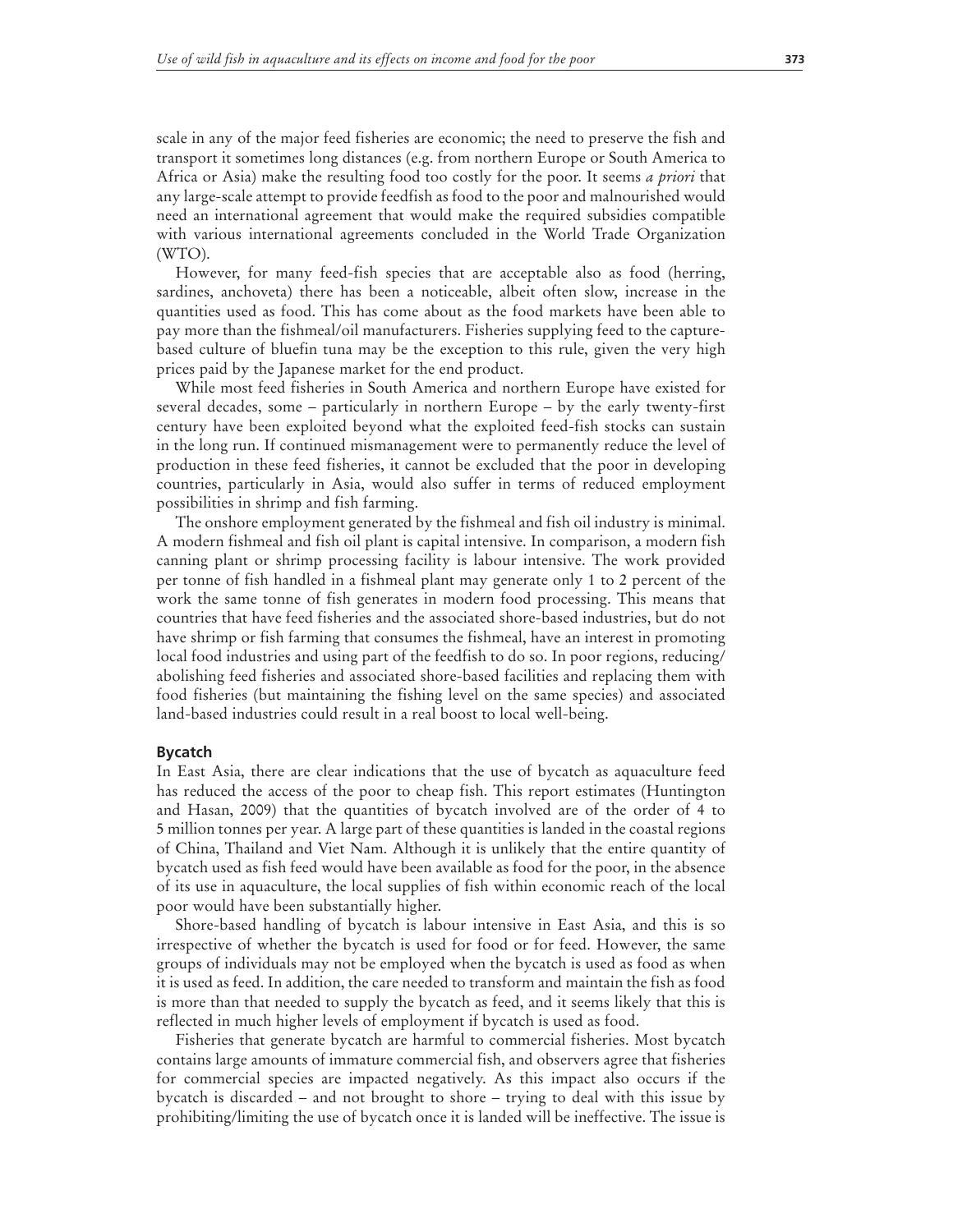scale in any of the major feed fisheries are economic; the need to preserve the fish and transport it sometimes long distances (e.g. from northern Europe or South America to Africa or Asia) make the resulting food too costly for the poor. It seems *a priori* that any large-scale attempt to provide feedfish as food to the poor and malnourished would need an international agreement that would make the required subsidies compatible with various international agreements concluded in the World Trade Organization (WTO).

However, for many feed-fish species that are acceptable also as food (herring, sardines, anchoveta) there has been a noticeable, albeit often slow, increase in the quantities used as food. This has come about as the food markets have been able to pay more than the fishmeal/oil manufacturers. Fisheries supplying feed to the capturebased culture of bluefin tuna may be the exception to this rule, given the very high prices paid by the Japanese market for the end product.

While most feed fisheries in South America and northern Europe have existed for several decades, some – particularly in northern Europe – by the early twenty-first century have been exploited beyond what the exploited feed-fish stocks can sustain in the long run. If continued mismanagement were to permanently reduce the level of production in these feed fisheries, it cannot be excluded that the poor in developing countries, particularly in Asia, would also suffer in terms of reduced employment possibilities in shrimp and fish farming.

The onshore employment generated by the fishmeal and fish oil industry is minimal. A modern fishmeal and fish oil plant is capital intensive. In comparison, a modern fish canning plant or shrimp processing facility is labour intensive. The work provided per tonne of fish handled in a fishmeal plant may generate only 1 to 2 percent of the work the same tonne of fish generates in modern food processing. This means that countries that have feed fisheries and the associated shore-based industries, but do not have shrimp or fish farming that consumes the fishmeal, have an interest in promoting local food industries and using part of the feedfish to do so. In poor regions, reducing/ abolishing feed fisheries and associated shore-based facilities and replacing them with food fisheries (but maintaining the fishing level on the same species) and associated land-based industries could result in a real boost to local well-being.

#### **Bycatch**

In East Asia, there are clear indications that the use of bycatch as aquaculture feed has reduced the access of the poor to cheap fish. This report estimates (Huntington and Hasan, 2009) that the quantities of bycatch involved are of the order of 4 to 5 million tonnes per year. A large part of these quantities is landed in the coastal regions of China, Thailand and Viet Nam. Although it is unlikely that the entire quantity of bycatch used as fish feed would have been available as food for the poor, in the absence of its use in aquaculture, the local supplies of fish within economic reach of the local poor would have been substantially higher.

Shore-based handling of bycatch is labour intensive in East Asia, and this is so irrespective of whether the bycatch is used for food or for feed. However, the same groups of individuals may not be employed when the bycatch is used as food as when it is used as feed. In addition, the care needed to transform and maintain the fish as food is more than that needed to supply the bycatch as feed, and it seems likely that this is reflected in much higher levels of employment if bycatch is used as food.

Fisheries that generate bycatch are harmful to commercial fisheries. Most bycatch contains large amounts of immature commercial fish, and observers agree that fisheries for commercial species are impacted negatively. As this impact also occurs if the bycatch is discarded – and not brought to shore – trying to deal with this issue by prohibiting/limiting the use of bycatch once it is landed will be ineffective. The issue is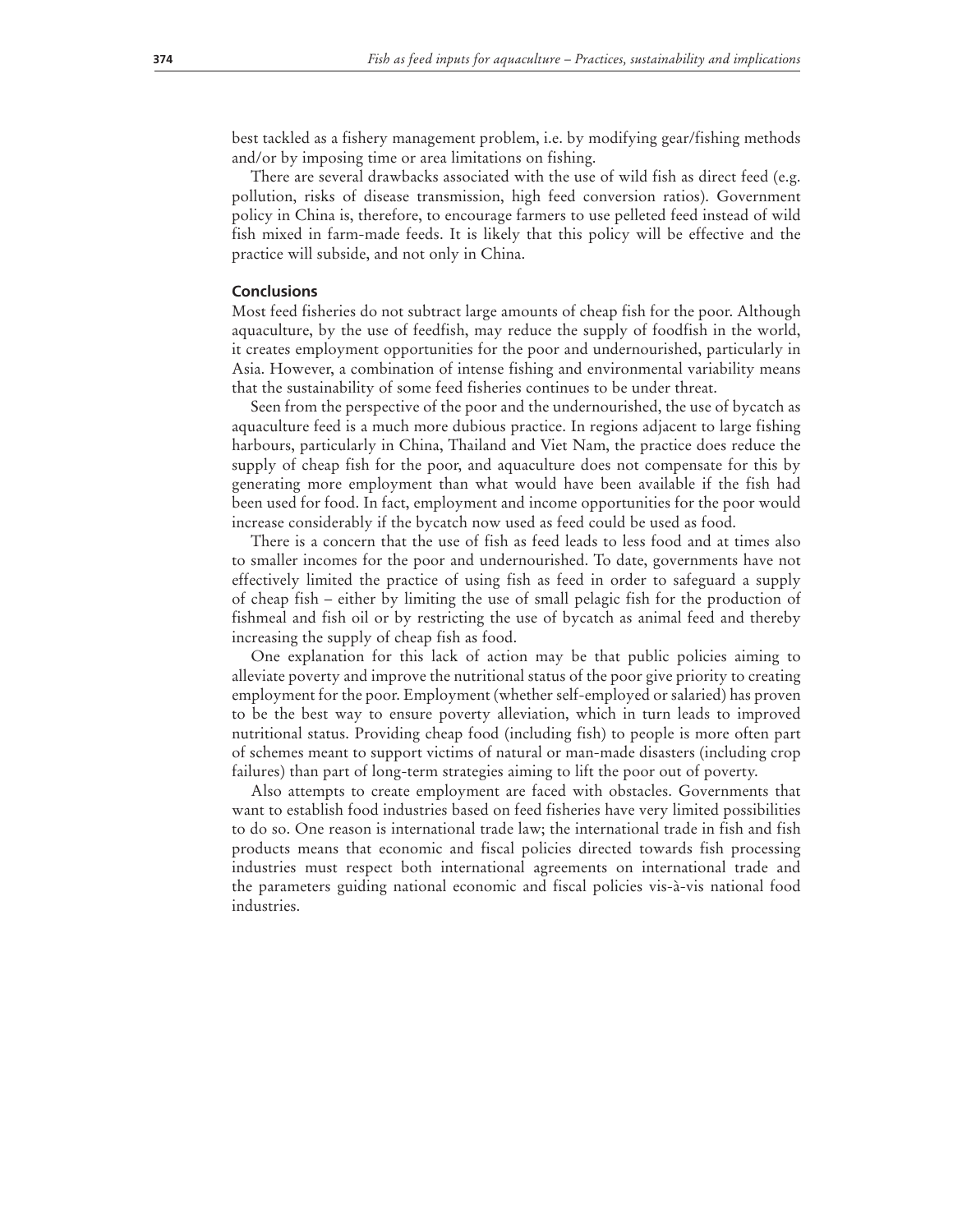best tackled as a fishery management problem, i.e. by modifying gear/fishing methods and/or by imposing time or area limitations on fishing.

There are several drawbacks associated with the use of wild fish as direct feed (e.g. pollution, risks of disease transmission, high feed conversion ratios). Government policy in China is, therefore, to encourage farmers to use pelleted feed instead of wild fish mixed in farm-made feeds. It is likely that this policy will be effective and the practice will subside, and not only in China.

#### **Conclusions**

Most feed fisheries do not subtract large amounts of cheap fish for the poor. Although aquaculture, by the use of feedfish, may reduce the supply of foodfish in the world, it creates employment opportunities for the poor and undernourished, particularly in Asia. However, a combination of intense fishing and environmental variability means that the sustainability of some feed fisheries continues to be under threat.

Seen from the perspective of the poor and the undernourished, the use of bycatch as aquaculture feed is a much more dubious practice. In regions adjacent to large fishing harbours, particularly in China, Thailand and Viet Nam, the practice does reduce the supply of cheap fish for the poor, and aquaculture does not compensate for this by generating more employment than what would have been available if the fish had been used for food. In fact, employment and income opportunities for the poor would increase considerably if the bycatch now used as feed could be used as food.

There is a concern that the use of fish as feed leads to less food and at times also to smaller incomes for the poor and undernourished. To date, governments have not effectively limited the practice of using fish as feed in order to safeguard a supply of cheap fish – either by limiting the use of small pelagic fish for the production of fishmeal and fish oil or by restricting the use of bycatch as animal feed and thereby increasing the supply of cheap fish as food.

One explanation for this lack of action may be that public policies aiming to alleviate poverty and improve the nutritional status of the poor give priority to creating employment for the poor. Employment (whether self-employed or salaried) has proven to be the best way to ensure poverty alleviation, which in turn leads to improved nutritional status. Providing cheap food (including fish) to people is more often part of schemes meant to support victims of natural or man-made disasters (including crop failures) than part of long-term strategies aiming to lift the poor out of poverty.

Also attempts to create employment are faced with obstacles. Governments that want to establish food industries based on feed fisheries have very limited possibilities to do so. One reason is international trade law; the international trade in fish and fish products means that economic and fiscal policies directed towards fish processing industries must respect both international agreements on international trade and the parameters guiding national economic and fiscal policies vis-à-vis national food industries.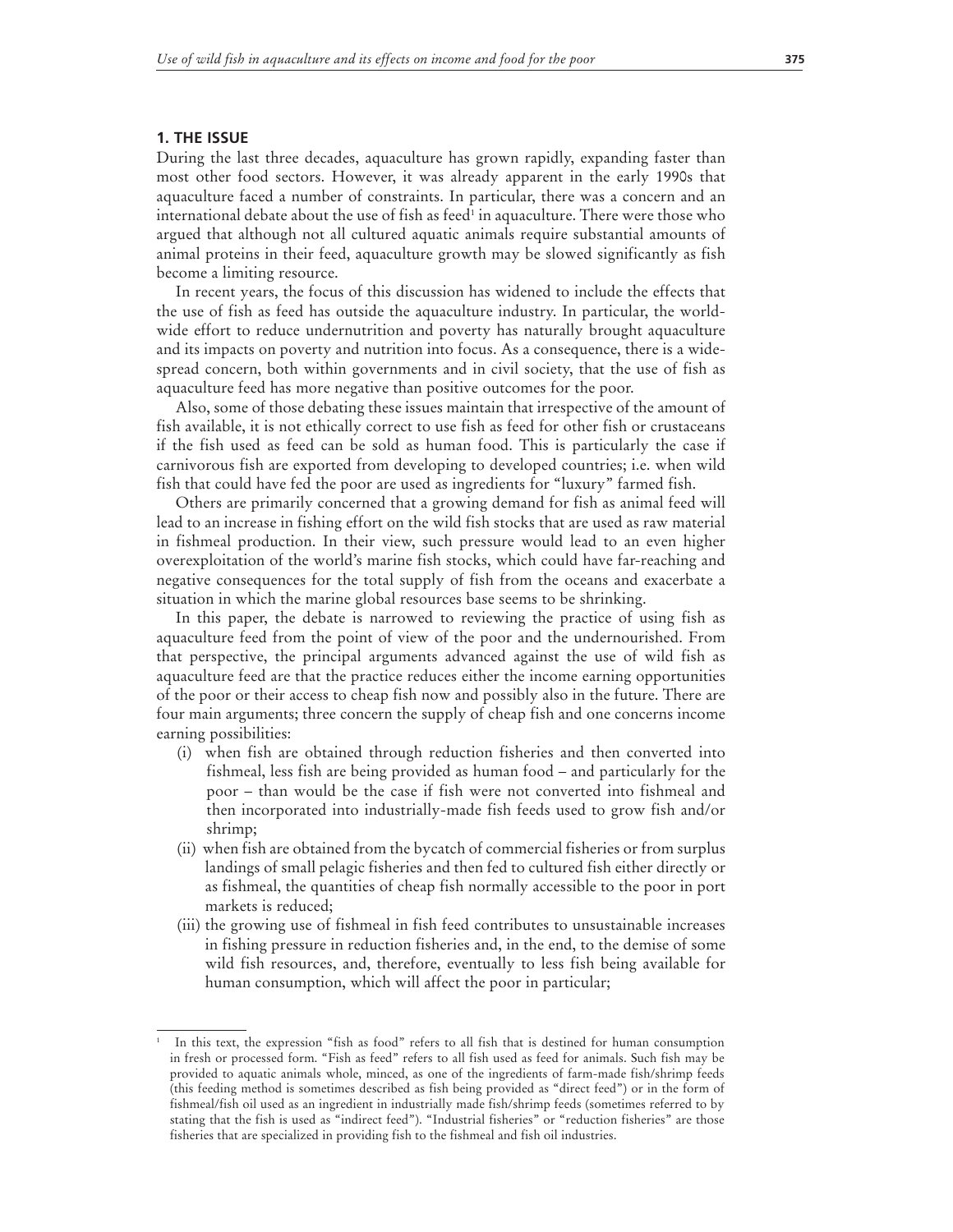#### **1. THE ISSUE**

During the last three decades, aquaculture has grown rapidly, expanding faster than most other food sectors. However, it was already apparent in the early 1990s that aquaculture faced a number of constraints. In particular, there was a concern and an international debate about the use of fish as feed<sup>1</sup> in aquaculture. There were those who argued that although not all cultured aquatic animals require substantial amounts of animal proteins in their feed, aquaculture growth may be slowed significantly as fish become a limiting resource.

In recent years, the focus of this discussion has widened to include the effects that the use of fish as feed has outside the aquaculture industry. In particular, the worldwide effort to reduce undernutrition and poverty has naturally brought aquaculture and its impacts on poverty and nutrition into focus. As a consequence, there is a widespread concern, both within governments and in civil society, that the use of fish as aquaculture feed has more negative than positive outcomes for the poor.

Also, some of those debating these issues maintain that irrespective of the amount of fish available, it is not ethically correct to use fish as feed for other fish or crustaceans if the fish used as feed can be sold as human food. This is particularly the case if carnivorous fish are exported from developing to developed countries; i.e. when wild fish that could have fed the poor are used as ingredients for "luxury" farmed fish.

Others are primarily concerned that a growing demand for fish as animal feed will lead to an increase in fishing effort on the wild fish stocks that are used as raw material in fishmeal production. In their view, such pressure would lead to an even higher overexploitation of the world's marine fish stocks, which could have far-reaching and negative consequences for the total supply of fish from the oceans and exacerbate a situation in which the marine global resources base seems to be shrinking.

In this paper, the debate is narrowed to reviewing the practice of using fish as aquaculture feed from the point of view of the poor and the undernourished. From that perspective, the principal arguments advanced against the use of wild fish as aquaculture feed are that the practice reduces either the income earning opportunities of the poor or their access to cheap fish now and possibly also in the future. There are four main arguments; three concern the supply of cheap fish and one concerns income earning possibilities:

- (i) when fish are obtained through reduction fisheries and then converted into fishmeal, less fish are being provided as human food – and particularly for the poor – than would be the case if fish were not converted into fishmeal and then incorporated into industrially-made fish feeds used to grow fish and/or shrimp;
- (ii) when fish are obtained from the bycatch of commercial fisheries or from surplus landings of small pelagic fisheries and then fed to cultured fish either directly or as fishmeal, the quantities of cheap fish normally accessible to the poor in port markets is reduced;
- (iii) the growing use of fishmeal in fish feed contributes to unsustainable increases in fishing pressure in reduction fisheries and, in the end, to the demise of some wild fish resources, and, therefore, eventually to less fish being available for human consumption, which will affect the poor in particular;

<sup>1</sup> In this text, the expression "fish as food" refers to all fish that is destined for human consumption in fresh or processed form. "Fish as feed" refers to all fish used as feed for animals. Such fish may be provided to aquatic animals whole, minced, as one of the ingredients of farm-made fish/shrimp feeds (this feeding method is sometimes described as fish being provided as "direct feed") or in the form of fishmeal/fish oil used as an ingredient in industrially made fish/shrimp feeds (sometimes referred to by stating that the fish is used as "indirect feed"). "Industrial fisheries" or "reduction fisheries" are those fisheries that are specialized in providing fish to the fishmeal and fish oil industries.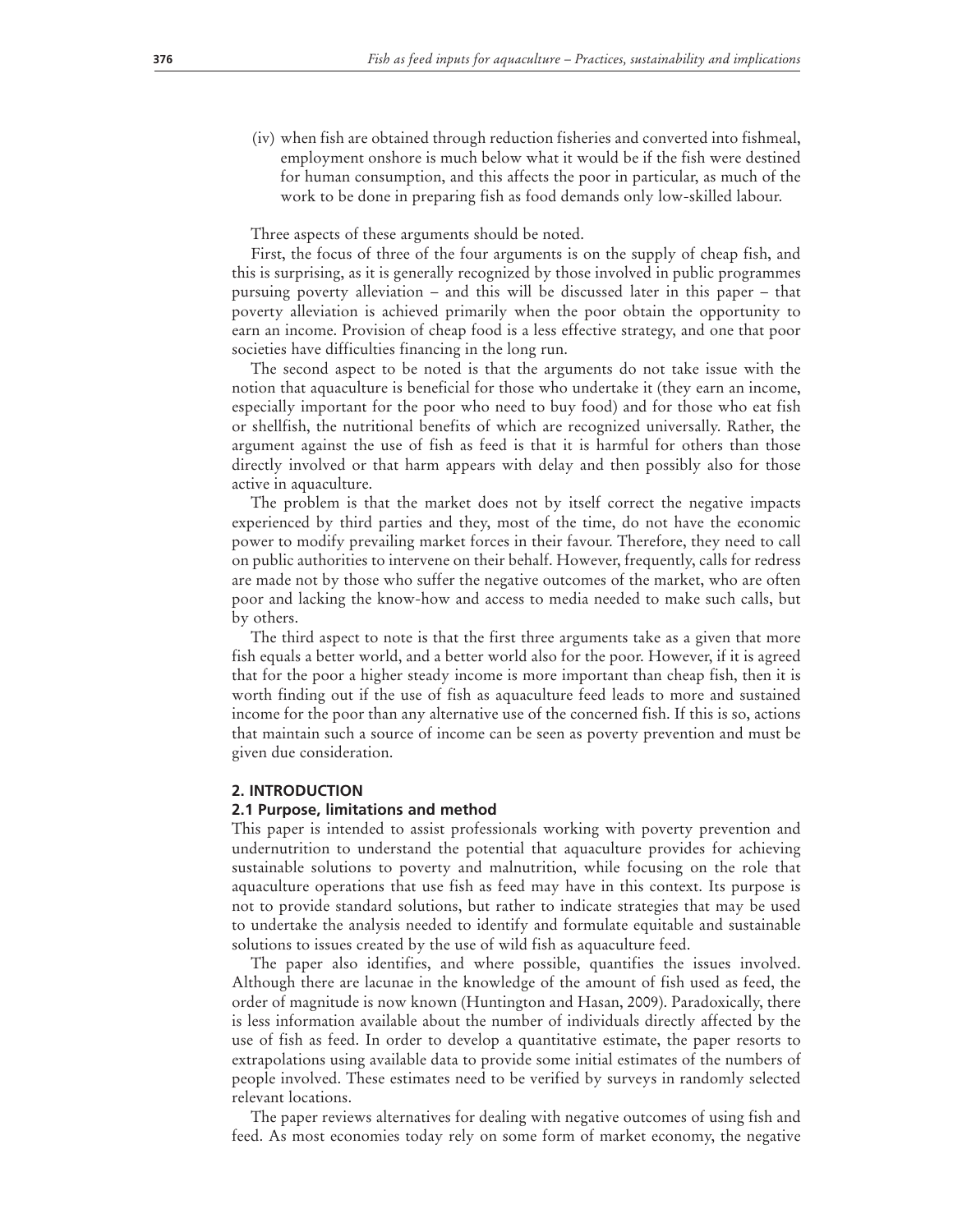(iv) when fish are obtained through reduction fisheries and converted into fishmeal, employment onshore is much below what it would be if the fish were destined for human consumption, and this affects the poor in particular, as much of the work to be done in preparing fish as food demands only low-skilled labour.

Three aspects of these arguments should be noted.

First, the focus of three of the four arguments is on the supply of cheap fish, and this is surprising, as it is generally recognized by those involved in public programmes pursuing poverty alleviation – and this will be discussed later in this paper – that poverty alleviation is achieved primarily when the poor obtain the opportunity to earn an income. Provision of cheap food is a less effective strategy, and one that poor societies have difficulties financing in the long run.

The second aspect to be noted is that the arguments do not take issue with the notion that aquaculture is beneficial for those who undertake it (they earn an income, especially important for the poor who need to buy food) and for those who eat fish or shellfish, the nutritional benefits of which are recognized universally. Rather, the argument against the use of fish as feed is that it is harmful for others than those directly involved or that harm appears with delay and then possibly also for those active in aquaculture.

The problem is that the market does not by itself correct the negative impacts experienced by third parties and they, most of the time, do not have the economic power to modify prevailing market forces in their favour. Therefore, they need to call on public authorities to intervene on their behalf. However, frequently, calls for redress are made not by those who suffer the negative outcomes of the market, who are often poor and lacking the know-how and access to media needed to make such calls, but by others.

The third aspect to note is that the first three arguments take as a given that more fish equals a better world, and a better world also for the poor. However, if it is agreed that for the poor a higher steady income is more important than cheap fish, then it is worth finding out if the use of fish as aquaculture feed leads to more and sustained income for the poor than any alternative use of the concerned fish. If this is so, actions that maintain such a source of income can be seen as poverty prevention and must be given due consideration.

#### **2. INTRODUCTION**

#### **2.1 Purpose, limitations and method**

This paper is intended to assist professionals working with poverty prevention and undernutrition to understand the potential that aquaculture provides for achieving sustainable solutions to poverty and malnutrition, while focusing on the role that aquaculture operations that use fish as feed may have in this context. Its purpose is not to provide standard solutions, but rather to indicate strategies that may be used to undertake the analysis needed to identify and formulate equitable and sustainable solutions to issues created by the use of wild fish as aquaculture feed.

The paper also identifies, and where possible, quantifies the issues involved. Although there are lacunae in the knowledge of the amount of fish used as feed, the order of magnitude is now known (Huntington and Hasan, 2009). Paradoxically, there is less information available about the number of individuals directly affected by the use of fish as feed. In order to develop a quantitative estimate, the paper resorts to extrapolations using available data to provide some initial estimates of the numbers of people involved. These estimates need to be verified by surveys in randomly selected relevant locations.

The paper reviews alternatives for dealing with negative outcomes of using fish and feed. As most economies today rely on some form of market economy, the negative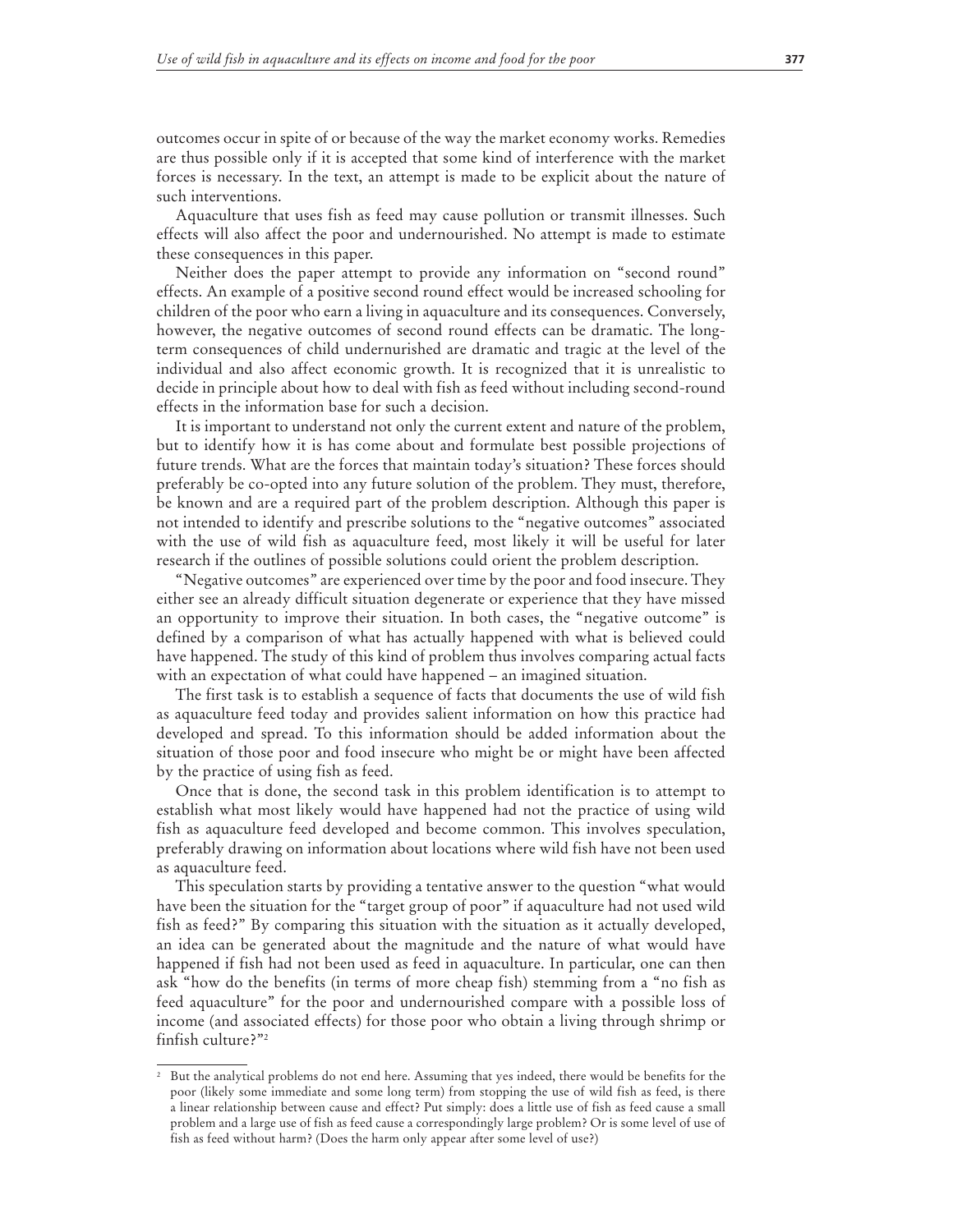outcomes occur in spite of or because of the way the market economy works. Remedies are thus possible only if it is accepted that some kind of interference with the market forces is necessary. In the text, an attempt is made to be explicit about the nature of such interventions.

Aquaculture that uses fish as feed may cause pollution or transmit illnesses. Such effects will also affect the poor and undernourished. No attempt is made to estimate these consequences in this paper.

Neither does the paper attempt to provide any information on "second round" effects. An example of a positive second round effect would be increased schooling for children of the poor who earn a living in aquaculture and its consequences. Conversely, however, the negative outcomes of second round effects can be dramatic. The longterm consequences of child undernurished are dramatic and tragic at the level of the individual and also affect economic growth. It is recognized that it is unrealistic to decide in principle about how to deal with fish as feed without including second-round effects in the information base for such a decision.

It is important to understand not only the current extent and nature of the problem, but to identify how it is has come about and formulate best possible projections of future trends. What are the forces that maintain today's situation? These forces should preferably be co-opted into any future solution of the problem. They must, therefore, be known and are a required part of the problem description. Although this paper is not intended to identify and prescribe solutions to the "negative outcomes" associated with the use of wild fish as aquaculture feed, most likely it will be useful for later research if the outlines of possible solutions could orient the problem description.

"Negative outcomes" are experienced over time by the poor and food insecure. They either see an already difficult situation degenerate or experience that they have missed an opportunity to improve their situation. In both cases, the "negative outcome" is defined by a comparison of what has actually happened with what is believed could have happened. The study of this kind of problem thus involves comparing actual facts with an expectation of what could have happened – an imagined situation.

The first task is to establish a sequence of facts that documents the use of wild fish as aquaculture feed today and provides salient information on how this practice had developed and spread. To this information should be added information about the situation of those poor and food insecure who might be or might have been affected by the practice of using fish as feed.

Once that is done, the second task in this problem identification is to attempt to establish what most likely would have happened had not the practice of using wild fish as aquaculture feed developed and become common. This involves speculation, preferably drawing on information about locations where wild fish have not been used as aquaculture feed.

This speculation starts by providing a tentative answer to the question "what would have been the situation for the "target group of poor" if aquaculture had not used wild fish as feed?" By comparing this situation with the situation as it actually developed, an idea can be generated about the magnitude and the nature of what would have happened if fish had not been used as feed in aquaculture. In particular, one can then ask "how do the benefits (in terms of more cheap fish) stemming from a "no fish as feed aquaculture" for the poor and undernourished compare with a possible loss of income (and associated effects) for those poor who obtain a living through shrimp or finfish culture?"2

<sup>2</sup> But the analytical problems do not end here. Assuming that yes indeed, there would be benefits for the poor (likely some immediate and some long term) from stopping the use of wild fish as feed, is there a linear relationship between cause and effect? Put simply: does a little use of fish as feed cause a small problem and a large use of fish as feed cause a correspondingly large problem? Or is some level of use of fish as feed without harm? (Does the harm only appear after some level of use?)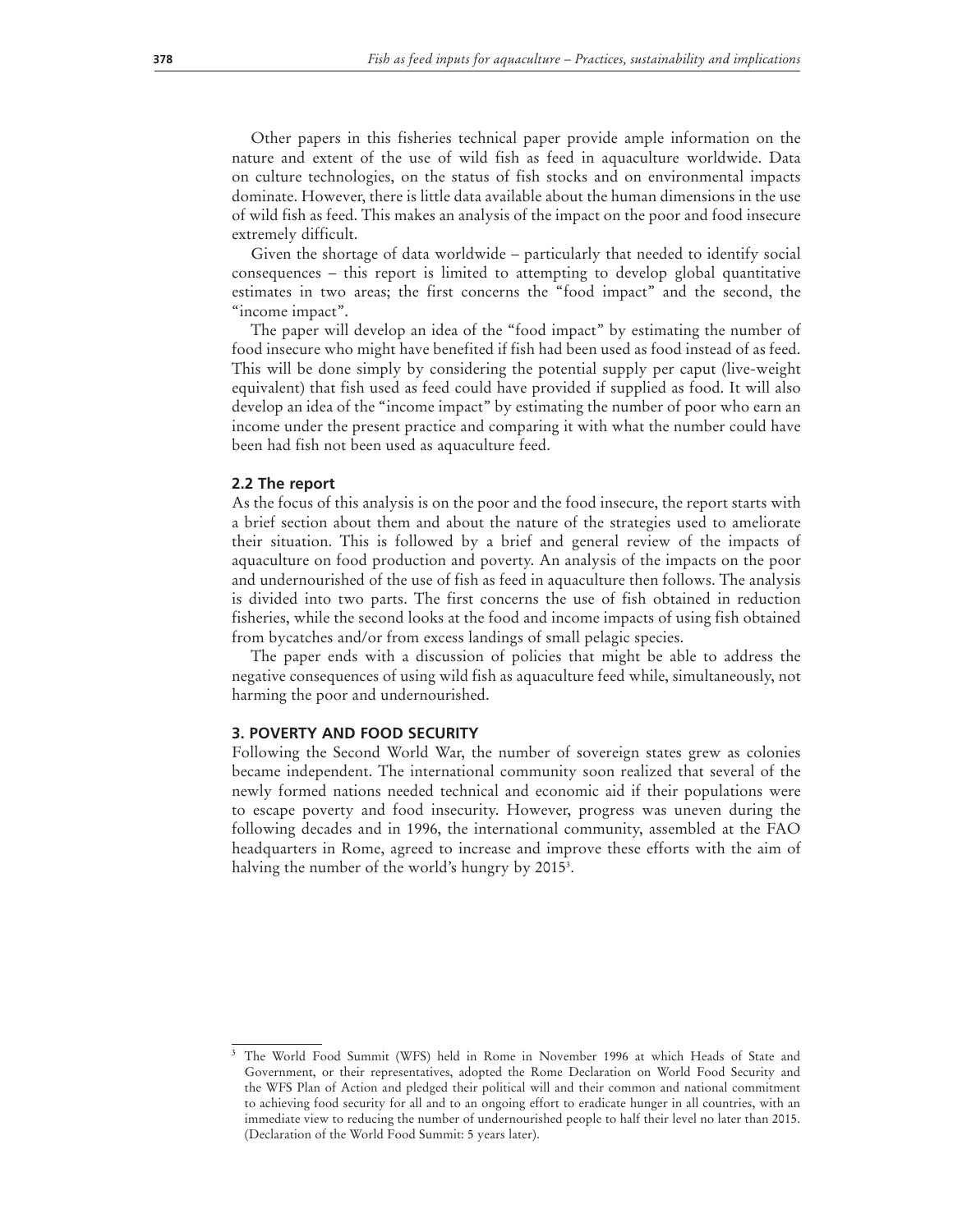Other papers in this fisheries technical paper provide ample information on the nature and extent of the use of wild fish as feed in aquaculture worldwide. Data on culture technologies, on the status of fish stocks and on environmental impacts dominate. However, there is little data available about the human dimensions in the use of wild fish as feed. This makes an analysis of the impact on the poor and food insecure extremely difficult.

Given the shortage of data worldwide – particularly that needed to identify social consequences – this report is limited to attempting to develop global quantitative estimates in two areas; the first concerns the "food impact" and the second, the "income impact".

The paper will develop an idea of the "food impact" by estimating the number of food insecure who might have benefited if fish had been used as food instead of as feed. This will be done simply by considering the potential supply per caput (live-weight equivalent) that fish used as feed could have provided if supplied as food. It will also develop an idea of the "income impact" by estimating the number of poor who earn an income under the present practice and comparing it with what the number could have been had fish not been used as aquaculture feed.

#### **2.2 The report**

As the focus of this analysis is on the poor and the food insecure, the report starts with a brief section about them and about the nature of the strategies used to ameliorate their situation. This is followed by a brief and general review of the impacts of aquaculture on food production and poverty. An analysis of the impacts on the poor and undernourished of the use of fish as feed in aquaculture then follows. The analysis is divided into two parts. The first concerns the use of fish obtained in reduction fisheries, while the second looks at the food and income impacts of using fish obtained from bycatches and/or from excess landings of small pelagic species.

The paper ends with a discussion of policies that might be able to address the negative consequences of using wild fish as aquaculture feed while, simultaneously, not harming the poor and undernourished.

#### **3. POVERTY AND FOOD SECURITY**

Following the Second World War, the number of sovereign states grew as colonies became independent. The international community soon realized that several of the newly formed nations needed technical and economic aid if their populations were to escape poverty and food insecurity. However, progress was uneven during the following decades and in 1996, the international community, assembled at the FAO headquarters in Rome, agreed to increase and improve these efforts with the aim of halving the number of the world's hungry by 2015<sup>3</sup>.

<sup>3</sup> The World Food Summit (WFS) held in Rome in November 1996 at which Heads of State and Government, or their representatives, adopted the Rome Declaration on World Food Security and the WFS Plan of Action and pledged their political will and their common and national commitment to achieving food security for all and to an ongoing effort to eradicate hunger in all countries, with an immediate view to reducing the number of undernourished people to half their level no later than 2015. (Declaration of the World Food Summit: 5 years later).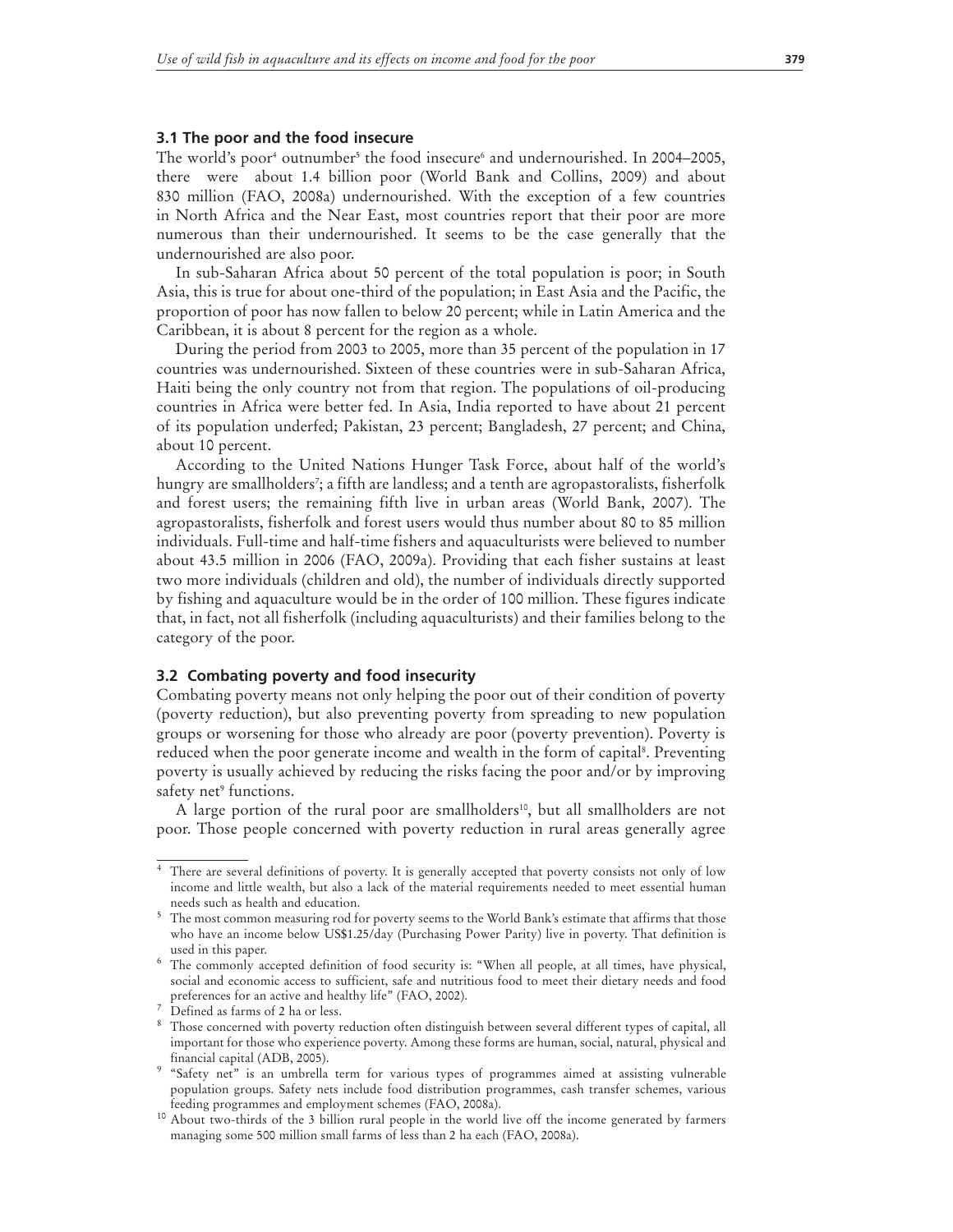#### **3.1 The poor and the food insecure**

The world's poor<sup>4</sup> outnumber<sup>5</sup> the food insecure<sup>6</sup> and undernourished. In 2004–2005, there were about 1.4 billion poor (World Bank and Collins, 2009) and about 830 million (FAO, 2008a) undernourished. With the exception of a few countries in North Africa and the Near East, most countries report that their poor are more numerous than their undernourished. It seems to be the case generally that the undernourished are also poor.

In sub-Saharan Africa about 50 percent of the total population is poor; in South Asia, this is true for about one-third of the population; in East Asia and the Pacific, the proportion of poor has now fallen to below 20 percent; while in Latin America and the Caribbean, it is about 8 percent for the region as a whole.

During the period from 2003 to 2005, more than 35 percent of the population in 17 countries was undernourished. Sixteen of these countries were in sub-Saharan Africa, Haiti being the only country not from that region. The populations of oil-producing countries in Africa were better fed. In Asia, India reported to have about 21 percent of its population underfed; Pakistan, 23 percent; Bangladesh, 27 percent; and China, about 10 percent.

According to the United Nations Hunger Task Force, about half of the world's hungry are smallholders'; a fifth are landless; and a tenth are agropastoralists, fisherfolk and forest users; the remaining fifth live in urban areas (World Bank, 2007). The agropastoralists, fisherfolk and forest users would thus number about 80 to 85 million individuals. Full-time and half-time fishers and aquaculturists were believed to number about 43.5 million in 2006 (FAO, 2009a). Providing that each fisher sustains at least two more individuals (children and old), the number of individuals directly supported by fishing and aquaculture would be in the order of 100 million. These figures indicate that, in fact, not all fisherfolk (including aquaculturists) and their families belong to the category of the poor.

#### **3.2 Combating poverty and food insecurity**

Combating poverty means not only helping the poor out of their condition of poverty (poverty reduction), but also preventing poverty from spreading to new population groups or worsening for those who already are poor (poverty prevention). Poverty is reduced when the poor generate income and wealth in the form of capital<sup>s</sup>. Preventing poverty is usually achieved by reducing the risks facing the poor and/or by improving safety net<sup>9</sup> functions.

A large portion of the rural poor are smallholders<sup>10</sup>, but all smallholders are not poor. Those people concerned with poverty reduction in rural areas generally agree

<sup>4</sup> There are several definitions of poverty. It is generally accepted that poverty consists not only of low income and little wealth, but also a lack of the material requirements needed to meet essential human needs such as health and education.<br><sup>5</sup> The most common measuring rod for poverty seems to the World Bank's estimate that affirms that those

who have an income below US\$1.25/day (Purchasing Power Parity) live in poverty. That definition is used in this paper.

<sup>6</sup> The commonly accepted definition of food security is: "When all people, at all times, have physical, social and economic access to sufficient, safe and nutritious food to meet their dietary needs and food preferences for an active and healthy life" (FAO, 2002).<br><sup>7</sup> Defined as farms of 2 ha or less.

<sup>&</sup>lt;sup>8</sup> Those concerned with poverty reduction often distinguish between several different types of capital, all important for those who experience poverty. Among these forms are human, social, natural, physical and financial capital (ADB, 2005).

<sup>&</sup>lt;sup>9</sup> "Safety net" is an umbrella term for various types of programmes aimed at assisting vulnerable population groups. Safety nets include food distribution programmes, cash transfer schemes, various feeding programmes and employment schemes (FAO, 2008a).

<sup>10</sup> About two-thirds of the 3 billion rural people in the world live off the income generated by farmers managing some 500 million small farms of less than 2 ha each (FAO, 2008a).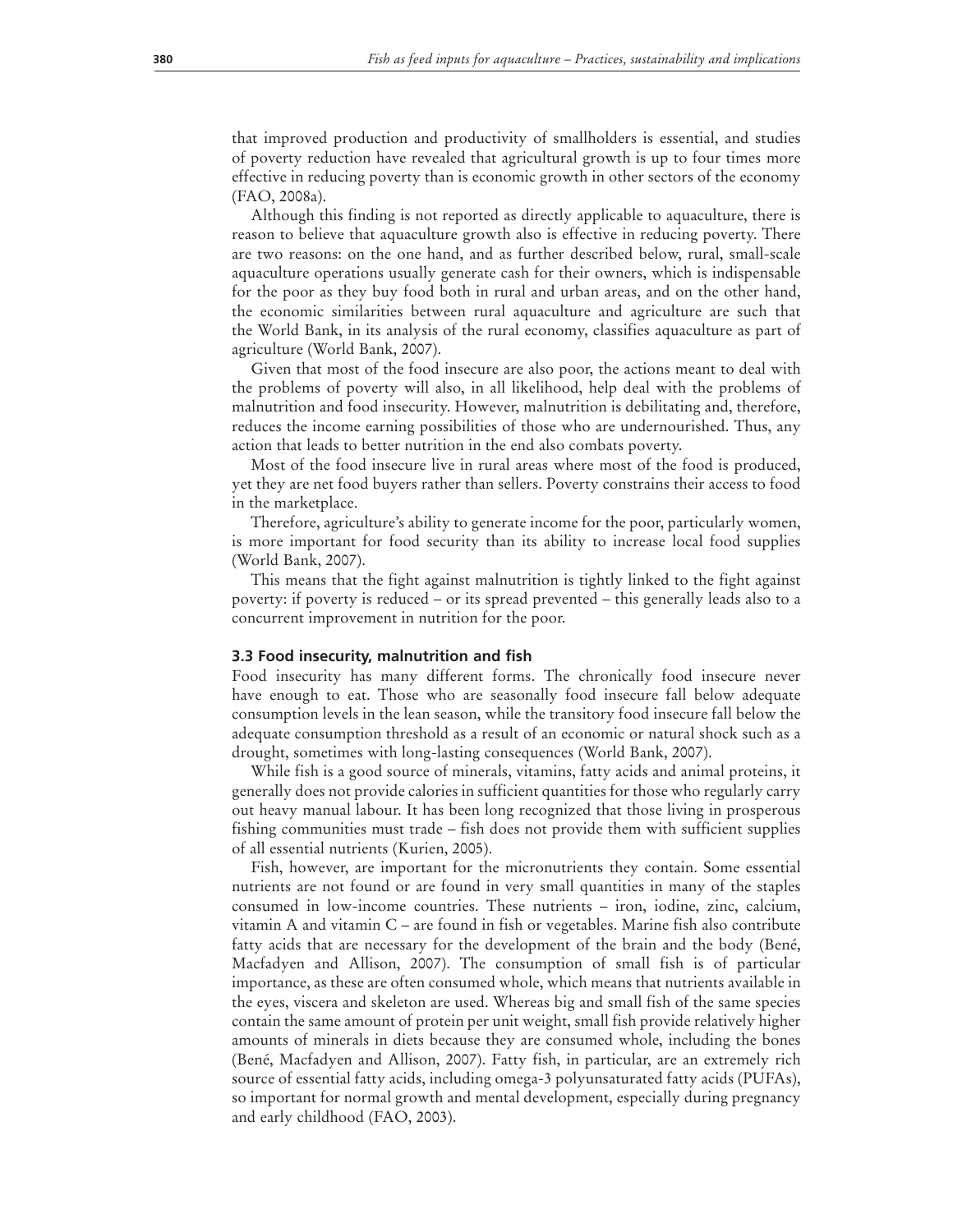that improved production and productivity of smallholders is essential, and studies of poverty reduction have revealed that agricultural growth is up to four times more effective in reducing poverty than is economic growth in other sectors of the economy (FAO, 2008a).

Although this finding is not reported as directly applicable to aquaculture, there is reason to believe that aquaculture growth also is effective in reducing poverty. There are two reasons: on the one hand, and as further described below, rural, small-scale aquaculture operations usually generate cash for their owners, which is indispensable for the poor as they buy food both in rural and urban areas, and on the other hand, the economic similarities between rural aquaculture and agriculture are such that the World Bank, in its analysis of the rural economy, classifies aquaculture as part of agriculture (World Bank, 2007).

Given that most of the food insecure are also poor, the actions meant to deal with the problems of poverty will also, in all likelihood, help deal with the problems of malnutrition and food insecurity. However, malnutrition is debilitating and, therefore, reduces the income earning possibilities of those who are undernourished. Thus, any action that leads to better nutrition in the end also combats poverty.

Most of the food insecure live in rural areas where most of the food is produced, yet they are net food buyers rather than sellers. Poverty constrains their access to food in the marketplace.

Therefore, agriculture's ability to generate income for the poor, particularly women, is more important for food security than its ability to increase local food supplies (World Bank, 2007).

This means that the fight against malnutrition is tightly linked to the fight against poverty: if poverty is reduced – or its spread prevented – this generally leads also to a concurrent improvement in nutrition for the poor.

#### **3.3 Food insecurity, malnutrition and fish**

Food insecurity has many different forms. The chronically food insecure never have enough to eat. Those who are seasonally food insecure fall below adequate consumption levels in the lean season, while the transitory food insecure fall below the adequate consumption threshold as a result of an economic or natural shock such as a drought, sometimes with long-lasting consequences (World Bank, 2007).

While fish is a good source of minerals, vitamins, fatty acids and animal proteins, it generally does not provide calories in sufficient quantities for those who regularly carry out heavy manual labour. It has been long recognized that those living in prosperous fishing communities must trade – fish does not provide them with sufficient supplies of all essential nutrients (Kurien, 2005).

Fish, however, are important for the micronutrients they contain. Some essential nutrients are not found or are found in very small quantities in many of the staples consumed in low-income countries. These nutrients – iron, iodine, zinc, calcium, vitamin A and vitamin C – are found in fish or vegetables. Marine fish also contribute fatty acids that are necessary for the development of the brain and the body (Bené, Macfadyen and Allison, 2007). The consumption of small fish is of particular importance, as these are often consumed whole, which means that nutrients available in the eyes, viscera and skeleton are used. Whereas big and small fish of the same species contain the same amount of protein per unit weight, small fish provide relatively higher amounts of minerals in diets because they are consumed whole, including the bones (Bené, Macfadyen and Allison, 2007). Fatty fish, in particular, are an extremely rich source of essential fatty acids, including omega-3 polyunsaturated fatty acids (PUFAs), so important for normal growth and mental development, especially during pregnancy and early childhood (FAO, 2003).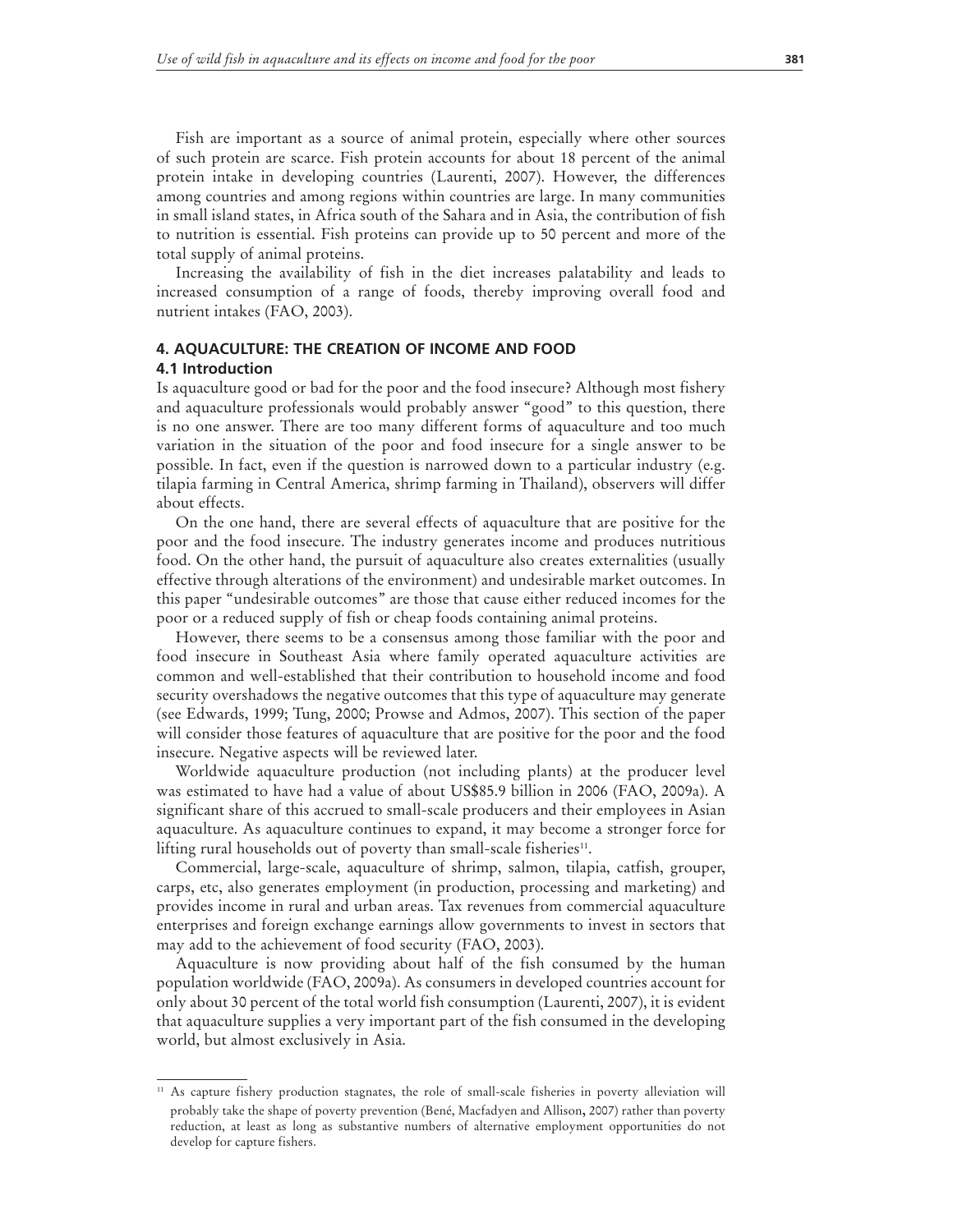Fish are important as a source of animal protein, especially where other sources of such protein are scarce. Fish protein accounts for about 18 percent of the animal protein intake in developing countries (Laurenti, 2007). However, the differences among countries and among regions within countries are large. In many communities in small island states, in Africa south of the Sahara and in Asia, the contribution of fish to nutrition is essential. Fish proteins can provide up to 50 percent and more of the total supply of animal proteins.

Increasing the availability of fish in the diet increases palatability and leads to increased consumption of a range of foods, thereby improving overall food and nutrient intakes (FAO, 2003).

# **4. AQUACULTURE: THE CREATION OF INCOME AND FOOD 4.1 Introduction**

Is aquaculture good or bad for the poor and the food insecure? Although most fishery and aquaculture professionals would probably answer "good" to this question, there is no one answer. There are too many different forms of aquaculture and too much variation in the situation of the poor and food insecure for a single answer to be possible. In fact, even if the question is narrowed down to a particular industry (e.g. tilapia farming in Central America, shrimp farming in Thailand), observers will differ about effects.

On the one hand, there are several effects of aquaculture that are positive for the poor and the food insecure. The industry generates income and produces nutritious food. On the other hand, the pursuit of aquaculture also creates externalities (usually effective through alterations of the environment) and undesirable market outcomes. In this paper "undesirable outcomes" are those that cause either reduced incomes for the poor or a reduced supply of fish or cheap foods containing animal proteins.

However, there seems to be a consensus among those familiar with the poor and food insecure in Southeast Asia where family operated aquaculture activities are common and well-established that their contribution to household income and food security overshadows the negative outcomes that this type of aquaculture may generate (see Edwards, 1999; Tung, 2000; Prowse and Admos, 2007). This section of the paper will consider those features of aquaculture that are positive for the poor and the food insecure. Negative aspects will be reviewed later.

Worldwide aquaculture production (not including plants) at the producer level was estimated to have had a value of about US\$85.9 billion in 2006 (FAO, 2009a). A significant share of this accrued to small-scale producers and their employees in Asian aquaculture. As aquaculture continues to expand, it may become a stronger force for lifting rural households out of poverty than small-scale fisheries<sup>11</sup>.

Commercial, large-scale, aquaculture of shrimp, salmon, tilapia, catfish, grouper, carps, etc, also generates employment (in production, processing and marketing) and provides income in rural and urban areas. Tax revenues from commercial aquaculture enterprises and foreign exchange earnings allow governments to invest in sectors that may add to the achievement of food security (FAO, 2003).

Aquaculture is now providing about half of the fish consumed by the human population worldwide (FAO, 2009a). As consumers in developed countries account for only about 30 percent of the total world fish consumption (Laurenti, 2007), it is evident that aquaculture supplies a very important part of the fish consumed in the developing world, but almost exclusively in Asia.

<sup>11</sup> As capture fishery production stagnates, the role of small-scale fisheries in poverty alleviation will probably take the shape of poverty prevention (Bené, Macfadyen and Allison, 2007) rather than poverty reduction, at least as long as substantive numbers of alternative employment opportunities do not develop for capture fishers.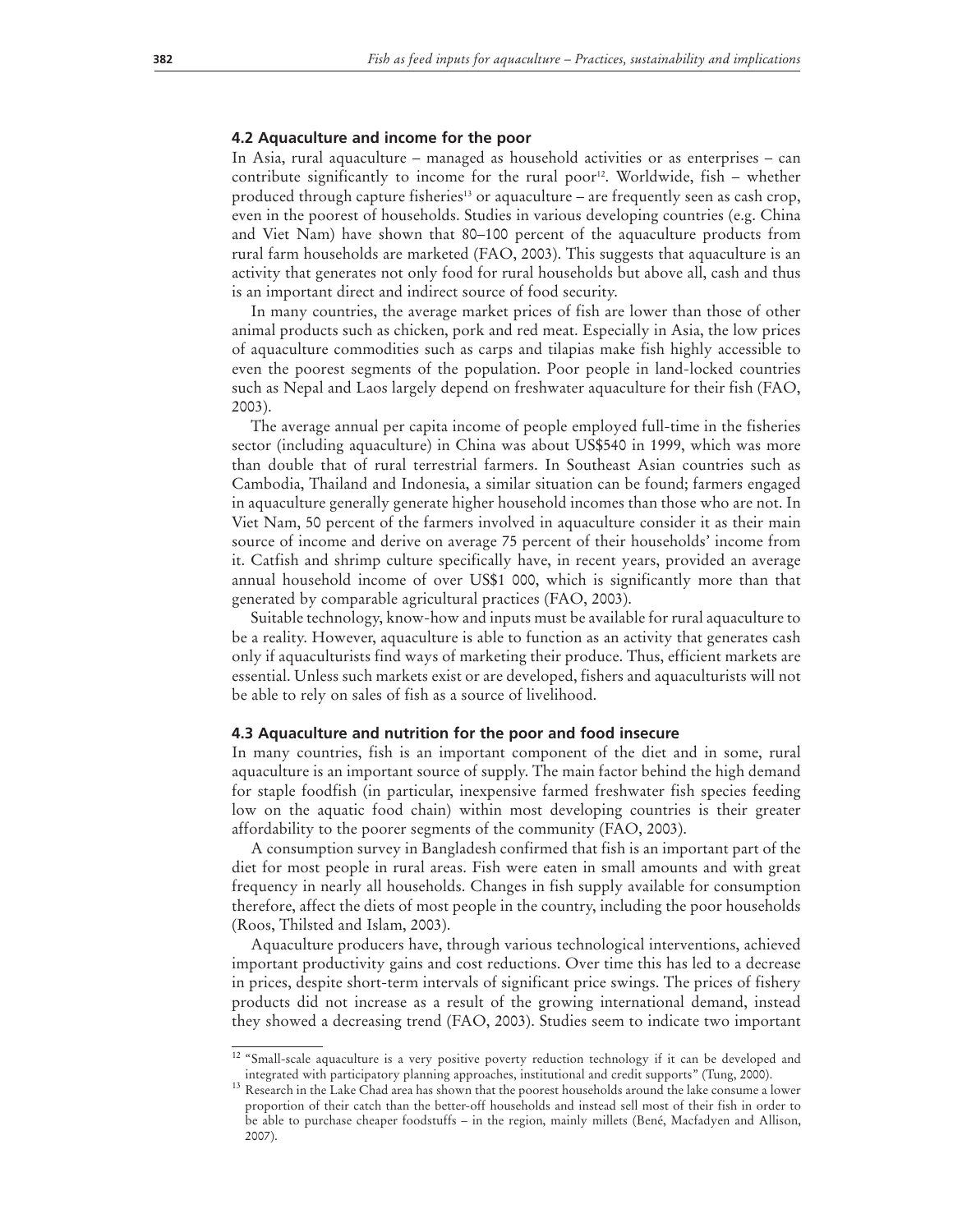#### **4.2 Aquaculture and income for the poor**

In Asia, rural aquaculture – managed as household activities or as enterprises – can contribute significantly to income for the rural poor<sup>12</sup>. Worldwide, fish  $-$  whether produced through capture fisheries<sup>13</sup> or aquaculture – are frequently seen as cash crop, even in the poorest of households. Studies in various developing countries (e.g. China and Viet Nam) have shown that 80–100 percent of the aquaculture products from rural farm households are marketed (FAO, 2003). This suggests that aquaculture is an activity that generates not only food for rural households but above all, cash and thus is an important direct and indirect source of food security.

In many countries, the average market prices of fish are lower than those of other animal products such as chicken, pork and red meat. Especially in Asia, the low prices of aquaculture commodities such as carps and tilapias make fish highly accessible to even the poorest segments of the population. Poor people in land-locked countries such as Nepal and Laos largely depend on freshwater aquaculture for their fish (FAO, 2003).

The average annual per capita income of people employed full-time in the fisheries sector (including aquaculture) in China was about US\$540 in 1999, which was more than double that of rural terrestrial farmers. In Southeast Asian countries such as Cambodia, Thailand and Indonesia, a similar situation can be found; farmers engaged in aquaculture generally generate higher household incomes than those who are not. In Viet Nam, 50 percent of the farmers involved in aquaculture consider it as their main source of income and derive on average 75 percent of their households' income from it. Catfish and shrimp culture specifically have, in recent years, provided an average annual household income of over US\$1 000, which is significantly more than that generated by comparable agricultural practices (FAO, 2003).

Suitable technology, know-how and inputs must be available for rural aquaculture to be a reality. However, aquaculture is able to function as an activity that generates cash only if aquaculturists find ways of marketing their produce. Thus, efficient markets are essential. Unless such markets exist or are developed, fishers and aquaculturists will not be able to rely on sales of fish as a source of livelihood.

#### **4.3 Aquaculture and nutrition for the poor and food insecure**

In many countries, fish is an important component of the diet and in some, rural aquaculture is an important source of supply. The main factor behind the high demand for staple foodfish (in particular, inexpensive farmed freshwater fish species feeding low on the aquatic food chain) within most developing countries is their greater affordability to the poorer segments of the community (FAO, 2003).

A consumption survey in Bangladesh confirmed that fish is an important part of the diet for most people in rural areas. Fish were eaten in small amounts and with great frequency in nearly all households. Changes in fish supply available for consumption therefore, affect the diets of most people in the country, including the poor households (Roos, Thilsted and Islam, 2003).

Aquaculture producers have, through various technological interventions, achieved important productivity gains and cost reductions. Over time this has led to a decrease in prices, despite short-term intervals of significant price swings. The prices of fishery products did not increase as a result of the growing international demand, instead they showed a decreasing trend (FAO, 2003). Studies seem to indicate two important

<sup>&</sup>lt;sup>12</sup> "Small-scale aquaculture is a very positive poverty reduction technology if it can be developed and integrated with participatory planning approaches, institutional and credit supports" (Tung, 2000). 13 Research in the Lake Chad area has shown that the poorest households around the lake consume a lower

proportion of their catch than the better-off households and instead sell most of their fish in order to be able to purchase cheaper foodstuffs – in the region, mainly millets (Bené, Macfadyen and Allison, 2007).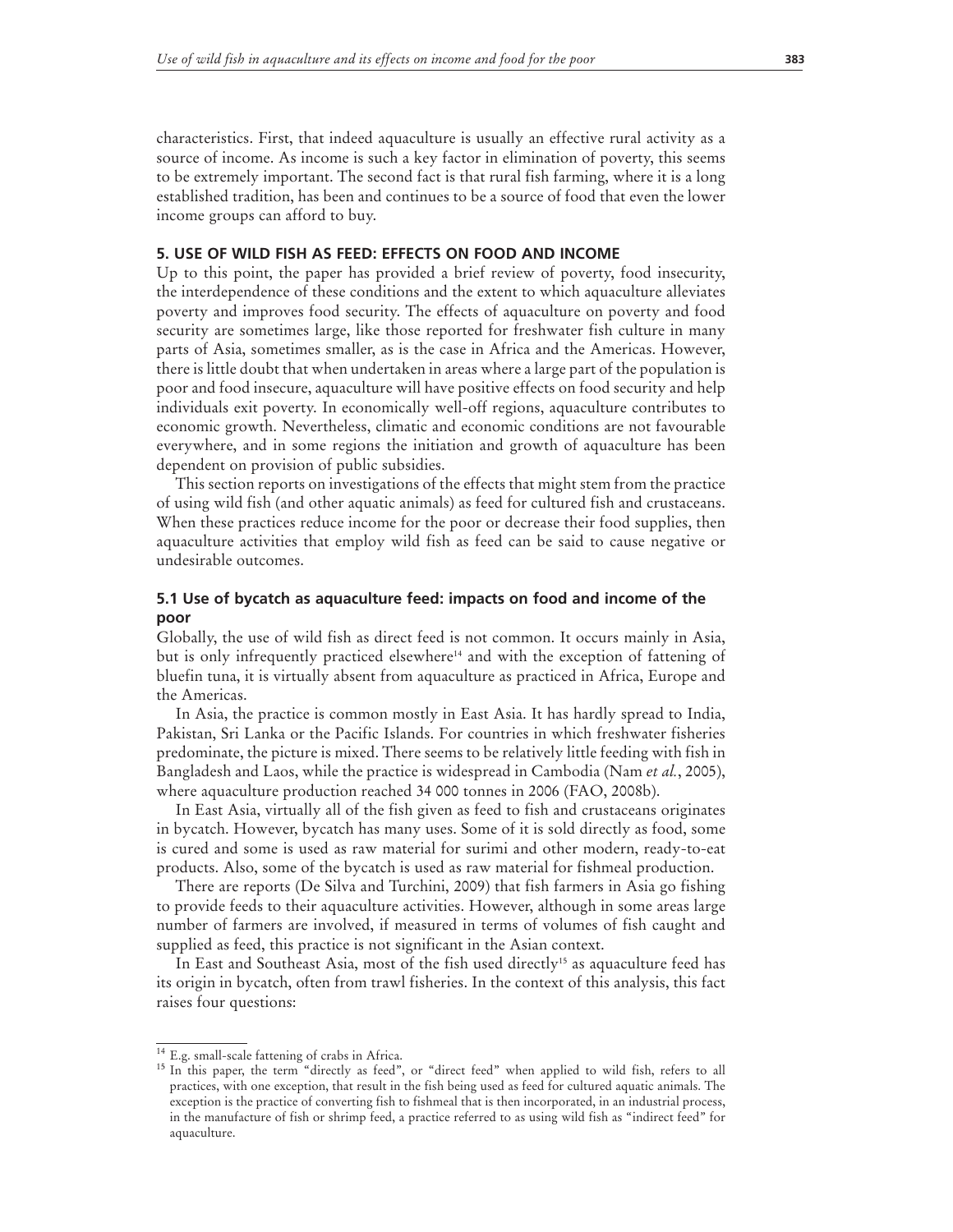characteristics. First, that indeed aquaculture is usually an effective rural activity as a source of income. As income is such a key factor in elimination of poverty, this seems to be extremely important. The second fact is that rural fish farming, where it is a long established tradition, has been and continues to be a source of food that even the lower income groups can afford to buy.

#### **5. USE OF WILD FISH AS FEED: EFFECTS ON FOOD AND INCOME**

Up to this point, the paper has provided a brief review of poverty, food insecurity, the interdependence of these conditions and the extent to which aquaculture alleviates poverty and improves food security. The effects of aquaculture on poverty and food security are sometimes large, like those reported for freshwater fish culture in many parts of Asia, sometimes smaller, as is the case in Africa and the Americas. However, there is little doubt that when undertaken in areas where a large part of the population is poor and food insecure, aquaculture will have positive effects on food security and help individuals exit poverty. In economically well-off regions, aquaculture contributes to economic growth. Nevertheless, climatic and economic conditions are not favourable everywhere, and in some regions the initiation and growth of aquaculture has been dependent on provision of public subsidies.

This section reports on investigations of the effects that might stem from the practice of using wild fish (and other aquatic animals) as feed for cultured fish and crustaceans. When these practices reduce income for the poor or decrease their food supplies, then aquaculture activities that employ wild fish as feed can be said to cause negative or undesirable outcomes.

# **5.1 Use of bycatch as aquaculture feed: impacts on food and income of the poor**

Globally, the use of wild fish as direct feed is not common. It occurs mainly in Asia, but is only infrequently practiced elsewhere<sup>14</sup> and with the exception of fattening of bluefin tuna, it is virtually absent from aquaculture as practiced in Africa, Europe and the Americas.

In Asia, the practice is common mostly in East Asia. It has hardly spread to India, Pakistan, Sri Lanka or the Pacific Islands. For countries in which freshwater fisheries predominate, the picture is mixed. There seems to be relatively little feeding with fish in Bangladesh and Laos, while the practice is widespread in Cambodia (Nam *et al.*, 2005), where aquaculture production reached 34 000 tonnes in 2006 (FAO, 2008b).

In East Asia, virtually all of the fish given as feed to fish and crustaceans originates in bycatch. However, bycatch has many uses. Some of it is sold directly as food, some is cured and some is used as raw material for surimi and other modern, ready-to-eat products. Also, some of the bycatch is used as raw material for fishmeal production.

There are reports (De Silva and Turchini, 2009) that fish farmers in Asia go fishing to provide feeds to their aquaculture activities. However, although in some areas large number of farmers are involved, if measured in terms of volumes of fish caught and supplied as feed, this practice is not significant in the Asian context.

In East and Southeast Asia, most of the fish used directly<sup>15</sup> as aquaculture feed has its origin in bycatch, often from trawl fisheries. In the context of this analysis, this fact raises four questions:

<sup>14</sup> E.g. small-scale fattening of crabs in Africa.

<sup>&</sup>lt;sup>15</sup> In this paper, the term "directly as feed", or "direct feed" when applied to wild fish, refers to all practices, with one exception, that result in the fish being used as feed for cultured aquatic animals. The exception is the practice of converting fish to fishmeal that is then incorporated, in an industrial process, in the manufacture of fish or shrimp feed, a practice referred to as using wild fish as "indirect feed" for aquaculture.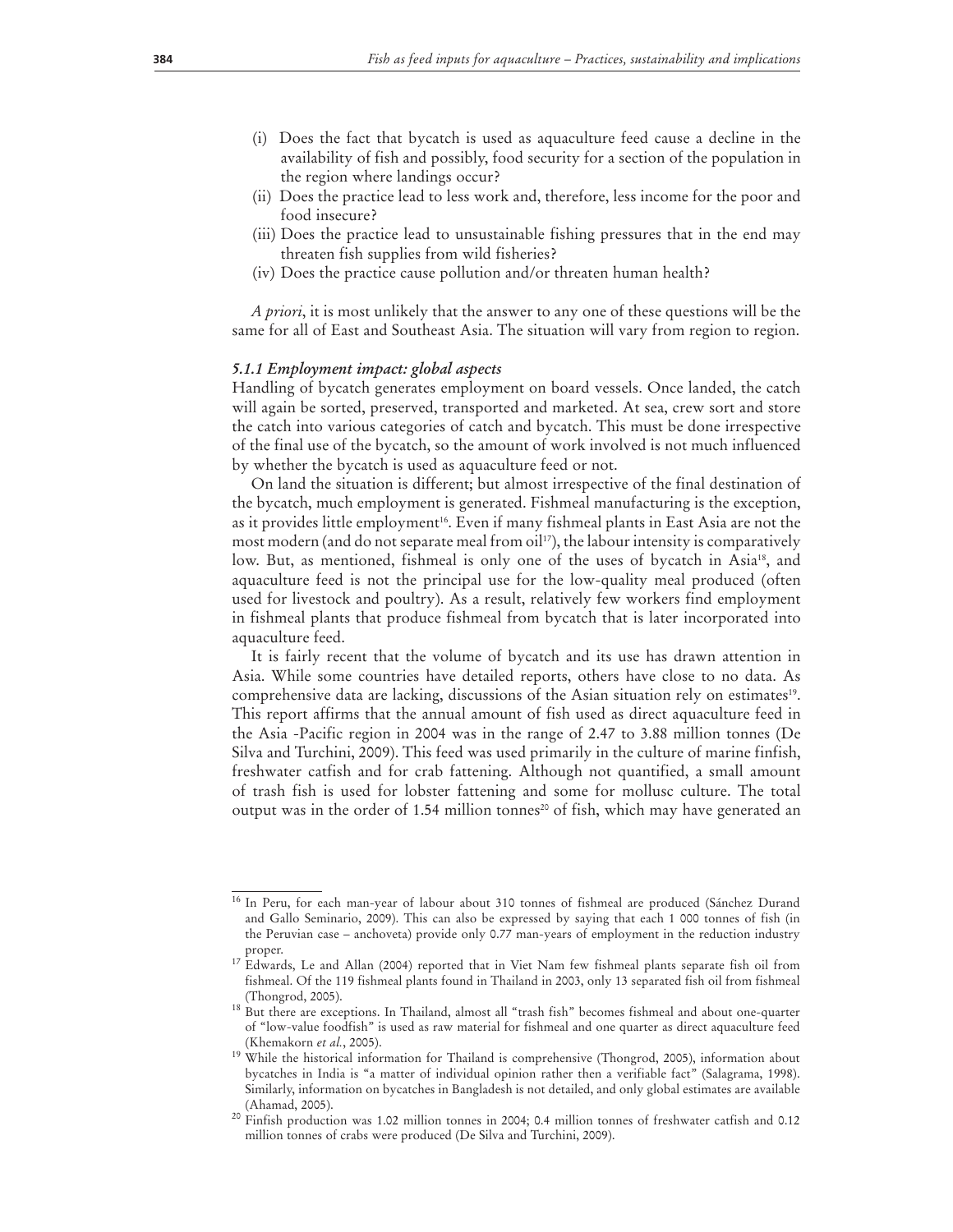- (i) Does the fact that bycatch is used as aquaculture feed cause a decline in the availability of fish and possibly, food security for a section of the population in the region where landings occur?
- (ii) Does the practice lead to less work and, therefore, less income for the poor and food insecure?
- (iii) Does the practice lead to unsustainable fishing pressures that in the end may threaten fish supplies from wild fisheries?
- (iv) Does the practice cause pollution and/or threaten human health?

*A priori*, it is most unlikely that the answer to any one of these questions will be the same for all of East and Southeast Asia. The situation will vary from region to region.

#### *5.1.1 Employment impact: global aspects*

Handling of bycatch generates employment on board vessels. Once landed, the catch will again be sorted, preserved, transported and marketed. At sea, crew sort and store the catch into various categories of catch and bycatch. This must be done irrespective of the final use of the bycatch, so the amount of work involved is not much influenced by whether the bycatch is used as aquaculture feed or not.

On land the situation is different; but almost irrespective of the final destination of the bycatch, much employment is generated. Fishmeal manufacturing is the exception, as it provides little employment<sup>16</sup>. Even if many fishmeal plants in East Asia are not the most modern (and do not separate meal from  $\text{oil}^{17}$ ), the labour intensity is comparatively low. But, as mentioned, fishmeal is only one of the uses of bycatch in Asia<sup>18</sup>, and aquaculture feed is not the principal use for the low-quality meal produced (often used for livestock and poultry). As a result, relatively few workers find employment in fishmeal plants that produce fishmeal from bycatch that is later incorporated into aquaculture feed.

It is fairly recent that the volume of bycatch and its use has drawn attention in Asia. While some countries have detailed reports, others have close to no data. As comprehensive data are lacking, discussions of the Asian situation rely on estimates<sup>19</sup>. This report affirms that the annual amount of fish used as direct aquaculture feed in the Asia -Pacific region in 2004 was in the range of 2.47 to 3.88 million tonnes (De Silva and Turchini, 2009). This feed was used primarily in the culture of marine finfish, freshwater catfish and for crab fattening. Although not quantified, a small amount of trash fish is used for lobster fattening and some for mollusc culture. The total output was in the order of 1.54 million tonnes<sup>20</sup> of fish, which may have generated an

<sup>&</sup>lt;sup>16</sup> In Peru, for each man-year of labour about 310 tonnes of fishmeal are produced (Sánchez Durand and Gallo Seminario, 2009). This can also be expressed by saying that each 1 000 tonnes of fish (in the Peruvian case – anchoveta) provide only 0.77 man-years of employment in the reduction industry proper.

<sup>&</sup>lt;sup>17</sup> Edwards, Le and Allan (2004) reported that in Viet Nam few fishmeal plants separate fish oil from fishmeal. Of the 119 fishmeal plants found in Thailand in 2003, only 13 separated fish oil from fishmeal (Thongrod, 2005).

<sup>&</sup>lt;sup>18</sup> But there are exceptions. In Thailand, almost all "trash fish" becomes fishmeal and about one-quarter of "low-value foodfish" is used as raw material for fishmeal and one quarter as direct aquaculture feed

<sup>(</sup>Khemakorn *et al.*, 2005).<br><sup>19</sup> While the historical information for Thailand is comprehensive (Thongrod, 2005), information about bycatches in India is "a matter of individual opinion rather then a verifiable fact" (Salagrama, 1998). Similarly, information on bycatches in Bangladesh is not detailed, and only global estimates are available (Ahamad, 2005).

<sup>&</sup>lt;sup>20</sup> Finfish production was 1.02 million tonnes in 2004; 0.4 million tonnes of freshwater catfish and 0.12 million tonnes of crabs were produced (De Silva and Turchini, 2009).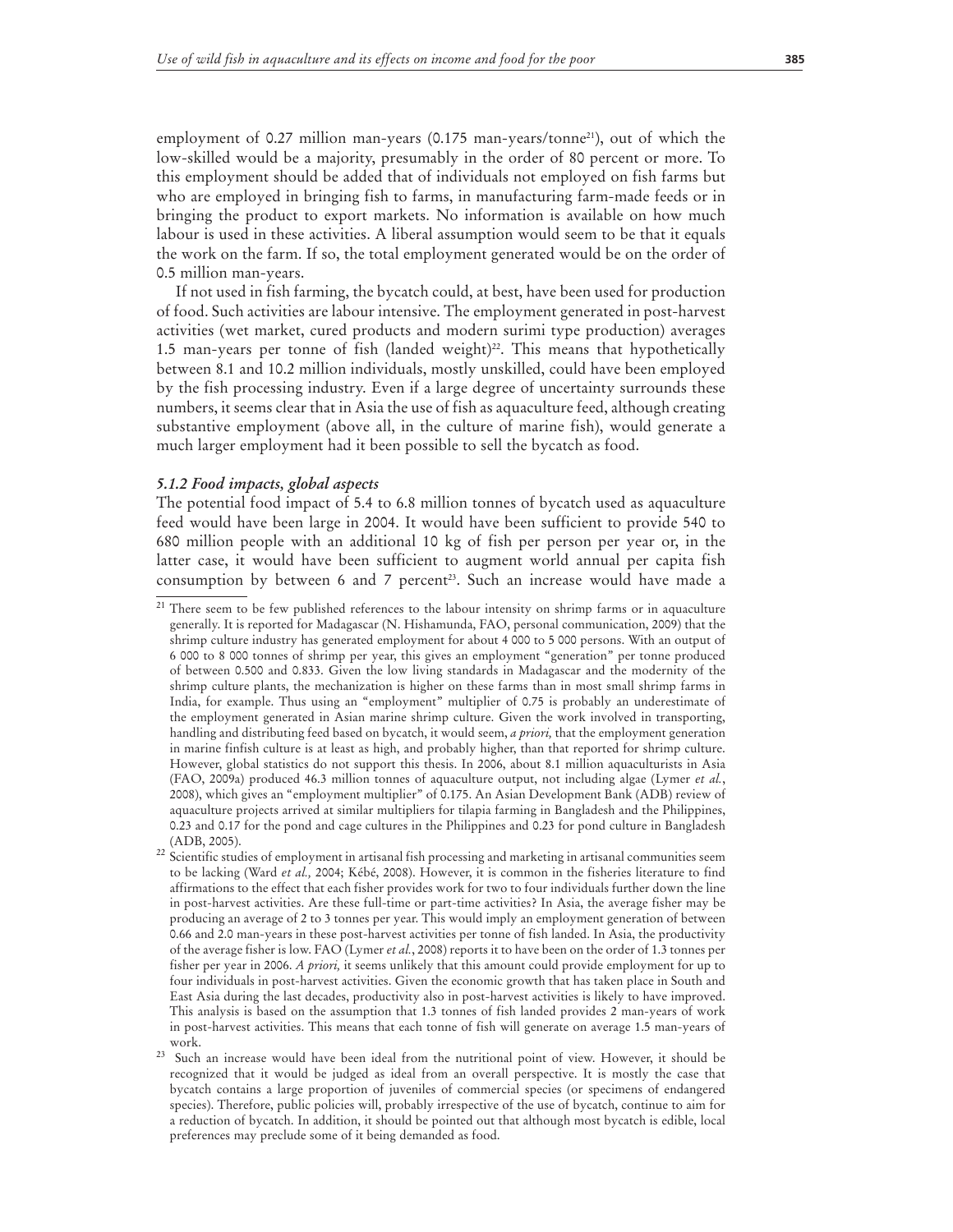employment of 0.27 million man-years (0.175 man-years/tonne<sup>21</sup>), out of which the low-skilled would be a majority, presumably in the order of 80 percent or more. To this employment should be added that of individuals not employed on fish farms but who are employed in bringing fish to farms, in manufacturing farm-made feeds or in bringing the product to export markets. No information is available on how much labour is used in these activities. A liberal assumption would seem to be that it equals the work on the farm. If so, the total employment generated would be on the order of 0.5 million man-years.

If not used in fish farming, the bycatch could, at best, have been used for production of food. Such activities are labour intensive. The employment generated in post-harvest activities (wet market, cured products and modern surimi type production) averages 1.5 man-years per tonne of fish (landed weight)<sup>22</sup>. This means that hypothetically between 8.1 and 10.2 million individuals, mostly unskilled, could have been employed by the fish processing industry. Even if a large degree of uncertainty surrounds these numbers, it seems clear that in Asia the use of fish as aquaculture feed, although creating substantive employment (above all, in the culture of marine fish), would generate a much larger employment had it been possible to sell the bycatch as food.

#### *5.1.2 Food impacts, global aspects*

The potential food impact of 5.4 to 6.8 million tonnes of bycatch used as aquaculture feed would have been large in 2004. It would have been sufficient to provide 540 to 680 million people with an additional 10 kg of fish per person per year or, in the latter case, it would have been sufficient to augment world annual per capita fish consumption by between 6 and 7 percent<sup>23</sup>. Such an increase would have made a

<sup>&</sup>lt;sup>21</sup> There seem to be few published references to the labour intensity on shrimp farms or in aquaculture generally. It is reported for Madagascar (N. Hishamunda, FAO, personal communication, 2009) that the shrimp culture industry has generated employment for about 4 000 to 5 000 persons. With an output of 6 000 to 8 000 tonnes of shrimp per year, this gives an employment "generation" per tonne produced of between 0.500 and 0.833. Given the low living standards in Madagascar and the modernity of the shrimp culture plants, the mechanization is higher on these farms than in most small shrimp farms in India, for example. Thus using an "employment" multiplier of 0.75 is probably an underestimate of the employment generated in Asian marine shrimp culture. Given the work involved in transporting, handling and distributing feed based on bycatch, it would seem, *a priori,* that the employment generation in marine finfish culture is at least as high, and probably higher, than that reported for shrimp culture. However, global statistics do not support this thesis. In 2006, about 8.1 million aquaculturists in Asia (FAO, 2009a) produced 46.3 million tonnes of aquaculture output, not including algae (Lymer *et al.*, 2008), which gives an "employment multiplier" of 0.175. An Asian Development Bank (ADB) review of aquaculture projects arrived at similar multipliers for tilapia farming in Bangladesh and the Philippines, 0.23 and 0.17 for the pond and cage cultures in the Philippines and 0.23 for pond culture in Bangladesh (ADB, 2005).

<sup>&</sup>lt;sup>22</sup> Scientific studies of employment in artisanal fish processing and marketing in artisanal communities seem to be lacking (Ward *et al.,* 2004; Kébé, 2008). However, it is common in the fisheries literature to find affirmations to the effect that each fisher provides work for two to four individuals further down the line in post-harvest activities. Are these full-time or part-time activities? In Asia, the average fisher may be producing an average of 2 to 3 tonnes per year. This would imply an employment generation of between 0.66 and 2.0 man-years in these post-harvest activities per tonne of fish landed. In Asia, the productivity of the average fisher is low. FAO (Lymer *et al.*, 2008) reports it to have been on the order of 1.3 tonnes per fisher per year in 2006. *A priori,* it seems unlikely that this amount could provide employment for up to four individuals in post-harvest activities. Given the economic growth that has taken place in South and East Asia during the last decades, productivity also in post-harvest activities is likely to have improved. This analysis is based on the assumption that 1.3 tonnes of fish landed provides 2 man-years of work in post-harvest activities. This means that each tonne of fish will generate on average 1.5 man-years of

work. 23 Such an increase would have been ideal from the nutritional point of view. However, it should be recognized that it would be judged as ideal from an overall perspective. It is mostly the case that bycatch contains a large proportion of juveniles of commercial species (or specimens of endangered species). Therefore, public policies will, probably irrespective of the use of bycatch, continue to aim for a reduction of bycatch. In addition, it should be pointed out that although most bycatch is edible, local preferences may preclude some of it being demanded as food.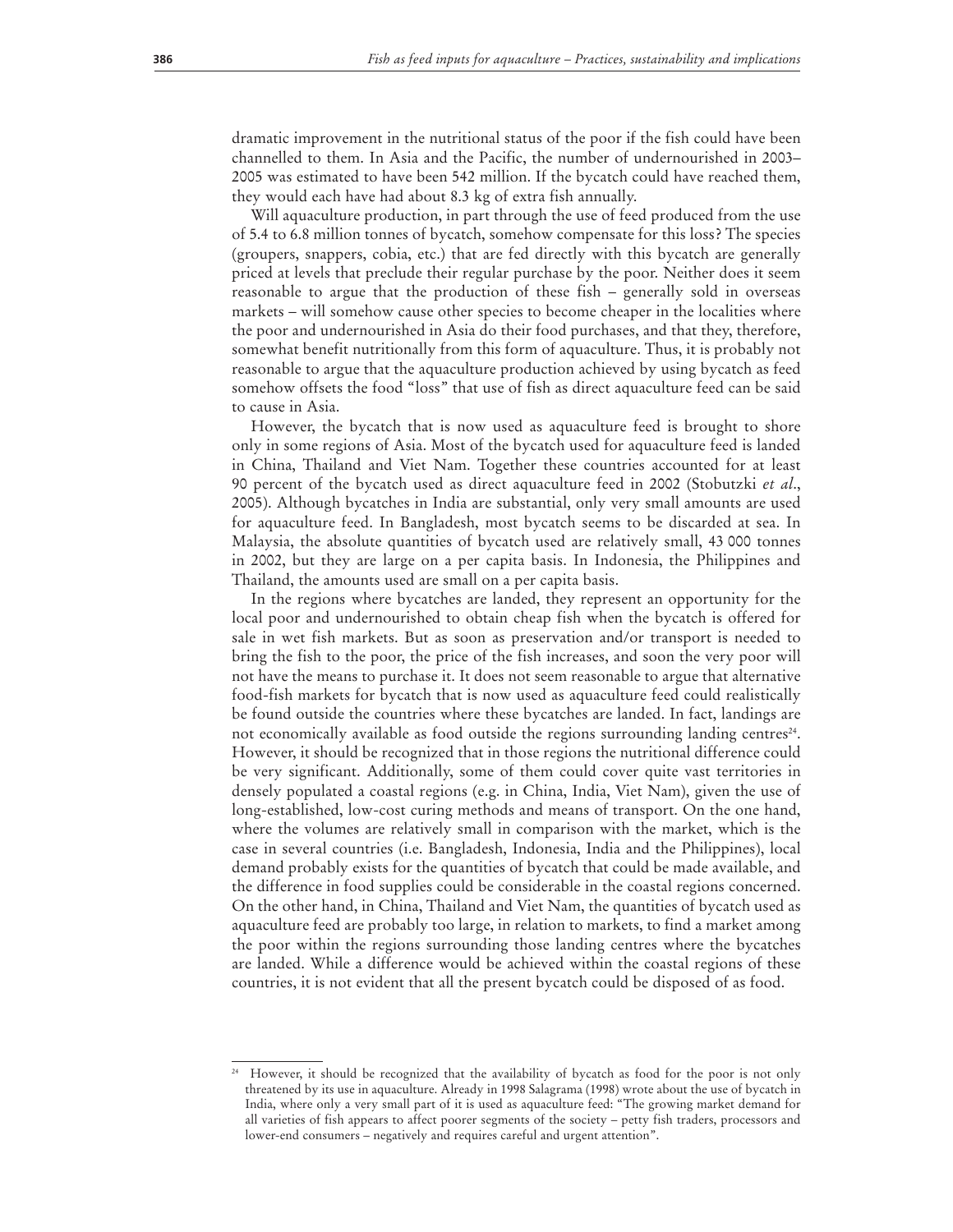dramatic improvement in the nutritional status of the poor if the fish could have been channelled to them. In Asia and the Pacific, the number of undernourished in 2003– 2005 was estimated to have been 542 million. If the bycatch could have reached them, they would each have had about 8.3 kg of extra fish annually.

Will aquaculture production, in part through the use of feed produced from the use of 5.4 to 6.8 million tonnes of bycatch, somehow compensate for this loss? The species (groupers, snappers, cobia, etc.) that are fed directly with this bycatch are generally priced at levels that preclude their regular purchase by the poor. Neither does it seem reasonable to argue that the production of these fish – generally sold in overseas markets – will somehow cause other species to become cheaper in the localities where the poor and undernourished in Asia do their food purchases, and that they, therefore, somewhat benefit nutritionally from this form of aquaculture. Thus, it is probably not reasonable to argue that the aquaculture production achieved by using bycatch as feed somehow offsets the food "loss" that use of fish as direct aquaculture feed can be said to cause in Asia.

However, the bycatch that is now used as aquaculture feed is brought to shore only in some regions of Asia. Most of the bycatch used for aquaculture feed is landed in China, Thailand and Viet Nam. Together these countries accounted for at least 90 percent of the bycatch used as direct aquaculture feed in 2002 (Stobutzki *et al*., 2005). Although bycatches in India are substantial, only very small amounts are used for aquaculture feed. In Bangladesh, most bycatch seems to be discarded at sea. In Malaysia, the absolute quantities of bycatch used are relatively small, 43 000 tonnes in 2002, but they are large on a per capita basis. In Indonesia, the Philippines and Thailand, the amounts used are small on a per capita basis.

In the regions where bycatches are landed, they represent an opportunity for the local poor and undernourished to obtain cheap fish when the bycatch is offered for sale in wet fish markets. But as soon as preservation and/or transport is needed to bring the fish to the poor, the price of the fish increases, and soon the very poor will not have the means to purchase it. It does not seem reasonable to argue that alternative food-fish markets for bycatch that is now used as aquaculture feed could realistically be found outside the countries where these bycatches are landed. In fact, landings are not economically available as food outside the regions surrounding landing centres<sup>24</sup>. However, it should be recognized that in those regions the nutritional difference could be very significant. Additionally, some of them could cover quite vast territories in densely populated a coastal regions (e.g. in China, India, Viet Nam), given the use of long-established, low-cost curing methods and means of transport. On the one hand, where the volumes are relatively small in comparison with the market, which is the case in several countries (i.e. Bangladesh, Indonesia, India and the Philippines), local demand probably exists for the quantities of bycatch that could be made available, and the difference in food supplies could be considerable in the coastal regions concerned. On the other hand, in China, Thailand and Viet Nam, the quantities of bycatch used as aquaculture feed are probably too large, in relation to markets, to find a market among the poor within the regions surrounding those landing centres where the bycatches are landed. While a difference would be achieved within the coastal regions of these countries, it is not evident that all the present bycatch could be disposed of as food.

However, it should be recognized that the availability of bycatch as food for the poor is not only threatened by its use in aquaculture. Already in 1998 Salagrama (1998) wrote about the use of bycatch in India, where only a very small part of it is used as aquaculture feed: "The growing market demand for all varieties of fish appears to affect poorer segments of the society – petty fish traders, processors and lower-end consumers – negatively and requires careful and urgent attention".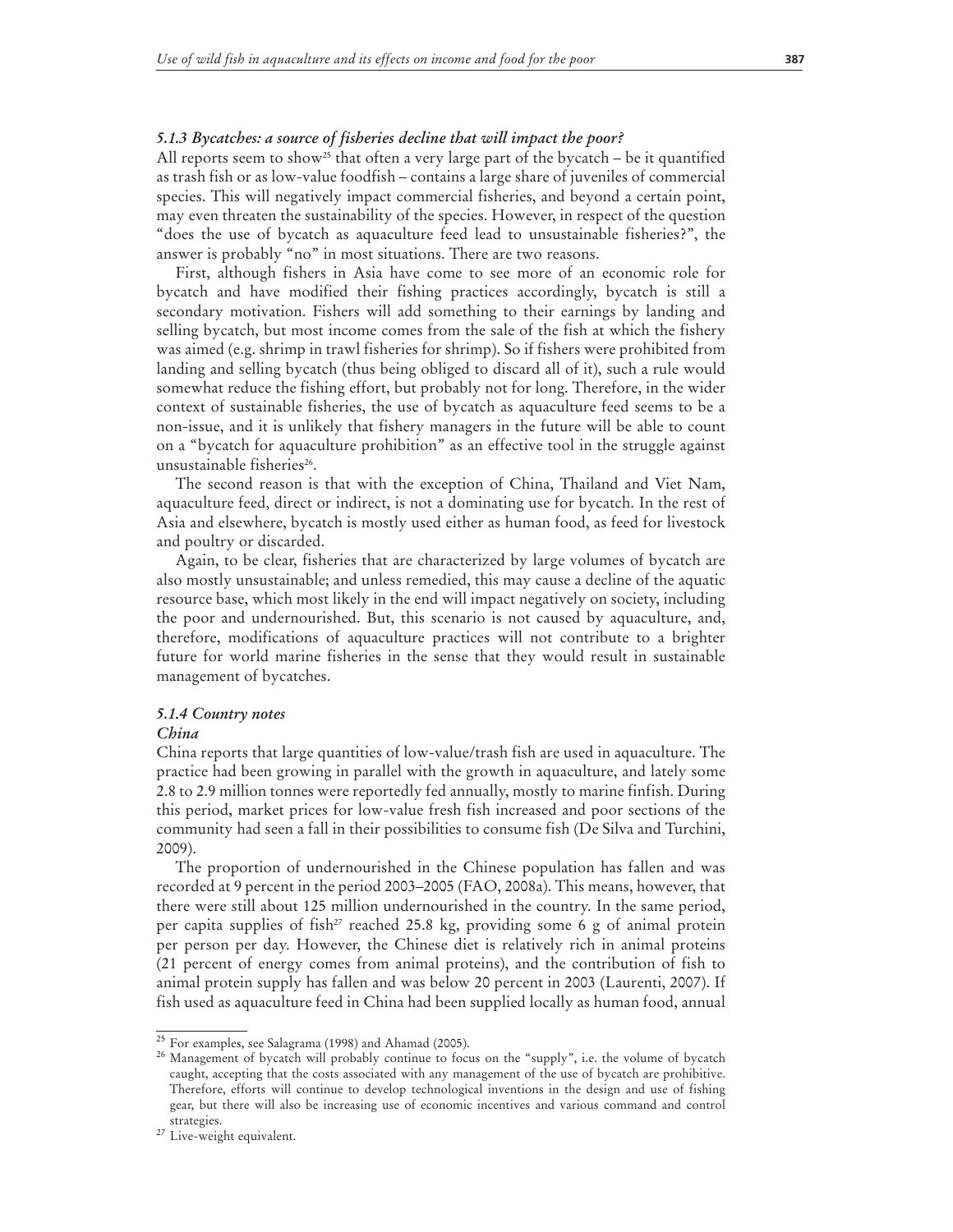#### *5.1.3 Bycatches: a source of fisheries decline that will impact the poor?*

All reports seem to show<sup>25</sup> that often a very large part of the bycatch – be it quantified as trash fish or as low-value foodfish – contains a large share of juveniles of commercial species. This will negatively impact commercial fisheries, and beyond a certain point, may even threaten the sustainability of the species. However, in respect of the question "does the use of bycatch as aquaculture feed lead to unsustainable fisheries?", the answer is probably "no" in most situations. There are two reasons.

First, although fishers in Asia have come to see more of an economic role for bycatch and have modified their fishing practices accordingly, bycatch is still a secondary motivation. Fishers will add something to their earnings by landing and selling bycatch, but most income comes from the sale of the fish at which the fishery was aimed (e.g. shrimp in trawl fisheries for shrimp). So if fishers were prohibited from landing and selling bycatch (thus being obliged to discard all of it), such a rule would somewhat reduce the fishing effort, but probably not for long. Therefore, in the wider context of sustainable fisheries, the use of bycatch as aquaculture feed seems to be a non-issue, and it is unlikely that fishery managers in the future will be able to count on a "bycatch for aquaculture prohibition" as an effective tool in the struggle against unsustainable fisheries<sup>26</sup>.

The second reason is that with the exception of China, Thailand and Viet Nam, aquaculture feed, direct or indirect, is not a dominating use for bycatch. In the rest of Asia and elsewhere, bycatch is mostly used either as human food, as feed for livestock and poultry or discarded.

Again, to be clear, fisheries that are characterized by large volumes of bycatch are also mostly unsustainable; and unless remedied, this may cause a decline of the aquatic resource base, which most likely in the end will impact negatively on society, including the poor and undernourished. But, this scenario is not caused by aquaculture, and, therefore, modifications of aquaculture practices will not contribute to a brighter future for world marine fisheries in the sense that they would result in sustainable management of bycatches.

#### *5.1.4 Country notes*

#### *China*

China reports that large quantities of low-value/trash fish are used in aquaculture. The practice had been growing in parallel with the growth in aquaculture, and lately some 2.8 to 2.9 million tonnes were reportedly fed annually, mostly to marine finfish. During this period, market prices for low-value fresh fish increased and poor sections of the community had seen a fall in their possibilities to consume fish (De Silva and Turchini, 2009).

The proportion of undernourished in the Chinese population has fallen and was recorded at 9 percent in the period 2003–2005 (FAO, 2008a). This means, however, that there were still about 125 million undernourished in the country. In the same period, per capita supplies of fish<sup>27</sup> reached 25.8 kg, providing some 6 g of animal protein per person per day. However, the Chinese diet is relatively rich in animal proteins (21 percent of energy comes from animal proteins), and the contribution of fish to animal protein supply has fallen and was below 20 percent in 2003 (Laurenti, 2007). If fish used as aquaculture feed in China had been supplied locally as human food, annual

<sup>&</sup>lt;sup>25</sup> For examples, see Salagrama (1998) and Ahamad (2005).<br><sup>26</sup> Management of bycatch will probably continue to focus on the "supply", i.e. the volume of bycatch caught, accepting that the costs associated with any management of the use of bycatch are prohibitive. Therefore, efforts will continue to develop technological inventions in the design and use of fishing gear, but there will also be increasing use of economic incentives and various command and control strategies.

<sup>&</sup>lt;sup>27</sup> Live-weight equivalent.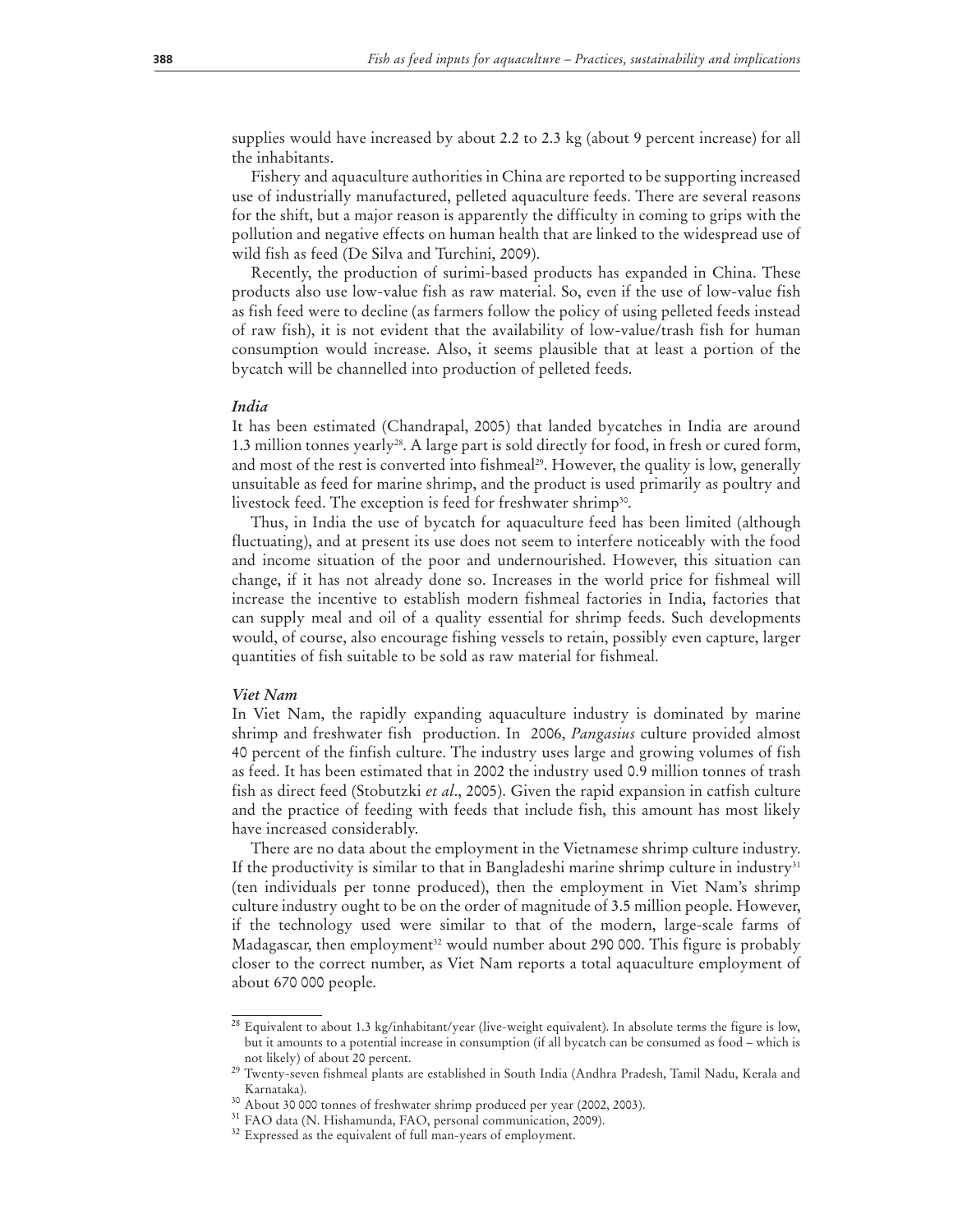supplies would have increased by about 2.2 to 2.3 kg (about 9 percent increase) for all the inhabitants.

Fishery and aquaculture authorities in China are reported to be supporting increased use of industrially manufactured, pelleted aquaculture feeds. There are several reasons for the shift, but a major reason is apparently the difficulty in coming to grips with the pollution and negative effects on human health that are linked to the widespread use of wild fish as feed (De Silva and Turchini, 2009).

Recently, the production of surimi-based products has expanded in China. These products also use low-value fish as raw material. So, even if the use of low-value fish as fish feed were to decline (as farmers follow the policy of using pelleted feeds instead of raw fish), it is not evident that the availability of low-value/trash fish for human consumption would increase. Also, it seems plausible that at least a portion of the bycatch will be channelled into production of pelleted feeds.

#### *India*

It has been estimated (Chandrapal, 2005) that landed bycatches in India are around 1.3 million tonnes yearly<sup>28</sup>. A large part is sold directly for food, in fresh or cured form, and most of the rest is converted into fishmeal<sup>29</sup>. However, the quality is low, generally unsuitable as feed for marine shrimp, and the product is used primarily as poultry and livestock feed. The exception is feed for freshwater shrimp<sup>30</sup>.

Thus, in India the use of bycatch for aquaculture feed has been limited (although fluctuating), and at present its use does not seem to interfere noticeably with the food and income situation of the poor and undernourished. However, this situation can change, if it has not already done so. Increases in the world price for fishmeal will increase the incentive to establish modern fishmeal factories in India, factories that can supply meal and oil of a quality essential for shrimp feeds. Such developments would, of course, also encourage fishing vessels to retain, possibly even capture, larger quantities of fish suitable to be sold as raw material for fishmeal.

#### *Viet Nam*

In Viet Nam, the rapidly expanding aquaculture industry is dominated by marine shrimp and freshwater fish production. In 2006, *Pangasius* culture provided almost 40 percent of the finfish culture. The industry uses large and growing volumes of fish as feed. It has been estimated that in 2002 the industry used 0.9 million tonnes of trash fish as direct feed (Stobutzki *et al*., 2005). Given the rapid expansion in catfish culture and the practice of feeding with feeds that include fish, this amount has most likely have increased considerably.

There are no data about the employment in the Vietnamese shrimp culture industry. If the productivity is similar to that in Bangladeshi marine shrimp culture in industry $31$ (ten individuals per tonne produced), then the employment in Viet Nam's shrimp culture industry ought to be on the order of magnitude of 3.5 million people. However, if the technology used were similar to that of the modern, large-scale farms of Madagascar, then employment<sup>32</sup> would number about 290 000. This figure is probably closer to the correct number, as Viet Nam reports a total aquaculture employment of about 670 000 people.

<sup>&</sup>lt;sup>28</sup> Equivalent to about 1.3 kg/inhabitant/year (live-weight equivalent). In absolute terms the figure is low, but it amounts to a potential increase in consumption (if all bycatch can be consumed as food – which is not likely) of about 20 percent.

<sup>&</sup>lt;sup>29</sup> Twenty-seven fishmeal plants are established in South India (Andhra Pradesh, Tamil Nadu, Kerala and Karnataka).

<sup>&</sup>lt;sup>30</sup> About 30 000 tonnes of freshwater shrimp produced per year (2002, 2003).<br><sup>31</sup> FAO data (N. Hishamunda, FAO, personal communication, 2009).

<sup>&</sup>lt;sup>32</sup> Expressed as the equivalent of full man-years of employment.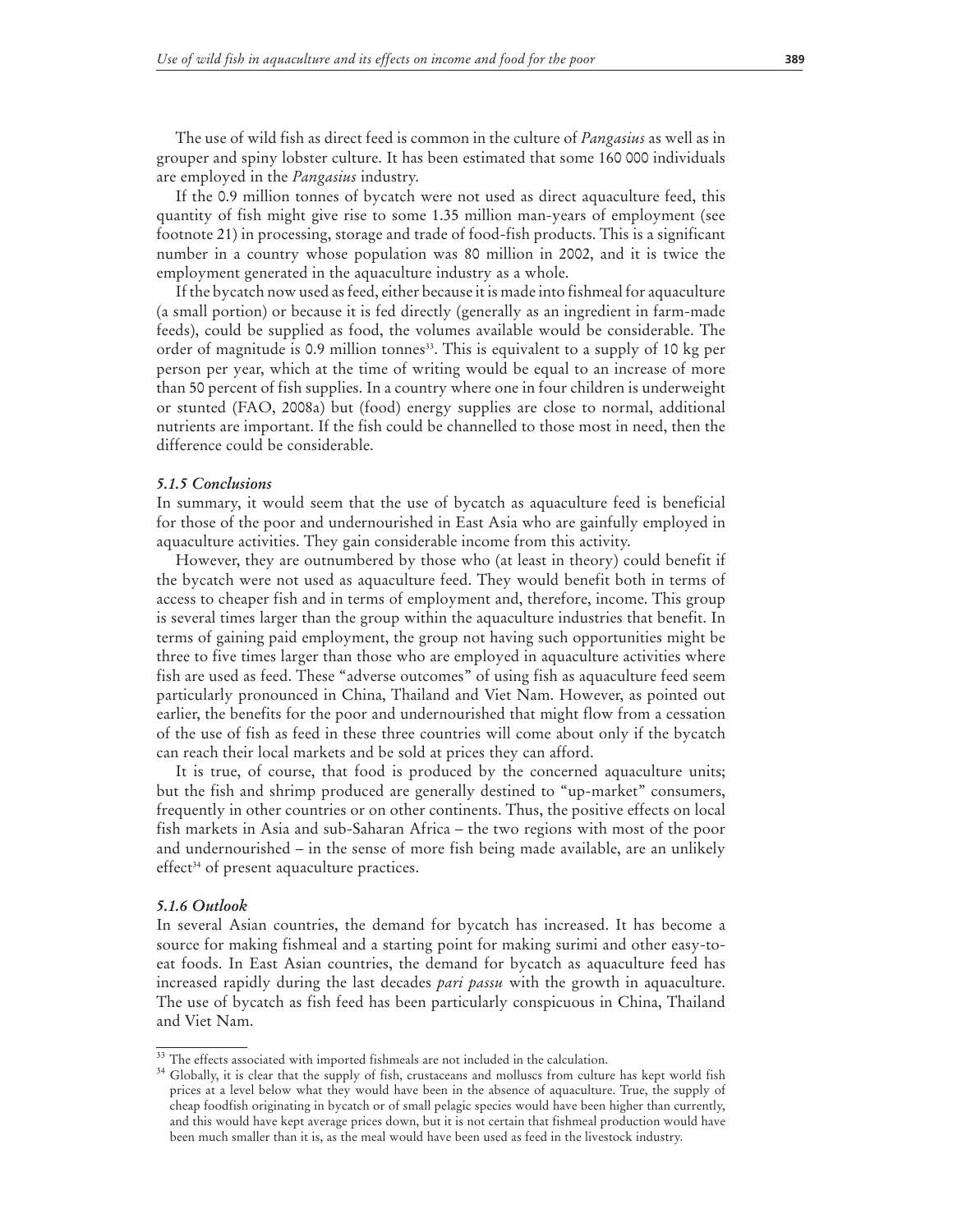The use of wild fish as direct feed is common in the culture of *Pangasius* as well as in grouper and spiny lobster culture. It has been estimated that some 160 000 individuals are employed in the *Pangasius* industry.

If the 0.9 million tonnes of bycatch were not used as direct aquaculture feed, this quantity of fish might give rise to some 1.35 million man-years of employment (see footnote 21) in processing, storage and trade of food-fish products. This is a significant number in a country whose population was 80 million in 2002, and it is twice the employment generated in the aquaculture industry as a whole.

If the bycatch now used as feed, either because it is made into fishmeal for aquaculture (a small portion) or because it is fed directly (generally as an ingredient in farm-made feeds), could be supplied as food, the volumes available would be considerable. The order of magnitude is 0.9 million tonnes<sup>33</sup>. This is equivalent to a supply of 10 kg per person per year, which at the time of writing would be equal to an increase of more than 50 percent of fish supplies. In a country where one in four children is underweight or stunted (FAO, 2008a) but (food) energy supplies are close to normal, additional nutrients are important. If the fish could be channelled to those most in need, then the difference could be considerable.

#### *5.1.5 Conclusions*

In summary, it would seem that the use of bycatch as aquaculture feed is beneficial for those of the poor and undernourished in East Asia who are gainfully employed in aquaculture activities. They gain considerable income from this activity.

However, they are outnumbered by those who (at least in theory) could benefit if the bycatch were not used as aquaculture feed. They would benefit both in terms of access to cheaper fish and in terms of employment and, therefore, income. This group is several times larger than the group within the aquaculture industries that benefit. In terms of gaining paid employment, the group not having such opportunities might be three to five times larger than those who are employed in aquaculture activities where fish are used as feed. These "adverse outcomes" of using fish as aquaculture feed seem particularly pronounced in China, Thailand and Viet Nam. However, as pointed out earlier, the benefits for the poor and undernourished that might flow from a cessation of the use of fish as feed in these three countries will come about only if the bycatch can reach their local markets and be sold at prices they can afford.

It is true, of course, that food is produced by the concerned aquaculture units; but the fish and shrimp produced are generally destined to "up-market" consumers, frequently in other countries or on other continents. Thus, the positive effects on local fish markets in Asia and sub-Saharan Africa – the two regions with most of the poor and undernourished – in the sense of more fish being made available, are an unlikely effect<sup>34</sup> of present aquaculture practices.

#### *5.1.6 Outlook*

In several Asian countries, the demand for bycatch has increased. It has become a source for making fishmeal and a starting point for making surimi and other easy-toeat foods. In East Asian countries, the demand for bycatch as aquaculture feed has increased rapidly during the last decades *pari passu* with the growth in aquaculture. The use of bycatch as fish feed has been particularly conspicuous in China, Thailand and Viet Nam.

 $33$  The effects associated with imported fishmeals are not included in the calculation.<br> $34$  Globally, it is clear that the supply of fish, crustaceans and molluscs from culture has kept world fish prices at a level below what they would have been in the absence of aquaculture. True, the supply of cheap foodfish originating in bycatch or of small pelagic species would have been higher than currently, and this would have kept average prices down, but it is not certain that fishmeal production would have been much smaller than it is, as the meal would have been used as feed in the livestock industry.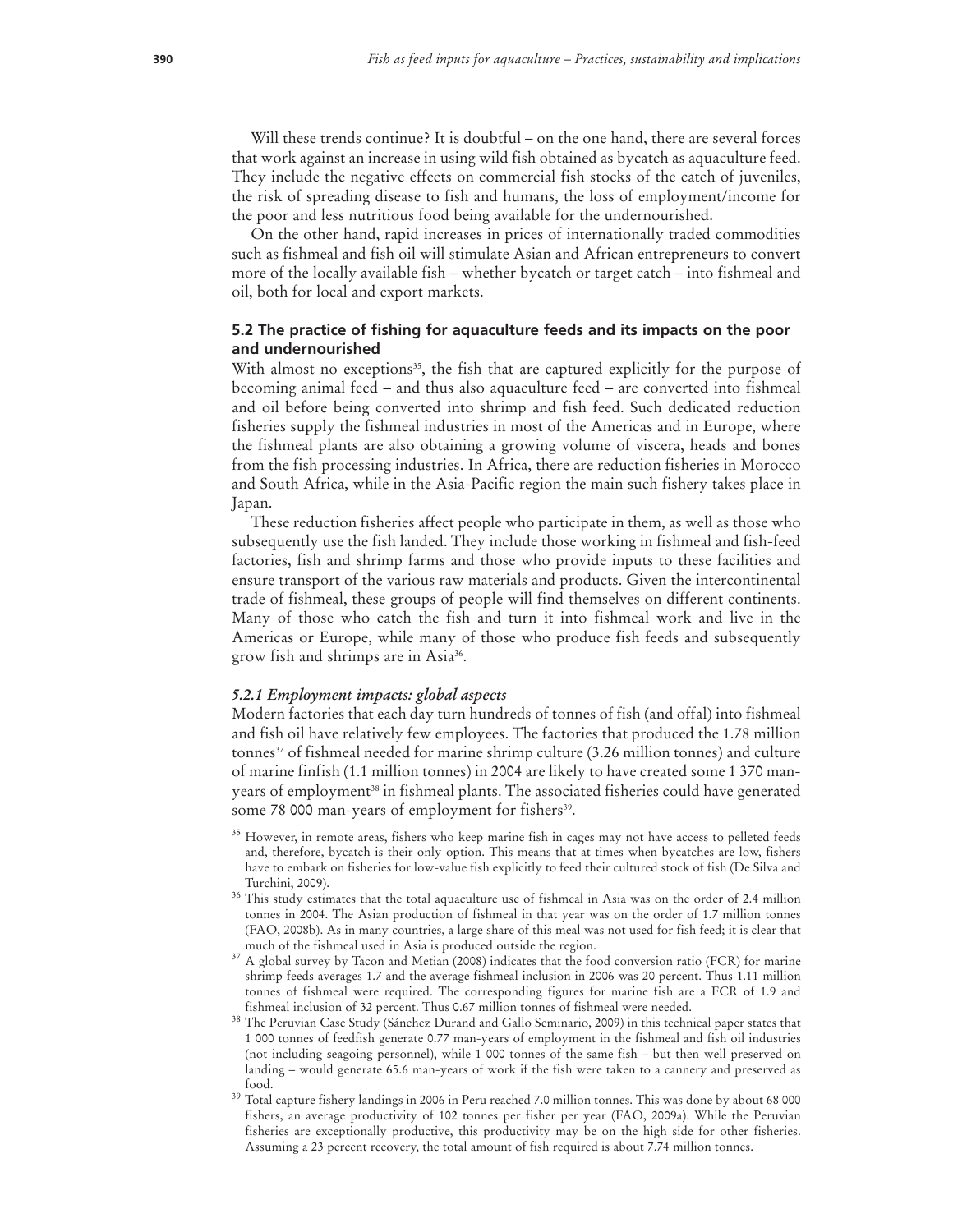Will these trends continue? It is doubtful – on the one hand, there are several forces that work against an increase in using wild fish obtained as bycatch as aquaculture feed. They include the negative effects on commercial fish stocks of the catch of juveniles, the risk of spreading disease to fish and humans, the loss of employment/income for the poor and less nutritious food being available for the undernourished.

On the other hand, rapid increases in prices of internationally traded commodities such as fishmeal and fish oil will stimulate Asian and African entrepreneurs to convert more of the locally available fish – whether bycatch or target catch – into fishmeal and oil, both for local and export markets.

# **5.2 The practice of fishing for aquaculture feeds and its impacts on the poor and undernourished**

With almost no exceptions<sup>35</sup>, the fish that are captured explicitly for the purpose of becoming animal feed – and thus also aquaculture feed – are converted into fishmeal and oil before being converted into shrimp and fish feed. Such dedicated reduction fisheries supply the fishmeal industries in most of the Americas and in Europe, where the fishmeal plants are also obtaining a growing volume of viscera, heads and bones from the fish processing industries. In Africa, there are reduction fisheries in Morocco and South Africa, while in the Asia-Pacific region the main such fishery takes place in Japan.

These reduction fisheries affect people who participate in them, as well as those who subsequently use the fish landed. They include those working in fishmeal and fish-feed factories, fish and shrimp farms and those who provide inputs to these facilities and ensure transport of the various raw materials and products. Given the intercontinental trade of fishmeal, these groups of people will find themselves on different continents. Many of those who catch the fish and turn it into fishmeal work and live in the Americas or Europe, while many of those who produce fish feeds and subsequently grow fish and shrimps are in Asia36.

# *5.2.1 Employment impacts: global aspects*

Modern factories that each day turn hundreds of tonnes of fish (and offal) into fishmeal and fish oil have relatively few employees. The factories that produced the 1.78 million tonnes<sup>37</sup> of fishmeal needed for marine shrimp culture (3.26 million tonnes) and culture of marine finfish (1.1 million tonnes) in 2004 are likely to have created some 1 370 manyears of employment<sup>38</sup> in fishmeal plants. The associated fisheries could have generated some 78 000 man-years of employment for fishers<sup>39</sup>.

<sup>&</sup>lt;sup>35</sup> However, in remote areas, fishers who keep marine fish in cages may not have access to pelleted feeds and, therefore, bycatch is their only option. This means that at times when bycatches are low, fishers have to embark on fisheries for low-value fish explicitly to feed their cultured stock of fish (De Silva and Turchini, 2009).

<sup>36</sup> This study estimates that the total aquaculture use of fishmeal in Asia was on the order of 2.4 million tonnes in 2004. The Asian production of fishmeal in that year was on the order of 1.7 million tonnes (FAO, 2008b). As in many countries, a large share of this meal was not used for fish feed; it is clear that much of the fishmeal used in Asia is produced outside the region.

<sup>37</sup> A global survey by Tacon and Metian (2008) indicates that the food conversion ratio (FCR) for marine shrimp feeds averages 1.7 and the average fishmeal inclusion in 2006 was 20 percent. Thus 1.11 million tonnes of fishmeal were required. The corresponding figures for marine fish are a FCR of 1.9 and

fishmeal inclusion of 32 percent. Thus 0.67 million tonnes of fishmeal were needed. 38 The Peruvian Case Study (Sánchez Durand and Gallo Seminario, 2009) in this technical paper states that 1 000 tonnes of feedfish generate 0.77 man-years of employment in the fishmeal and fish oil industries (not including seagoing personnel), while 1 000 tonnes of the same fish – but then well preserved on landing – would generate 65.6 man-years of work if the fish were taken to a cannery and preserved as

food.  $39$  Total capture fishery landings in 2006 in Peru reached 7.0 million tonnes. This was done by about 68 000 fishers, an average productivity of 102 tonnes per fisher per year (FAO, 2009a). While the Peruvian fisheries are exceptionally productive, this productivity may be on the high side for other fisheries. Assuming a 23 percent recovery, the total amount of fish required is about 7.74 million tonnes.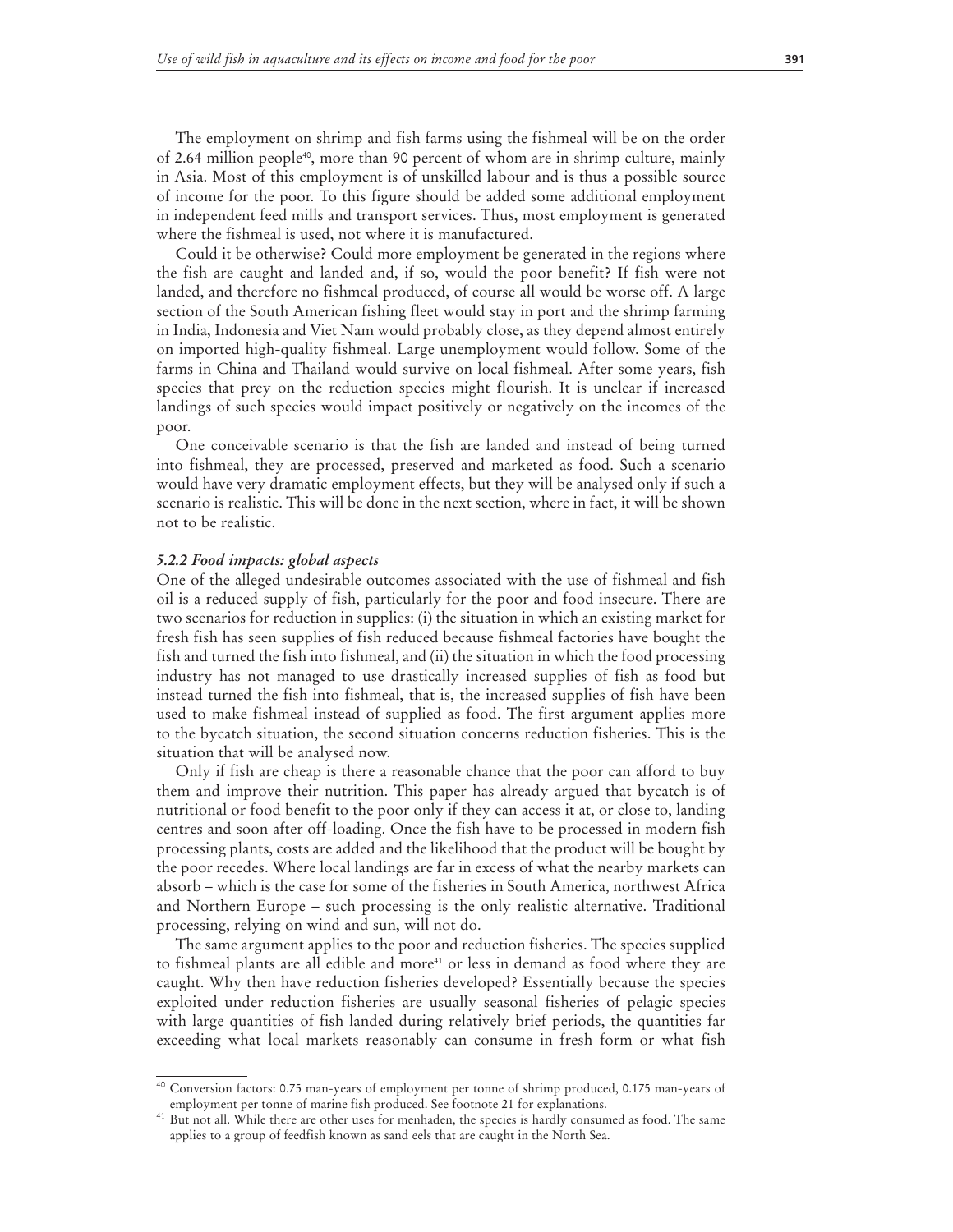The employment on shrimp and fish farms using the fishmeal will be on the order of 2.64 million people<sup>40</sup>, more than 90 percent of whom are in shrimp culture, mainly in Asia. Most of this employment is of unskilled labour and is thus a possible source of income for the poor. To this figure should be added some additional employment in independent feed mills and transport services. Thus, most employment is generated where the fishmeal is used, not where it is manufactured.

Could it be otherwise? Could more employment be generated in the regions where the fish are caught and landed and, if so, would the poor benefit? If fish were not landed, and therefore no fishmeal produced, of course all would be worse off. A large section of the South American fishing fleet would stay in port and the shrimp farming in India, Indonesia and Viet Nam would probably close, as they depend almost entirely on imported high-quality fishmeal. Large unemployment would follow. Some of the farms in China and Thailand would survive on local fishmeal. After some years, fish species that prey on the reduction species might flourish. It is unclear if increased landings of such species would impact positively or negatively on the incomes of the poor.

One conceivable scenario is that the fish are landed and instead of being turned into fishmeal, they are processed, preserved and marketed as food. Such a scenario would have very dramatic employment effects, but they will be analysed only if such a scenario is realistic. This will be done in the next section, where in fact, it will be shown not to be realistic.

#### *5.2.2 Food impacts: global aspects*

One of the alleged undesirable outcomes associated with the use of fishmeal and fish oil is a reduced supply of fish, particularly for the poor and food insecure. There are two scenarios for reduction in supplies: (i) the situation in which an existing market for fresh fish has seen supplies of fish reduced because fishmeal factories have bought the fish and turned the fish into fishmeal, and (ii) the situation in which the food processing industry has not managed to use drastically increased supplies of fish as food but instead turned the fish into fishmeal, that is, the increased supplies of fish have been used to make fishmeal instead of supplied as food. The first argument applies more to the bycatch situation, the second situation concerns reduction fisheries. This is the situation that will be analysed now.

Only if fish are cheap is there a reasonable chance that the poor can afford to buy them and improve their nutrition. This paper has already argued that bycatch is of nutritional or food benefit to the poor only if they can access it at, or close to, landing centres and soon after off-loading. Once the fish have to be processed in modern fish processing plants, costs are added and the likelihood that the product will be bought by the poor recedes. Where local landings are far in excess of what the nearby markets can absorb – which is the case for some of the fisheries in South America, northwest Africa and Northern Europe – such processing is the only realistic alternative. Traditional processing, relying on wind and sun, will not do.

The same argument applies to the poor and reduction fisheries. The species supplied to fishmeal plants are all edible and more<sup>41</sup> or less in demand as food where they are caught. Why then have reduction fisheries developed? Essentially because the species exploited under reduction fisheries are usually seasonal fisheries of pelagic species with large quantities of fish landed during relatively brief periods, the quantities far exceeding what local markets reasonably can consume in fresh form or what fish

<sup>40</sup> Conversion factors: 0.75 man-years of employment per tonne of shrimp produced, 0.175 man-years of employment per tonne of marine fish produced. See footnote 21 for explanations.

<sup>&</sup>lt;sup>41</sup> But not all. While there are other uses for menhaden, the species is hardly consumed as food. The same applies to a group of feedfish known as sand eels that are caught in the North Sea.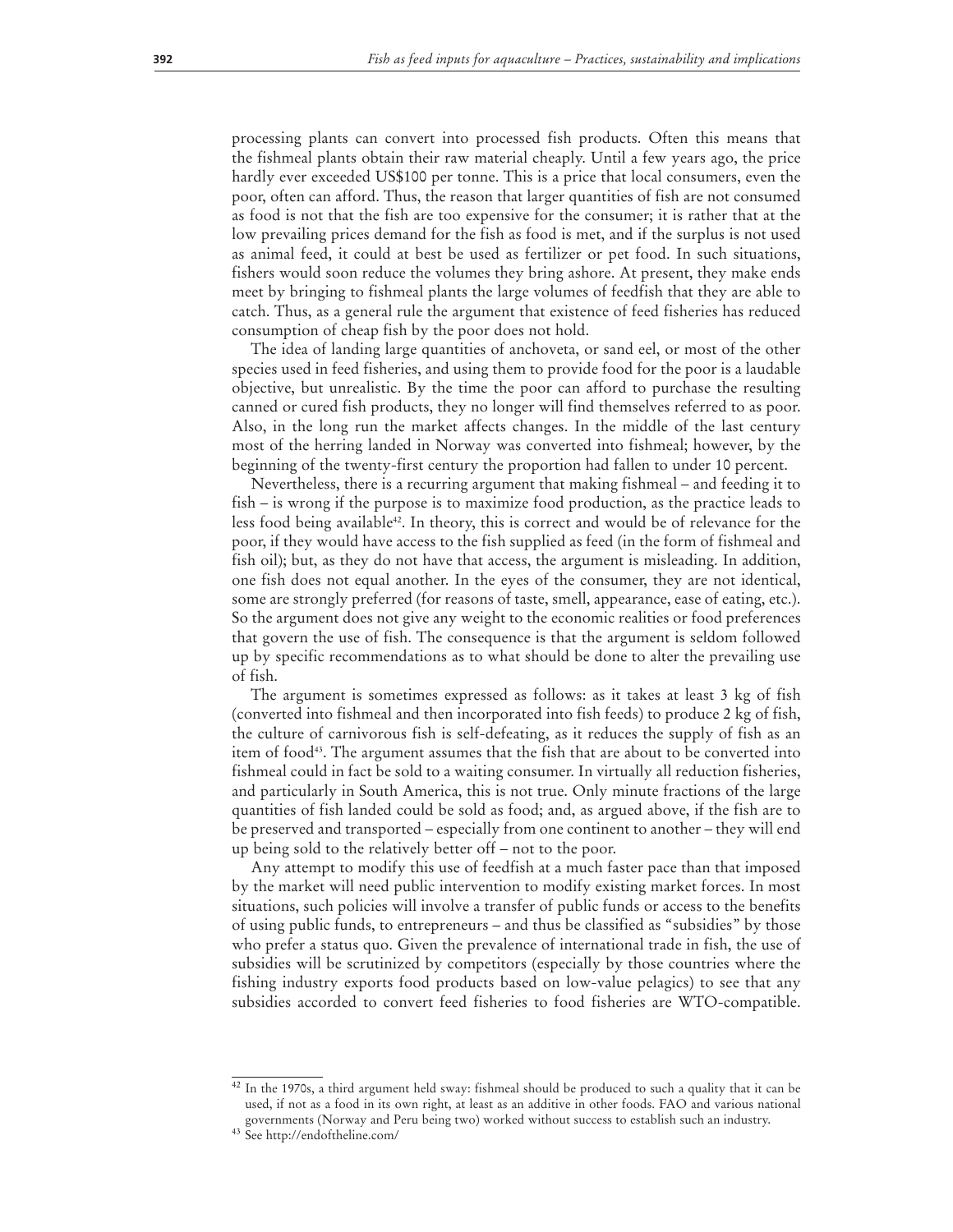processing plants can convert into processed fish products. Often this means that the fishmeal plants obtain their raw material cheaply. Until a few years ago, the price hardly ever exceeded US\$100 per tonne. This is a price that local consumers, even the poor, often can afford. Thus, the reason that larger quantities of fish are not consumed as food is not that the fish are too expensive for the consumer; it is rather that at the low prevailing prices demand for the fish as food is met, and if the surplus is not used as animal feed, it could at best be used as fertilizer or pet food. In such situations, fishers would soon reduce the volumes they bring ashore. At present, they make ends meet by bringing to fishmeal plants the large volumes of feedfish that they are able to catch. Thus, as a general rule the argument that existence of feed fisheries has reduced consumption of cheap fish by the poor does not hold.

The idea of landing large quantities of anchoveta, or sand eel, or most of the other species used in feed fisheries, and using them to provide food for the poor is a laudable objective, but unrealistic. By the time the poor can afford to purchase the resulting canned or cured fish products, they no longer will find themselves referred to as poor. Also, in the long run the market affects changes. In the middle of the last century most of the herring landed in Norway was converted into fishmeal; however, by the beginning of the twenty-first century the proportion had fallen to under 10 percent.

Nevertheless, there is a recurring argument that making fishmeal – and feeding it to fish – is wrong if the purpose is to maximize food production, as the practice leads to less food being available<sup>42</sup>. In theory, this is correct and would be of relevance for the poor, if they would have access to the fish supplied as feed (in the form of fishmeal and fish oil); but, as they do not have that access, the argument is misleading. In addition, one fish does not equal another. In the eyes of the consumer, they are not identical, some are strongly preferred (for reasons of taste, smell, appearance, ease of eating, etc.). So the argument does not give any weight to the economic realities or food preferences that govern the use of fish. The consequence is that the argument is seldom followed up by specific recommendations as to what should be done to alter the prevailing use of fish.

The argument is sometimes expressed as follows: as it takes at least 3 kg of fish (converted into fishmeal and then incorporated into fish feeds) to produce 2 kg of fish, the culture of carnivorous fish is self-defeating, as it reduces the supply of fish as an item of food<sup>43</sup>. The argument assumes that the fish that are about to be converted into fishmeal could in fact be sold to a waiting consumer. In virtually all reduction fisheries, and particularly in South America, this is not true. Only minute fractions of the large quantities of fish landed could be sold as food; and, as argued above, if the fish are to be preserved and transported – especially from one continent to another – they will end up being sold to the relatively better off – not to the poor.

Any attempt to modify this use of feedfish at a much faster pace than that imposed by the market will need public intervention to modify existing market forces. In most situations, such policies will involve a transfer of public funds or access to the benefits of using public funds, to entrepreneurs – and thus be classified as "subsidies" by those who prefer a status quo. Given the prevalence of international trade in fish, the use of subsidies will be scrutinized by competitors (especially by those countries where the fishing industry exports food products based on low-value pelagics) to see that any subsidies accorded to convert feed fisheries to food fisheries are WTO-compatible.

 $42$  In the 1970s, a third argument held sway: fishmeal should be produced to such a quality that it can be used, if not as a food in its own right, at least as an additive in other foods. FAO and various national governments (Norway and Peru being two) worked without success to establish such an industry. 43 See http://endoftheline.com/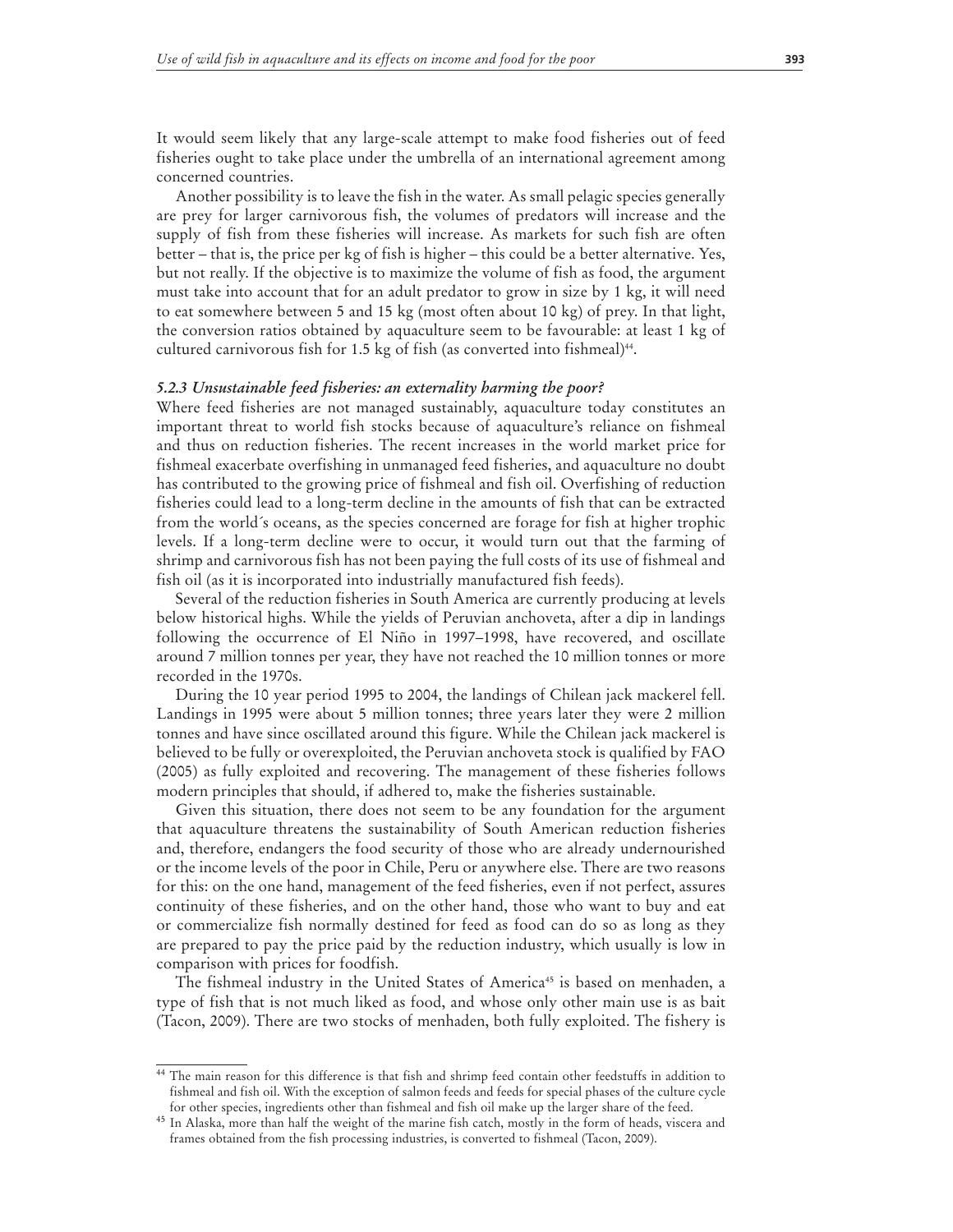It would seem likely that any large-scale attempt to make food fisheries out of feed fisheries ought to take place under the umbrella of an international agreement among concerned countries.

Another possibility is to leave the fish in the water. As small pelagic species generally are prey for larger carnivorous fish, the volumes of predators will increase and the supply of fish from these fisheries will increase. As markets for such fish are often better – that is, the price per kg of fish is higher – this could be a better alternative. Yes, but not really. If the objective is to maximize the volume of fish as food, the argument must take into account that for an adult predator to grow in size by 1 kg, it will need to eat somewhere between 5 and 15 kg (most often about 10 kg) of prey. In that light, the conversion ratios obtained by aquaculture seem to be favourable: at least 1 kg of cultured carnivorous fish for 1.5 kg of fish (as converted into fishmeal) $44$ .

#### *5.2.3 Unsustainable feed fisheries: an externality harming the poor?*

Where feed fisheries are not managed sustainably, aquaculture today constitutes an important threat to world fish stocks because of aquaculture's reliance on fishmeal and thus on reduction fisheries. The recent increases in the world market price for fishmeal exacerbate overfishing in unmanaged feed fisheries, and aquaculture no doubt has contributed to the growing price of fishmeal and fish oil. Overfishing of reduction fisheries could lead to a long-term decline in the amounts of fish that can be extracted from the world´s oceans, as the species concerned are forage for fish at higher trophic levels. If a long-term decline were to occur, it would turn out that the farming of shrimp and carnivorous fish has not been paying the full costs of its use of fishmeal and fish oil (as it is incorporated into industrially manufactured fish feeds).

Several of the reduction fisheries in South America are currently producing at levels below historical highs. While the yields of Peruvian anchoveta, after a dip in landings following the occurrence of El Niño in 1997–1998, have recovered, and oscillate around 7 million tonnes per year, they have not reached the 10 million tonnes or more recorded in the 1970s.

During the 10 year period 1995 to 2004, the landings of Chilean jack mackerel fell. Landings in 1995 were about 5 million tonnes; three years later they were 2 million tonnes and have since oscillated around this figure. While the Chilean jack mackerel is believed to be fully or overexploited, the Peruvian anchoveta stock is qualified by FAO (2005) as fully exploited and recovering. The management of these fisheries follows modern principles that should, if adhered to, make the fisheries sustainable.

Given this situation, there does not seem to be any foundation for the argument that aquaculture threatens the sustainability of South American reduction fisheries and, therefore, endangers the food security of those who are already undernourished or the income levels of the poor in Chile, Peru or anywhere else. There are two reasons for this: on the one hand, management of the feed fisheries, even if not perfect, assures continuity of these fisheries, and on the other hand, those who want to buy and eat or commercialize fish normally destined for feed as food can do so as long as they are prepared to pay the price paid by the reduction industry, which usually is low in comparison with prices for foodfish.

The fishmeal industry in the United States of America<sup>45</sup> is based on menhaden, a type of fish that is not much liked as food, and whose only other main use is as bait (Tacon, 2009). There are two stocks of menhaden, both fully exploited. The fishery is

<sup>44</sup> The main reason for this difference is that fish and shrimp feed contain other feedstuffs in addition to fishmeal and fish oil. With the exception of salmon feeds and feeds for special phases of the culture cycle for other species, ingredients other than fishmeal and fish oil make up the larger share of the feed.

<sup>45</sup> In Alaska, more than half the weight of the marine fish catch, mostly in the form of heads, viscera and frames obtained from the fish processing industries, is converted to fishmeal (Tacon, 2009).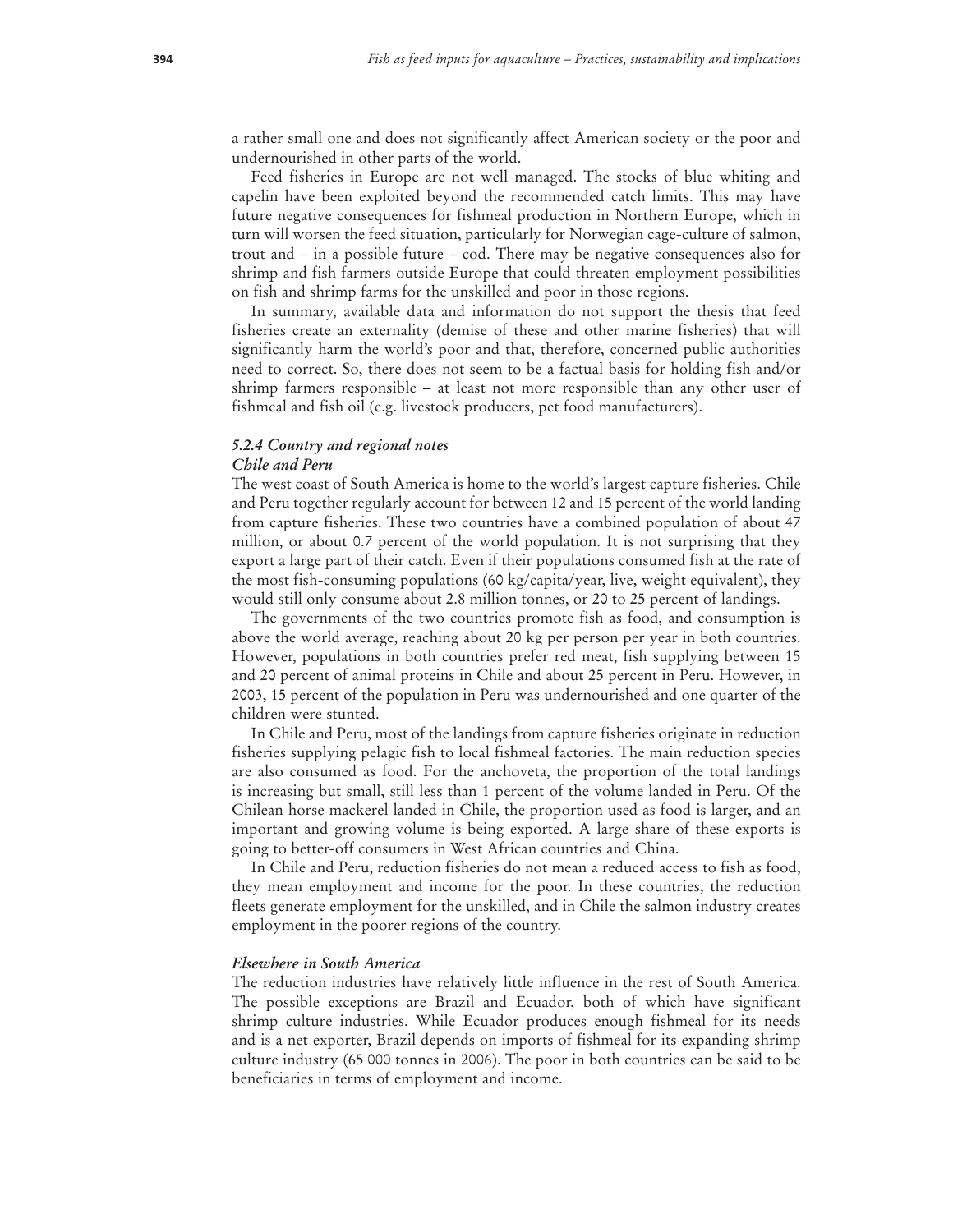a rather small one and does not significantly affect American society or the poor and undernourished in other parts of the world.

Feed fisheries in Europe are not well managed. The stocks of blue whiting and capelin have been exploited beyond the recommended catch limits. This may have future negative consequences for fishmeal production in Northern Europe, which in turn will worsen the feed situation, particularly for Norwegian cage-culture of salmon, trout and – in a possible future – cod. There may be negative consequences also for shrimp and fish farmers outside Europe that could threaten employment possibilities on fish and shrimp farms for the unskilled and poor in those regions.

In summary, available data and information do not support the thesis that feed fisheries create an externality (demise of these and other marine fisheries) that will significantly harm the world's poor and that, therefore, concerned public authorities need to correct. So, there does not seem to be a factual basis for holding fish and/or shrimp farmers responsible – at least not more responsible than any other user of fishmeal and fish oil (e.g. livestock producers, pet food manufacturers).

# *5.2.4 Country and regional notes*

#### *Chile and Peru*

The west coast of South America is home to the world's largest capture fisheries. Chile and Peru together regularly account for between 12 and 15 percent of the world landing from capture fisheries. These two countries have a combined population of about 47 million, or about 0.7 percent of the world population. It is not surprising that they export a large part of their catch. Even if their populations consumed fish at the rate of the most fish-consuming populations (60 kg/capita/year, live, weight equivalent), they would still only consume about 2.8 million tonnes, or 20 to 25 percent of landings.

The governments of the two countries promote fish as food, and consumption is above the world average, reaching about 20 kg per person per year in both countries. However, populations in both countries prefer red meat, fish supplying between 15 and 20 percent of animal proteins in Chile and about 25 percent in Peru. However, in 2003, 15 percent of the population in Peru was undernourished and one quarter of the children were stunted.

In Chile and Peru, most of the landings from capture fisheries originate in reduction fisheries supplying pelagic fish to local fishmeal factories. The main reduction species are also consumed as food. For the anchoveta, the proportion of the total landings is increasing but small, still less than 1 percent of the volume landed in Peru. Of the Chilean horse mackerel landed in Chile, the proportion used as food is larger, and an important and growing volume is being exported. A large share of these exports is going to better-off consumers in West African countries and China.

In Chile and Peru, reduction fisheries do not mean a reduced access to fish as food, they mean employment and income for the poor. In these countries, the reduction fleets generate employment for the unskilled, and in Chile the salmon industry creates employment in the poorer regions of the country.

#### *Elsewhere in South America*

The reduction industries have relatively little influence in the rest of South America. The possible exceptions are Brazil and Ecuador, both of which have significant shrimp culture industries. While Ecuador produces enough fishmeal for its needs and is a net exporter, Brazil depends on imports of fishmeal for its expanding shrimp culture industry (65 000 tonnes in 2006). The poor in both countries can be said to be beneficiaries in terms of employment and income.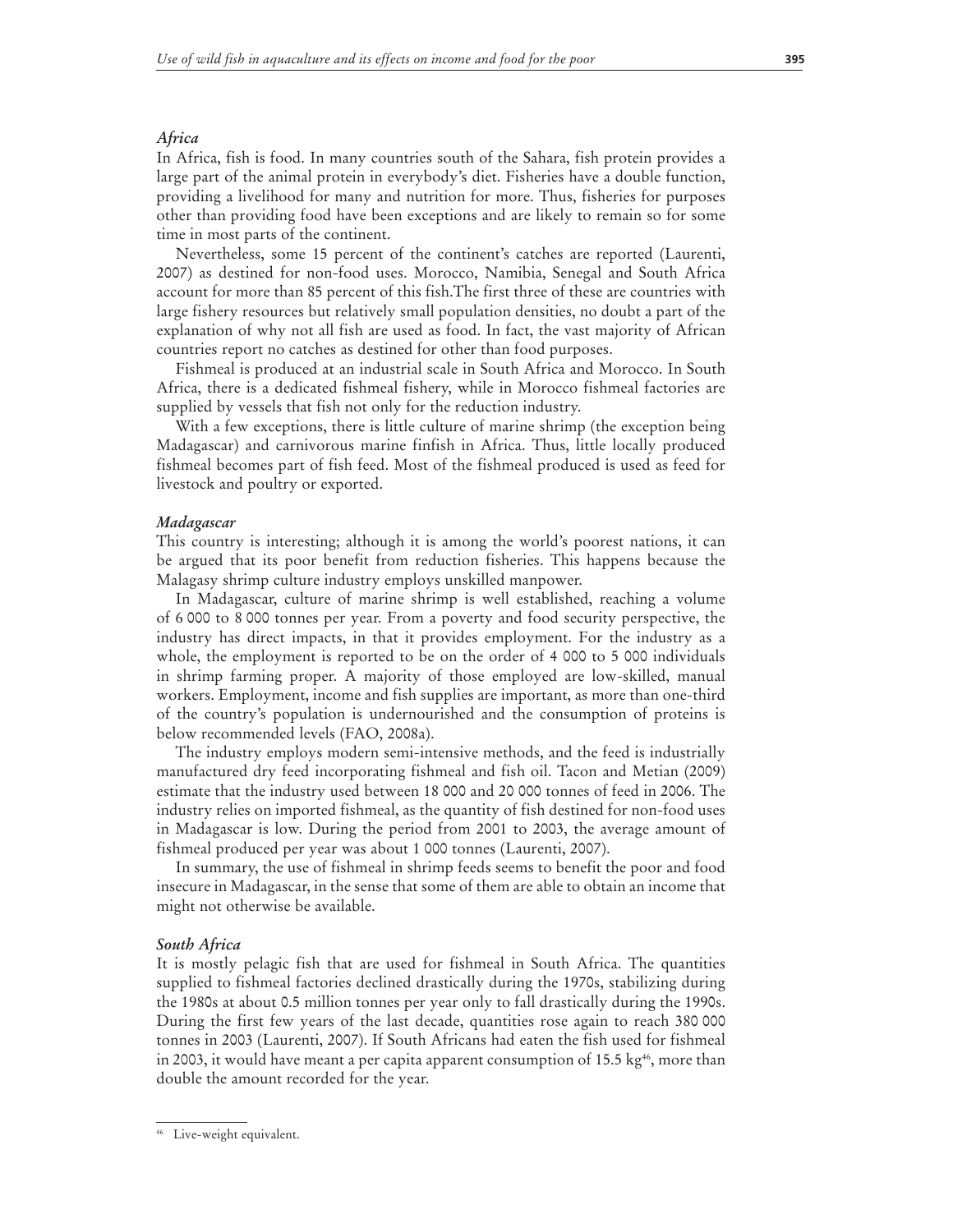#### *Africa*

In Africa, fish is food. In many countries south of the Sahara, fish protein provides a large part of the animal protein in everybody's diet. Fisheries have a double function, providing a livelihood for many and nutrition for more. Thus, fisheries for purposes other than providing food have been exceptions and are likely to remain so for some time in most parts of the continent.

Nevertheless, some 15 percent of the continent's catches are reported (Laurenti, 2007) as destined for non-food uses. Morocco, Namibia, Senegal and South Africa account for more than 85 percent of this fish.The first three of these are countries with large fishery resources but relatively small population densities, no doubt a part of the explanation of why not all fish are used as food. In fact, the vast majority of African countries report no catches as destined for other than food purposes.

Fishmeal is produced at an industrial scale in South Africa and Morocco. In South Africa, there is a dedicated fishmeal fishery, while in Morocco fishmeal factories are supplied by vessels that fish not only for the reduction industry.

With a few exceptions, there is little culture of marine shrimp (the exception being Madagascar) and carnivorous marine finfish in Africa. Thus, little locally produced fishmeal becomes part of fish feed. Most of the fishmeal produced is used as feed for livestock and poultry or exported.

#### *Madagascar*

This country is interesting; although it is among the world's poorest nations, it can be argued that its poor benefit from reduction fisheries. This happens because the Malagasy shrimp culture industry employs unskilled manpower.

In Madagascar, culture of marine shrimp is well established, reaching a volume of 6 000 to 8 000 tonnes per year. From a poverty and food security perspective, the industry has direct impacts, in that it provides employment. For the industry as a whole, the employment is reported to be on the order of 4 000 to 5 000 individuals in shrimp farming proper. A majority of those employed are low-skilled, manual workers. Employment, income and fish supplies are important, as more than one-third of the country's population is undernourished and the consumption of proteins is below recommended levels (FAO, 2008a).

The industry employs modern semi-intensive methods, and the feed is industrially manufactured dry feed incorporating fishmeal and fish oil. Tacon and Metian (2009) estimate that the industry used between 18 000 and 20 000 tonnes of feed in 2006. The industry relies on imported fishmeal, as the quantity of fish destined for non-food uses in Madagascar is low. During the period from 2001 to 2003, the average amount of fishmeal produced per year was about 1 000 tonnes (Laurenti, 2007).

In summary, the use of fishmeal in shrimp feeds seems to benefit the poor and food insecure in Madagascar, in the sense that some of them are able to obtain an income that might not otherwise be available.

#### *South Africa*

It is mostly pelagic fish that are used for fishmeal in South Africa. The quantities supplied to fishmeal factories declined drastically during the 1970s, stabilizing during the 1980s at about 0.5 million tonnes per year only to fall drastically during the 1990s. During the first few years of the last decade, quantities rose again to reach 380 000 tonnes in 2003 (Laurenti, 2007). If South Africans had eaten the fish used for fishmeal in 2003, it would have meant a per capita apparent consumption of 15.5 kg<sup>46</sup>, more than double the amount recorded for the year.

<sup>46</sup> Live-weight equivalent.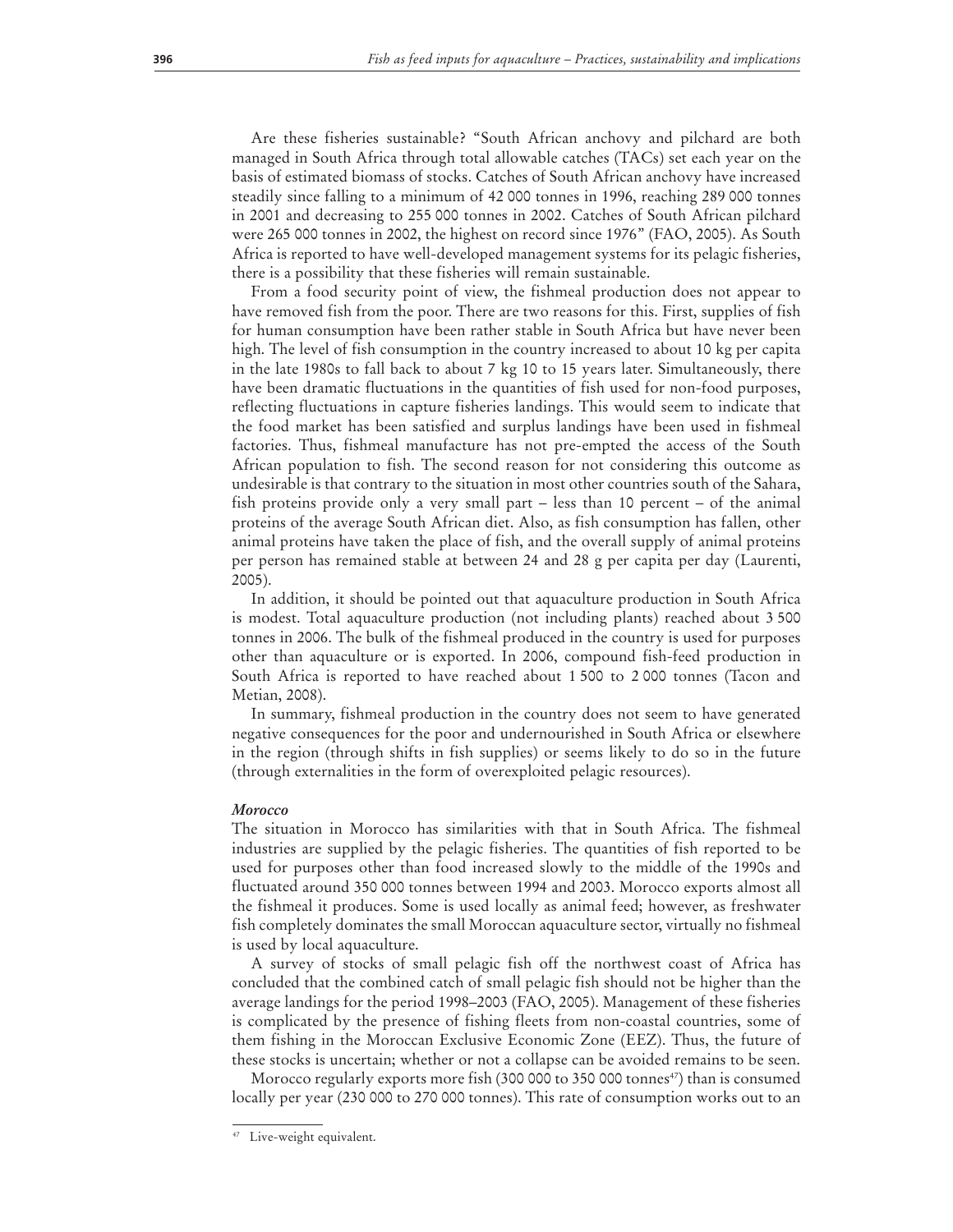Are these fisheries sustainable? "South African anchovy and pilchard are both managed in South Africa through total allowable catches (TACs) set each year on the basis of estimated biomass of stocks. Catches of South African anchovy have increased steadily since falling to a minimum of 42 000 tonnes in 1996, reaching 289 000 tonnes in 2001 and decreasing to 255 000 tonnes in 2002. Catches of South African pilchard were 265 000 tonnes in 2002, the highest on record since 1976" (FAO, 2005). As South Africa is reported to have well-developed management systems for its pelagic fisheries, there is a possibility that these fisheries will remain sustainable.

From a food security point of view, the fishmeal production does not appear to have removed fish from the poor. There are two reasons for this. First, supplies of fish for human consumption have been rather stable in South Africa but have never been high. The level of fish consumption in the country increased to about 10 kg per capita in the late 1980s to fall back to about 7 kg 10 to 15 years later. Simultaneously, there have been dramatic fluctuations in the quantities of fish used for non-food purposes, reflecting fluctuations in capture fisheries landings. This would seem to indicate that the food market has been satisfied and surplus landings have been used in fishmeal factories. Thus, fishmeal manufacture has not pre-empted the access of the South African population to fish. The second reason for not considering this outcome as undesirable is that contrary to the situation in most other countries south of the Sahara, fish proteins provide only a very small part – less than 10 percent – of the animal proteins of the average South African diet. Also, as fish consumption has fallen, other animal proteins have taken the place of fish, and the overall supply of animal proteins per person has remained stable at between 24 and 28 g per capita per day (Laurenti, 2005).

In addition, it should be pointed out that aquaculture production in South Africa is modest. Total aquaculture production (not including plants) reached about 3 500 tonnes in 2006. The bulk of the fishmeal produced in the country is used for purposes other than aquaculture or is exported. In 2006, compound fish-feed production in South Africa is reported to have reached about 1 500 to 2 000 tonnes (Tacon and Metian, 2008).

In summary, fishmeal production in the country does not seem to have generated negative consequences for the poor and undernourished in South Africa or elsewhere in the region (through shifts in fish supplies) or seems likely to do so in the future (through externalities in the form of overexploited pelagic resources).

#### *Morocco*

The situation in Morocco has similarities with that in South Africa. The fishmeal industries are supplied by the pelagic fisheries. The quantities of fish reported to be used for purposes other than food increased slowly to the middle of the 1990s and fluctuated around 350 000 tonnes between 1994 and 2003. Morocco exports almost all the fishmeal it produces. Some is used locally as animal feed; however, as freshwater fish completely dominates the small Moroccan aquaculture sector, virtually no fishmeal is used by local aquaculture.

A survey of stocks of small pelagic fish off the northwest coast of Africa has concluded that the combined catch of small pelagic fish should not be higher than the average landings for the period 1998–2003 (FAO, 2005). Management of these fisheries is complicated by the presence of fishing fleets from non-coastal countries, some of them fishing in the Moroccan Exclusive Economic Zone (EEZ). Thus, the future of these stocks is uncertain; whether or not a collapse can be avoided remains to be seen.

Morocco regularly exports more fish (300 000 to 350 000 tonnes<sup>47</sup>) than is consumed locally per year (230 000 to 270 000 tonnes). This rate of consumption works out to an

<sup>47</sup> Live-weight equivalent.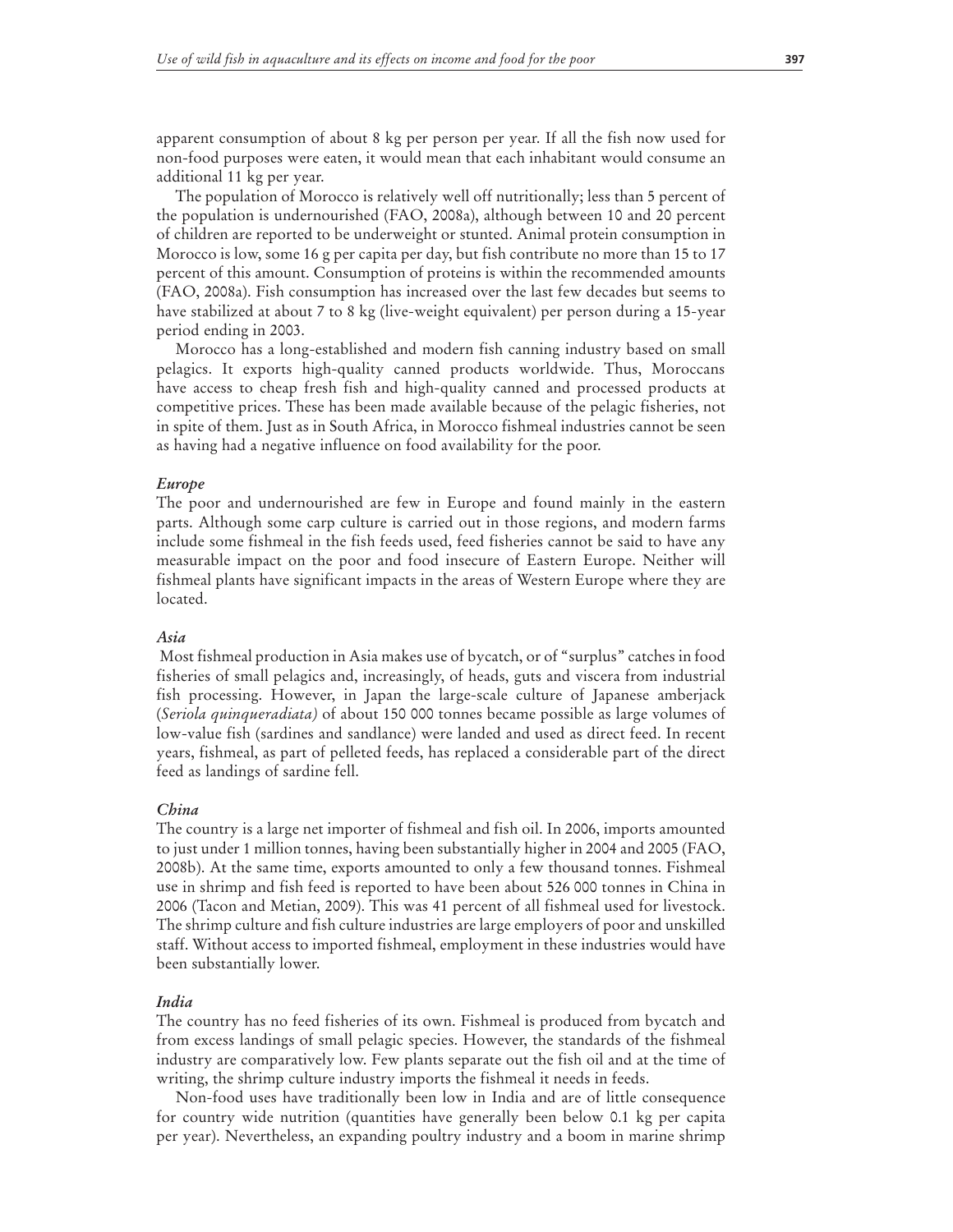apparent consumption of about 8 kg per person per year. If all the fish now used for non-food purposes were eaten, it would mean that each inhabitant would consume an additional 11 kg per year.

The population of Morocco is relatively well off nutritionally; less than 5 percent of the population is undernourished (FAO, 2008a), although between 10 and 20 percent of children are reported to be underweight or stunted. Animal protein consumption in Morocco is low, some 16 g per capita per day, but fish contribute no more than 15 to 17 percent of this amount. Consumption of proteins is within the recommended amounts (FAO, 2008a). Fish consumption has increased over the last few decades but seems to have stabilized at about 7 to 8 kg (live-weight equivalent) per person during a 15-year period ending in 2003.

Morocco has a long-established and modern fish canning industry based on small pelagics. It exports high-quality canned products worldwide. Thus, Moroccans have access to cheap fresh fish and high-quality canned and processed products at competitive prices. These has been made available because of the pelagic fisheries, not in spite of them. Just as in South Africa, in Morocco fishmeal industries cannot be seen as having had a negative influence on food availability for the poor.

#### *Europe*

The poor and undernourished are few in Europe and found mainly in the eastern parts. Although some carp culture is carried out in those regions, and modern farms include some fishmeal in the fish feeds used, feed fisheries cannot be said to have any measurable impact on the poor and food insecure of Eastern Europe. Neither will fishmeal plants have significant impacts in the areas of Western Europe where they are located.

#### *Asia*

 Most fishmeal production in Asia makes use of bycatch, or of "surplus" catches in food fisheries of small pelagics and, increasingly, of heads, guts and viscera from industrial fish processing. However, in Japan the large-scale culture of Japanese amberjack (*Seriola quinqueradiata)* of about 150 000 tonnes became possible as large volumes of low-value fish (sardines and sandlance) were landed and used as direct feed. In recent years, fishmeal, as part of pelleted feeds, has replaced a considerable part of the direct feed as landings of sardine fell.

#### *China*

The country is a large net importer of fishmeal and fish oil. In 2006, imports amounted to just under 1 million tonnes, having been substantially higher in 2004 and 2005 (FAO, 2008b). At the same time, exports amounted to only a few thousand tonnes. Fishmeal use in shrimp and fish feed is reported to have been about 526 000 tonnes in China in 2006 (Tacon and Metian, 2009). This was 41 percent of all fishmeal used for livestock. The shrimp culture and fish culture industries are large employers of poor and unskilled staff. Without access to imported fishmeal, employment in these industries would have been substantially lower.

#### *India*

The country has no feed fisheries of its own. Fishmeal is produced from bycatch and from excess landings of small pelagic species. However, the standards of the fishmeal industry are comparatively low. Few plants separate out the fish oil and at the time of writing, the shrimp culture industry imports the fishmeal it needs in feeds.

Non-food uses have traditionally been low in India and are of little consequence for country wide nutrition (quantities have generally been below 0.1 kg per capita per year). Nevertheless, an expanding poultry industry and a boom in marine shrimp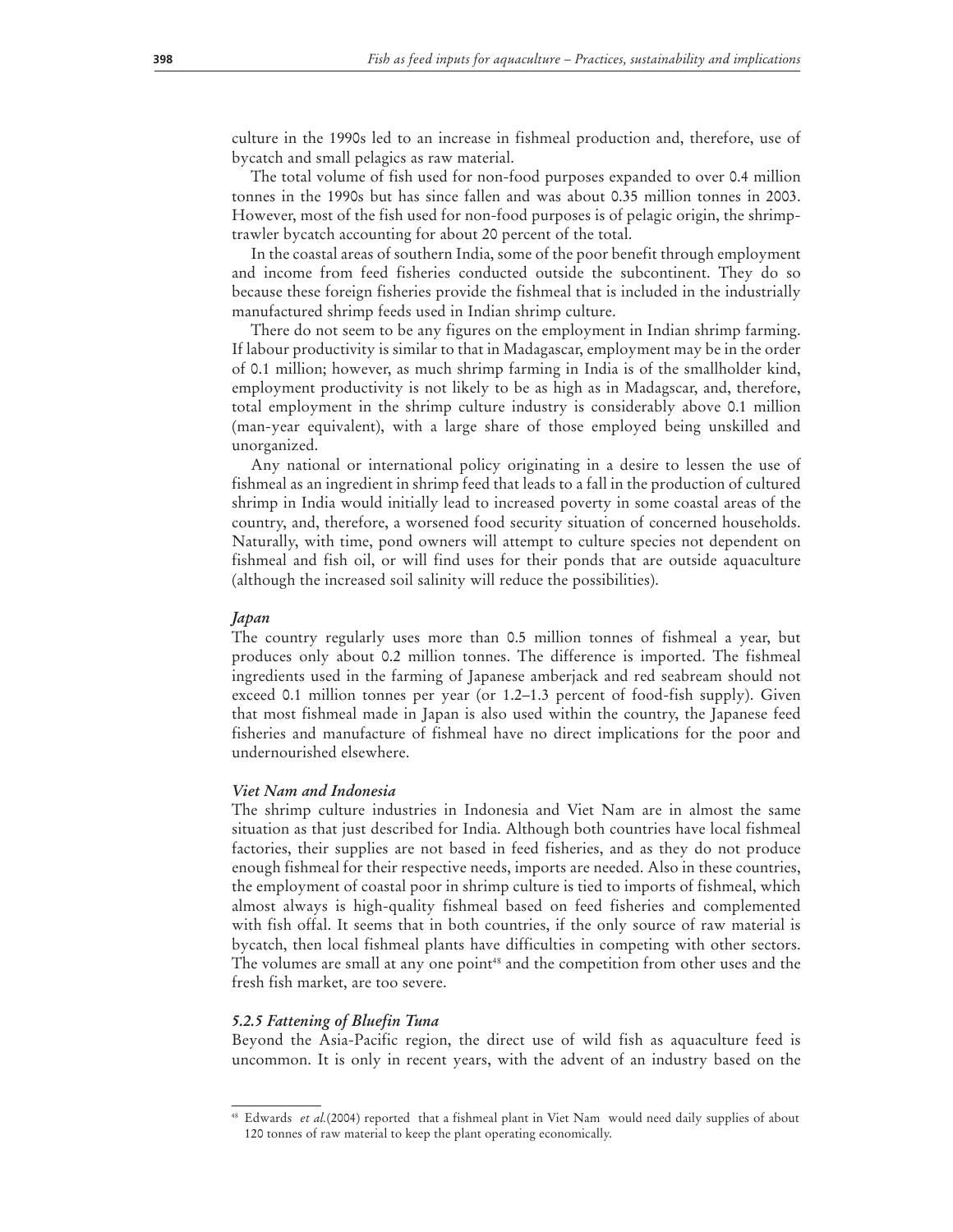culture in the 1990s led to an increase in fishmeal production and, therefore, use of bycatch and small pelagics as raw material.

The total volume of fish used for non-food purposes expanded to over 0.4 million tonnes in the 1990s but has since fallen and was about 0.35 million tonnes in 2003. However, most of the fish used for non-food purposes is of pelagic origin, the shrimptrawler bycatch accounting for about 20 percent of the total.

In the coastal areas of southern India, some of the poor benefit through employment and income from feed fisheries conducted outside the subcontinent. They do so because these foreign fisheries provide the fishmeal that is included in the industrially manufactured shrimp feeds used in Indian shrimp culture.

There do not seem to be any figures on the employment in Indian shrimp farming. If labour productivity is similar to that in Madagascar, employment may be in the order of 0.1 million; however, as much shrimp farming in India is of the smallholder kind, employment productivity is not likely to be as high as in Madagscar, and, therefore, total employment in the shrimp culture industry is considerably above 0.1 million (man-year equivalent), with a large share of those employed being unskilled and unorganized.

Any national or international policy originating in a desire to lessen the use of fishmeal as an ingredient in shrimp feed that leads to a fall in the production of cultured shrimp in India would initially lead to increased poverty in some coastal areas of the country, and, therefore, a worsened food security situation of concerned households. Naturally, with time, pond owners will attempt to culture species not dependent on fishmeal and fish oil, or will find uses for their ponds that are outside aquaculture (although the increased soil salinity will reduce the possibilities).

#### *Japan*

The country regularly uses more than 0.5 million tonnes of fishmeal a year, but produces only about 0.2 million tonnes. The difference is imported. The fishmeal ingredients used in the farming of Japanese amberjack and red seabream should not exceed 0.1 million tonnes per year (or 1.2–1.3 percent of food-fish supply). Given that most fishmeal made in Japan is also used within the country, the Japanese feed fisheries and manufacture of fishmeal have no direct implications for the poor and undernourished elsewhere.

#### *Viet Nam and Indonesia*

The shrimp culture industries in Indonesia and Viet Nam are in almost the same situation as that just described for India. Although both countries have local fishmeal factories, their supplies are not based in feed fisheries, and as they do not produce enough fishmeal for their respective needs, imports are needed. Also in these countries, the employment of coastal poor in shrimp culture is tied to imports of fishmeal, which almost always is high-quality fishmeal based on feed fisheries and complemented with fish offal. It seems that in both countries, if the only source of raw material is bycatch, then local fishmeal plants have difficulties in competing with other sectors. The volumes are small at any one point<sup>48</sup> and the competition from other uses and the fresh fish market, are too severe.

#### *5.2.5 Fattening of Bluefin Tuna*

Beyond the Asia-Pacific region, the direct use of wild fish as aquaculture feed is uncommon. It is only in recent years, with the advent of an industry based on the

<sup>48</sup> Edwards *et al.*(2004) reported that a fishmeal plant in Viet Nam would need daily supplies of about 120 tonnes of raw material to keep the plant operating economically.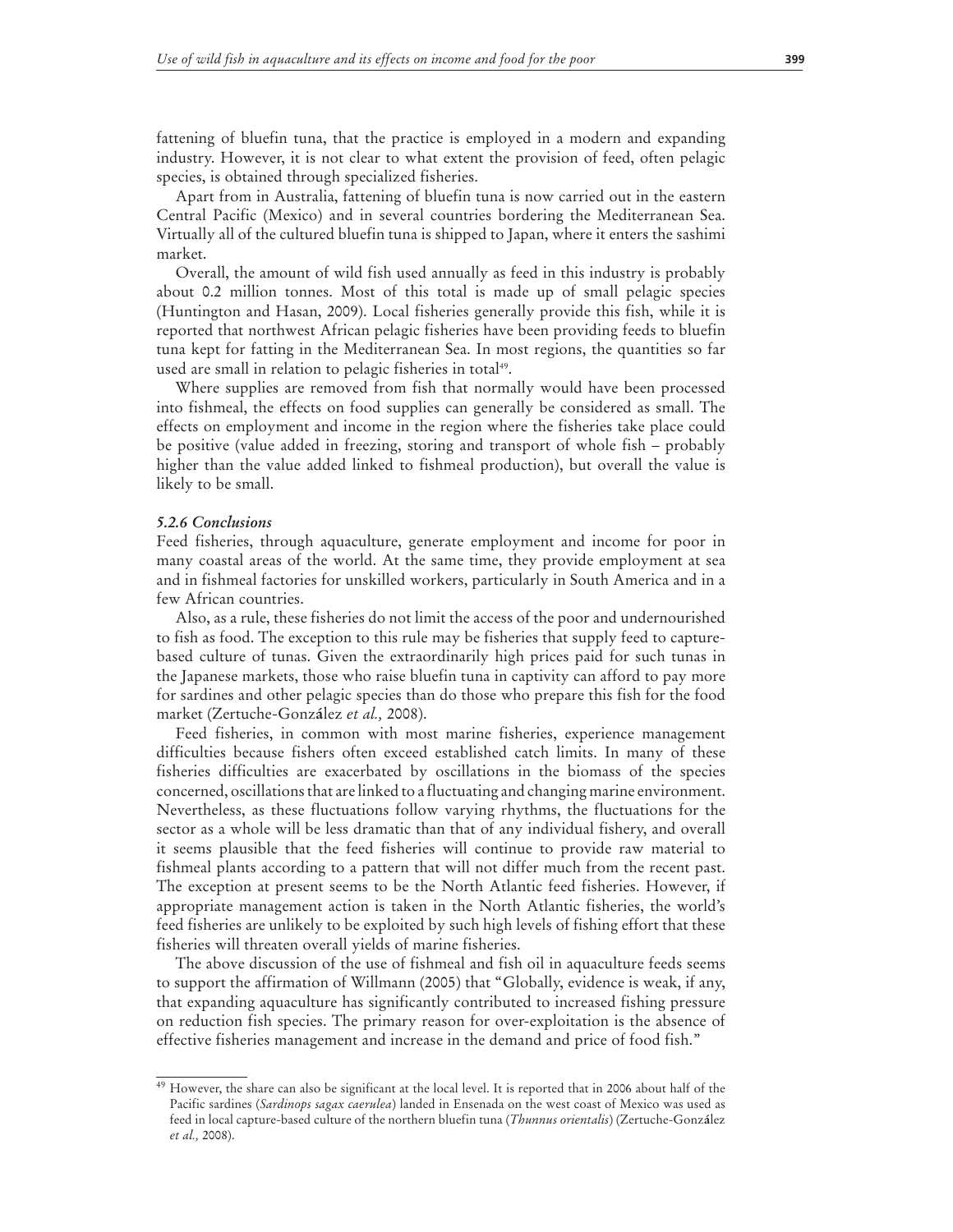fattening of bluefin tuna, that the practice is employed in a modern and expanding industry. However, it is not clear to what extent the provision of feed, often pelagic species, is obtained through specialized fisheries.

Apart from in Australia, fattening of bluefin tuna is now carried out in the eastern Central Pacific (Mexico) and in several countries bordering the Mediterranean Sea. Virtually all of the cultured bluefin tuna is shipped to Japan, where it enters the sashimi market.

Overall, the amount of wild fish used annually as feed in this industry is probably about 0.2 million tonnes. Most of this total is made up of small pelagic species (Huntington and Hasan, 2009). Local fisheries generally provide this fish, while it is reported that northwest African pelagic fisheries have been providing feeds to bluefin tuna kept for fatting in the Mediterranean Sea. In most regions, the quantities so far used are small in relation to pelagic fisheries in total<sup>49</sup>.

Where supplies are removed from fish that normally would have been processed into fishmeal, the effects on food supplies can generally be considered as small. The effects on employment and income in the region where the fisheries take place could be positive (value added in freezing, storing and transport of whole fish – probably higher than the value added linked to fishmeal production), but overall the value is likely to be small.

#### *5.2.6 Conclusions*

Feed fisheries, through aquaculture, generate employment and income for poor in many coastal areas of the world. At the same time, they provide employment at sea and in fishmeal factories for unskilled workers, particularly in South America and in a few African countries.

Also, as a rule, these fisheries do not limit the access of the poor and undernourished to fish as food. The exception to this rule may be fisheries that supply feed to capturebased culture of tunas. Given the extraordinarily high prices paid for such tunas in the Japanese markets, those who raise bluefin tuna in captivity can afford to pay more for sardines and other pelagic species than do those who prepare this fish for the food market (Zertuche-Gonz**á**lez *et al.,* 2008).

Feed fisheries, in common with most marine fisheries, experience management difficulties because fishers often exceed established catch limits. In many of these fisheries difficulties are exacerbated by oscillations in the biomass of the species concerned, oscillations that are linked to a fluctuating and changing marine environment. Nevertheless, as these fluctuations follow varying rhythms, the fluctuations for the sector as a whole will be less dramatic than that of any individual fishery, and overall it seems plausible that the feed fisheries will continue to provide raw material to fishmeal plants according to a pattern that will not differ much from the recent past. The exception at present seems to be the North Atlantic feed fisheries. However, if appropriate management action is taken in the North Atlantic fisheries, the world's feed fisheries are unlikely to be exploited by such high levels of fishing effort that these fisheries will threaten overall yields of marine fisheries.

The above discussion of the use of fishmeal and fish oil in aquaculture feeds seems to support the affirmation of Willmann (2005) that "Globally, evidence is weak, if any, that expanding aquaculture has significantly contributed to increased fishing pressure on reduction fish species. The primary reason for over-exploitation is the absence of effective fisheries management and increase in the demand and price of food fish."

<sup>&</sup>lt;sup>49</sup> However, the share can also be significant at the local level. It is reported that in 2006 about half of the Pacific sardines (*Sardinops sagax caerulea*) landed in Ensenada on the west coast of Mexico was used as feed in local capture-based culture of the northern bluefin tuna (*Thunnus orientalis*) (Zertuche-Gonz**á**lez *et al.,* 2008).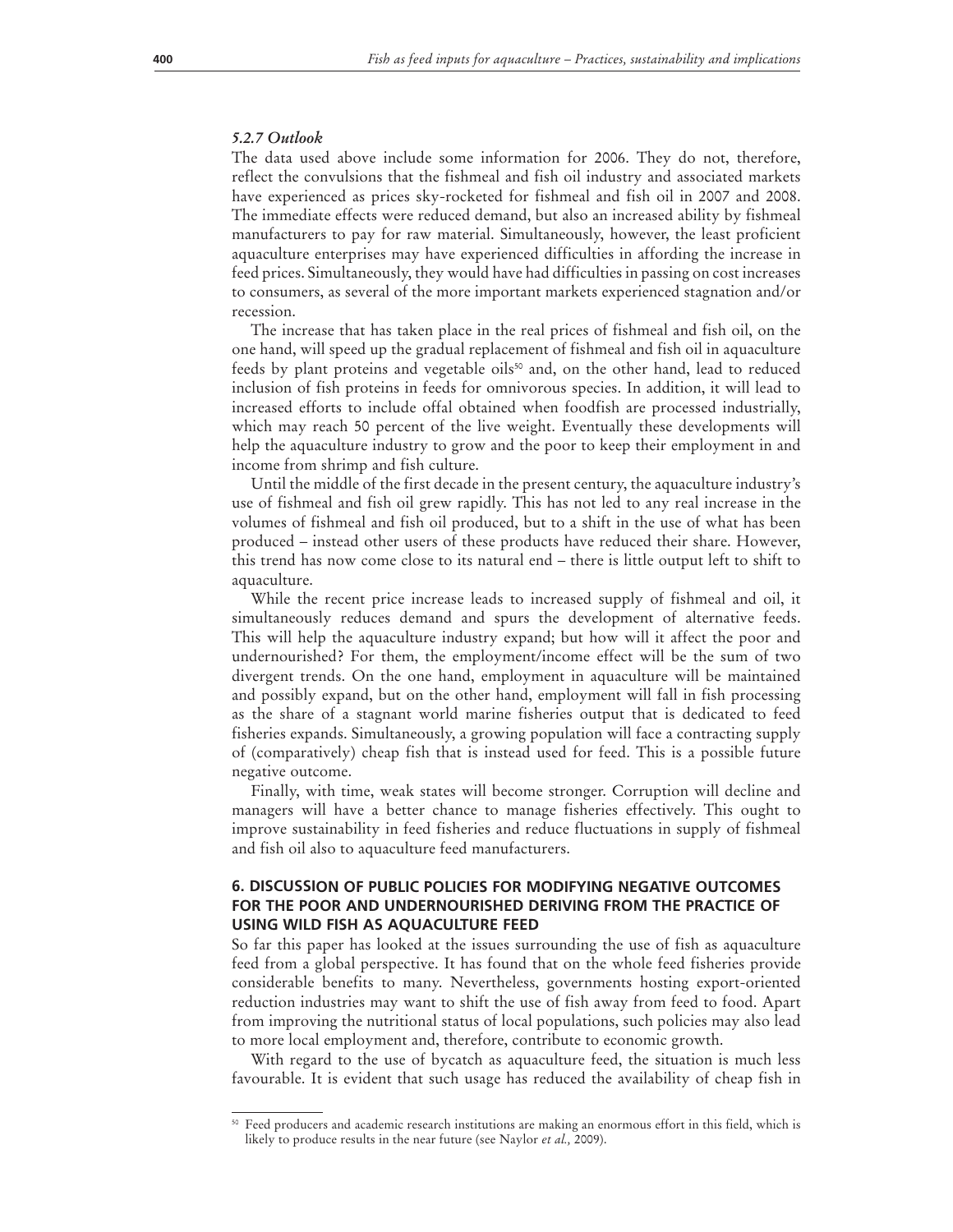#### *5.2.7 Outlook*

The data used above include some information for 2006. They do not, therefore, reflect the convulsions that the fishmeal and fish oil industry and associated markets have experienced as prices sky-rocketed for fishmeal and fish oil in 2007 and 2008. The immediate effects were reduced demand, but also an increased ability by fishmeal manufacturers to pay for raw material. Simultaneously, however, the least proficient aquaculture enterprises may have experienced difficulties in affording the increase in feed prices. Simultaneously, they would have had difficulties in passing on cost increases to consumers, as several of the more important markets experienced stagnation and/or recession.

The increase that has taken place in the real prices of fishmeal and fish oil, on the one hand, will speed up the gradual replacement of fishmeal and fish oil in aquaculture feeds by plant proteins and vegetable oils<sup>50</sup> and, on the other hand, lead to reduced inclusion of fish proteins in feeds for omnivorous species. In addition, it will lead to increased efforts to include offal obtained when foodfish are processed industrially, which may reach 50 percent of the live weight. Eventually these developments will help the aquaculture industry to grow and the poor to keep their employment in and income from shrimp and fish culture.

Until the middle of the first decade in the present century, the aquaculture industry's use of fishmeal and fish oil grew rapidly. This has not led to any real increase in the volumes of fishmeal and fish oil produced, but to a shift in the use of what has been produced – instead other users of these products have reduced their share. However, this trend has now come close to its natural end – there is little output left to shift to aquaculture.

While the recent price increase leads to increased supply of fishmeal and oil, it simultaneously reduces demand and spurs the development of alternative feeds. This will help the aquaculture industry expand; but how will it affect the poor and undernourished? For them, the employment/income effect will be the sum of two divergent trends. On the one hand, employment in aquaculture will be maintained and possibly expand, but on the other hand, employment will fall in fish processing as the share of a stagnant world marine fisheries output that is dedicated to feed fisheries expands. Simultaneously, a growing population will face a contracting supply of (comparatively) cheap fish that is instead used for feed. This is a possible future negative outcome.

Finally, with time, weak states will become stronger. Corruption will decline and managers will have a better chance to manage fisheries effectively. This ought to improve sustainability in feed fisheries and reduce fluctuations in supply of fishmeal and fish oil also to aquaculture feed manufacturers.

# **6. DISCUSSION OF PUBLIC POLICIES FOR MODIFYING NEGATIVE OUTCOMES FOR THE POOR AND UNDERNOURISHED DERIVING FROM THE PRACTICE OF USING WILD FISH AS AQUACULTURE FEED**

So far this paper has looked at the issues surrounding the use of fish as aquaculture feed from a global perspective. It has found that on the whole feed fisheries provide considerable benefits to many. Nevertheless, governments hosting export-oriented reduction industries may want to shift the use of fish away from feed to food. Apart from improving the nutritional status of local populations, such policies may also lead to more local employment and, therefore, contribute to economic growth.

With regard to the use of bycatch as aquaculture feed, the situation is much less favourable. It is evident that such usage has reduced the availability of cheap fish in

<sup>50</sup> Feed producers and academic research institutions are making an enormous effort in this field, which is likely to produce results in the near future (see Naylor *et al.,* 2009).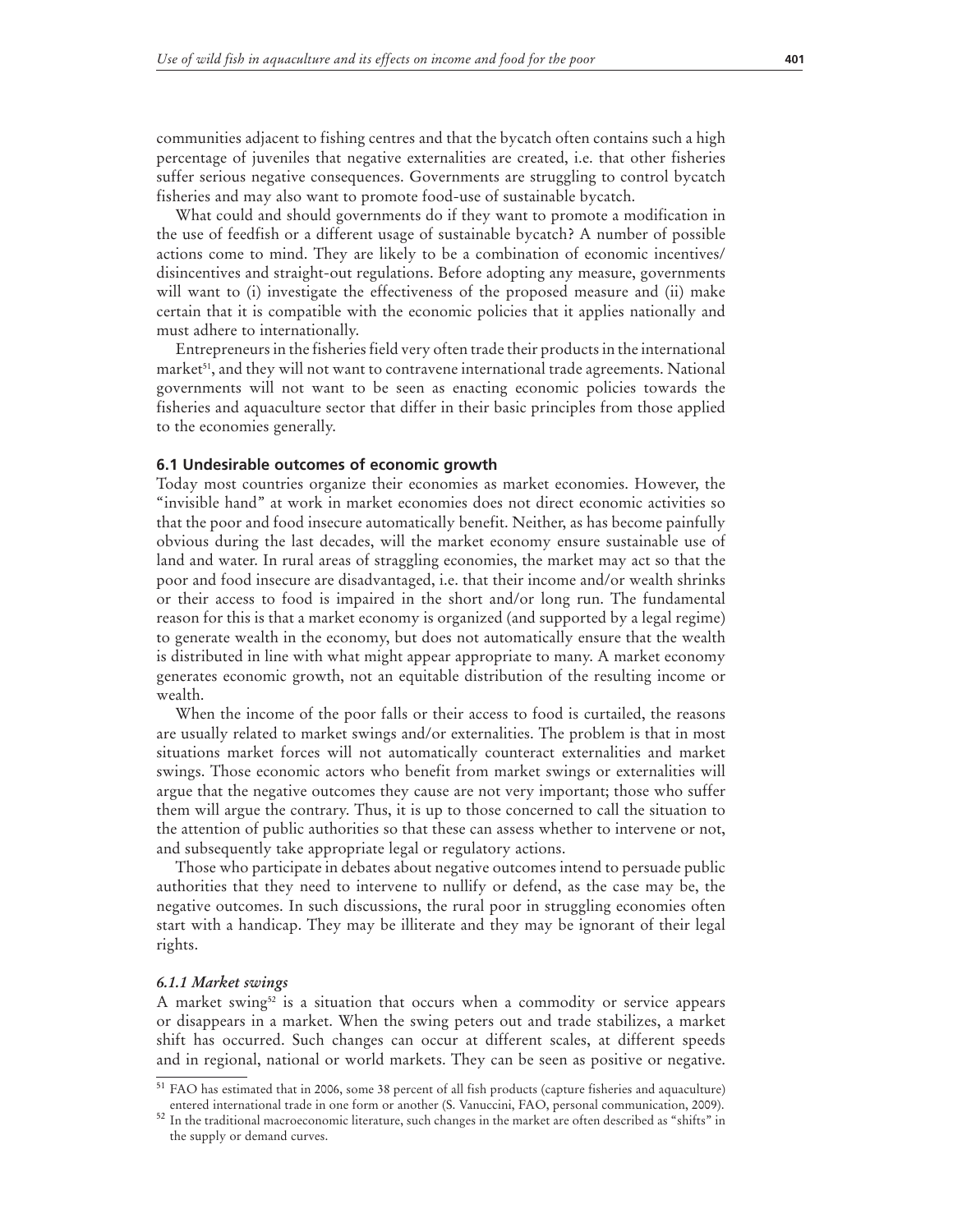communities adjacent to fishing centres and that the bycatch often contains such a high percentage of juveniles that negative externalities are created, i.e. that other fisheries suffer serious negative consequences. Governments are struggling to control bycatch fisheries and may also want to promote food-use of sustainable bycatch.

What could and should governments do if they want to promote a modification in the use of feedfish or a different usage of sustainable bycatch? A number of possible actions come to mind. They are likely to be a combination of economic incentives/ disincentives and straight-out regulations. Before adopting any measure, governments will want to (i) investigate the effectiveness of the proposed measure and (ii) make certain that it is compatible with the economic policies that it applies nationally and must adhere to internationally.

Entrepreneurs in the fisheries field very often trade their products in the international market<sup>51</sup>, and they will not want to contravene international trade agreements. National governments will not want to be seen as enacting economic policies towards the fisheries and aquaculture sector that differ in their basic principles from those applied to the economies generally.

#### **6.1 Undesirable outcomes of economic growth**

Today most countries organize their economies as market economies. However, the "invisible hand" at work in market economies does not direct economic activities so that the poor and food insecure automatically benefit. Neither, as has become painfully obvious during the last decades, will the market economy ensure sustainable use of land and water. In rural areas of straggling economies, the market may act so that the poor and food insecure are disadvantaged, i.e. that their income and/or wealth shrinks or their access to food is impaired in the short and/or long run. The fundamental reason for this is that a market economy is organized (and supported by a legal regime) to generate wealth in the economy, but does not automatically ensure that the wealth is distributed in line with what might appear appropriate to many. A market economy generates economic growth, not an equitable distribution of the resulting income or wealth.

When the income of the poor falls or their access to food is curtailed, the reasons are usually related to market swings and/or externalities. The problem is that in most situations market forces will not automatically counteract externalities and market swings. Those economic actors who benefit from market swings or externalities will argue that the negative outcomes they cause are not very important; those who suffer them will argue the contrary. Thus, it is up to those concerned to call the situation to the attention of public authorities so that these can assess whether to intervene or not, and subsequently take appropriate legal or regulatory actions.

Those who participate in debates about negative outcomes intend to persuade public authorities that they need to intervene to nullify or defend, as the case may be, the negative outcomes. In such discussions, the rural poor in struggling economies often start with a handicap. They may be illiterate and they may be ignorant of their legal rights.

#### *6.1.1 Market swings*

A market swing<sup>52</sup> is a situation that occurs when a commodity or service appears or disappears in a market. When the swing peters out and trade stabilizes, a market shift has occurred. Such changes can occur at different scales, at different speeds and in regional, national or world markets. They can be seen as positive or negative.

<sup>51</sup> FAO has estimated that in 2006, some 38 percent of all fish products (capture fisheries and aquaculture) entered international trade in one form or another (S. Vanuccini, FAO, personal communication, 2009).

<sup>52</sup> In the traditional macroeconomic literature, such changes in the market are often described as "shifts" in the supply or demand curves.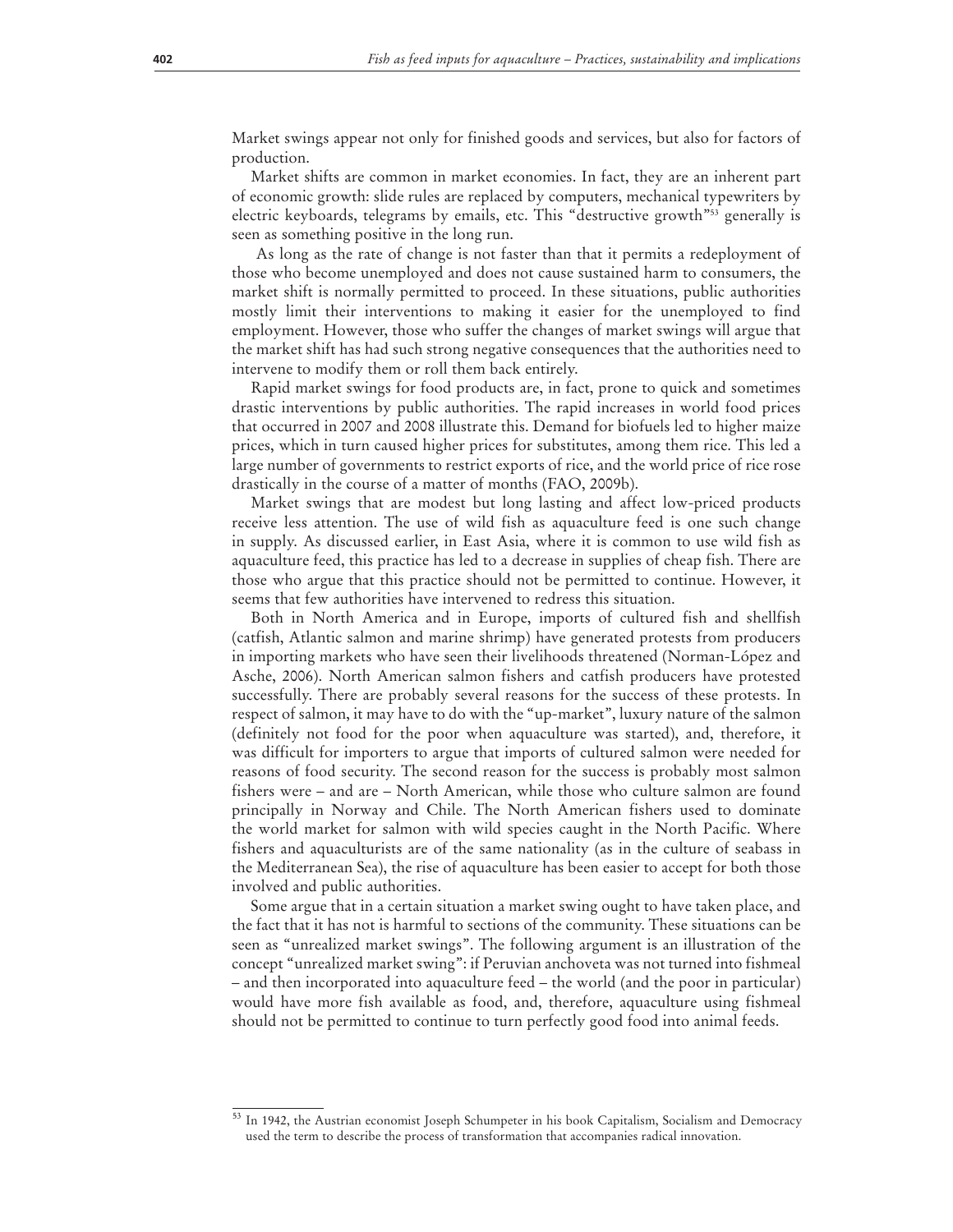Market swings appear not only for finished goods and services, but also for factors of production.

Market shifts are common in market economies. In fact, they are an inherent part of economic growth: slide rules are replaced by computers, mechanical typewriters by electric keyboards, telegrams by emails, etc. This "destructive growth"53 generally is seen as something positive in the long run.

 As long as the rate of change is not faster than that it permits a redeployment of those who become unemployed and does not cause sustained harm to consumers, the market shift is normally permitted to proceed. In these situations, public authorities mostly limit their interventions to making it easier for the unemployed to find employment. However, those who suffer the changes of market swings will argue that the market shift has had such strong negative consequences that the authorities need to intervene to modify them or roll them back entirely.

Rapid market swings for food products are, in fact, prone to quick and sometimes drastic interventions by public authorities. The rapid increases in world food prices that occurred in 2007 and 2008 illustrate this. Demand for biofuels led to higher maize prices, which in turn caused higher prices for substitutes, among them rice. This led a large number of governments to restrict exports of rice, and the world price of rice rose drastically in the course of a matter of months (FAO, 2009b).

Market swings that are modest but long lasting and affect low-priced products receive less attention. The use of wild fish as aquaculture feed is one such change in supply. As discussed earlier, in East Asia, where it is common to use wild fish as aquaculture feed, this practice has led to a decrease in supplies of cheap fish. There are those who argue that this practice should not be permitted to continue. However, it seems that few authorities have intervened to redress this situation.

Both in North America and in Europe, imports of cultured fish and shellfish (catfish, Atlantic salmon and marine shrimp) have generated protests from producers in importing markets who have seen their livelihoods threatened (Norman-López and Asche, 2006). North American salmon fishers and catfish producers have protested successfully. There are probably several reasons for the success of these protests. In respect of salmon, it may have to do with the "up-market", luxury nature of the salmon (definitely not food for the poor when aquaculture was started), and, therefore, it was difficult for importers to argue that imports of cultured salmon were needed for reasons of food security. The second reason for the success is probably most salmon fishers were – and are – North American, while those who culture salmon are found principally in Norway and Chile. The North American fishers used to dominate the world market for salmon with wild species caught in the North Pacific. Where fishers and aquaculturists are of the same nationality (as in the culture of seabass in the Mediterranean Sea), the rise of aquaculture has been easier to accept for both those involved and public authorities.

Some argue that in a certain situation a market swing ought to have taken place, and the fact that it has not is harmful to sections of the community. These situations can be seen as "unrealized market swings". The following argument is an illustration of the concept "unrealized market swing": if Peruvian anchoveta was not turned into fishmeal – and then incorporated into aquaculture feed – the world (and the poor in particular) would have more fish available as food, and, therefore, aquaculture using fishmeal should not be permitted to continue to turn perfectly good food into animal feeds.

<sup>53</sup> In 1942, the Austrian economist Joseph Schumpeter in his book Capitalism, Socialism and Democracy used the term to describe the process of transformation that accompanies radical innovation.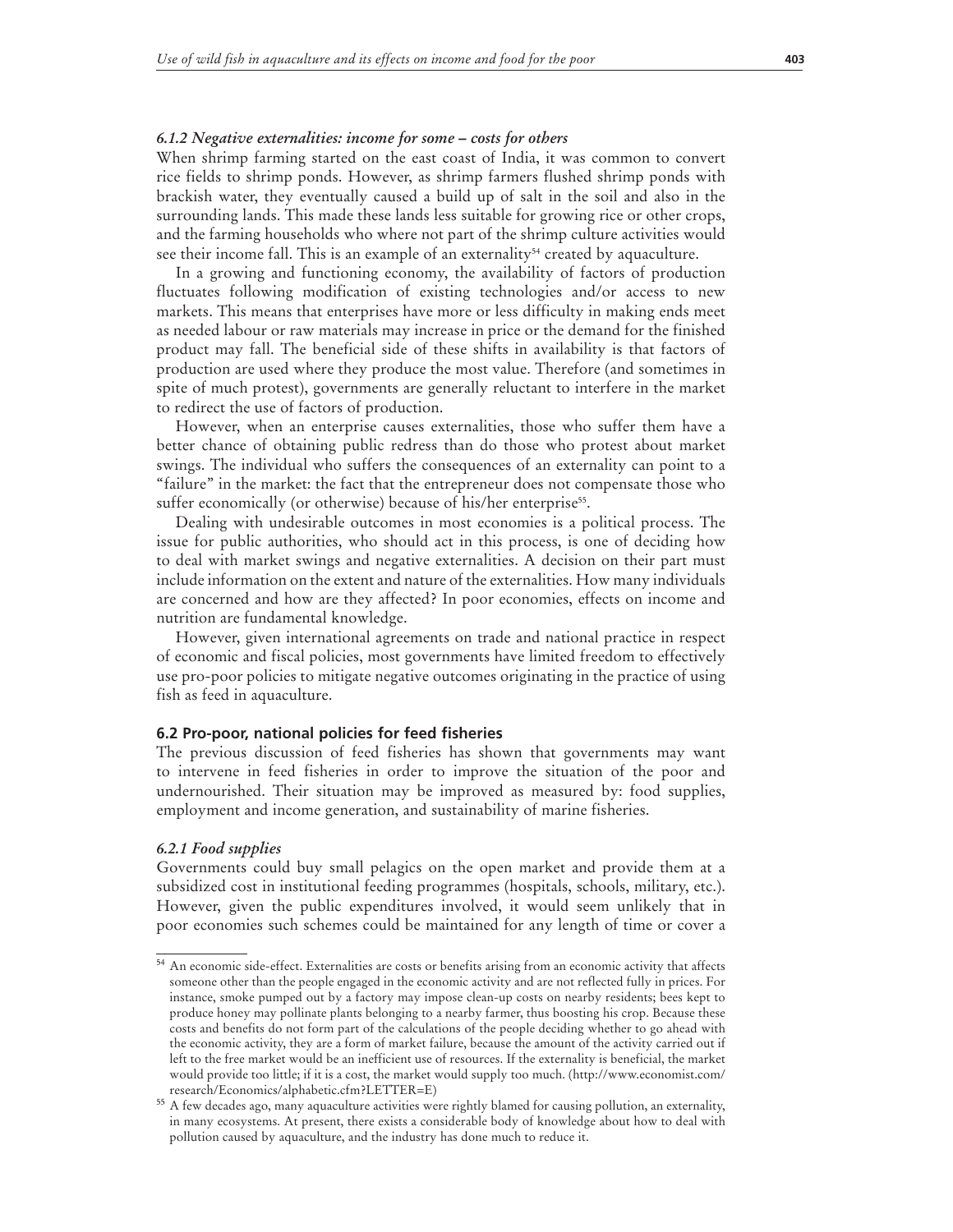#### *6.1.2 Negative externalities: income for some – costs for others*

When shrimp farming started on the east coast of India, it was common to convert rice fields to shrimp ponds. However, as shrimp farmers flushed shrimp ponds with brackish water, they eventually caused a build up of salt in the soil and also in the surrounding lands. This made these lands less suitable for growing rice or other crops, and the farming households who where not part of the shrimp culture activities would see their income fall. This is an example of an externality<sup>54</sup> created by aquaculture.

In a growing and functioning economy, the availability of factors of production fluctuates following modification of existing technologies and/or access to new markets. This means that enterprises have more or less difficulty in making ends meet as needed labour or raw materials may increase in price or the demand for the finished product may fall. The beneficial side of these shifts in availability is that factors of production are used where they produce the most value. Therefore (and sometimes in spite of much protest), governments are generally reluctant to interfere in the market to redirect the use of factors of production.

However, when an enterprise causes externalities, those who suffer them have a better chance of obtaining public redress than do those who protest about market swings. The individual who suffers the consequences of an externality can point to a "failure" in the market: the fact that the entrepreneur does not compensate those who suffer economically (or otherwise) because of his/her enterprise<sup>55</sup>.

Dealing with undesirable outcomes in most economies is a political process. The issue for public authorities, who should act in this process, is one of deciding how to deal with market swings and negative externalities. A decision on their part must include information on the extent and nature of the externalities. How many individuals are concerned and how are they affected? In poor economies, effects on income and nutrition are fundamental knowledge.

However, given international agreements on trade and national practice in respect of economic and fiscal policies, most governments have limited freedom to effectively use pro-poor policies to mitigate negative outcomes originating in the practice of using fish as feed in aquaculture.

#### **6.2 Pro-poor, national policies for feed fisheries**

The previous discussion of feed fisheries has shown that governments may want to intervene in feed fisheries in order to improve the situation of the poor and undernourished. Their situation may be improved as measured by: food supplies, employment and income generation, and sustainability of marine fisheries.

#### *6.2.1 Food supplies*

Governments could buy small pelagics on the open market and provide them at a subsidized cost in institutional feeding programmes (hospitals, schools, military, etc.). However, given the public expenditures involved, it would seem unlikely that in poor economies such schemes could be maintained for any length of time or cover a

<sup>54</sup> An economic side-effect. Externalities are costs or benefits arising from an economic activity that affects someone other than the people engaged in the economic activity and are not reflected fully in prices. For instance, smoke pumped out by a factory may impose clean-up costs on nearby residents; bees kept to produce honey may pollinate plants belonging to a nearby farmer, thus boosting his crop. Because these costs and benefits do not form part of the calculations of the people deciding whether to go ahead with the economic activity, they are a form of market failure, because the amount of the activity carried out if left to the free market would be an inefficient use of resources. If the externality is beneficial, the market would provide too little; if it is a cost, the market would supply too much. (http://www.economist.com/ research/Economics/alphabetic.cfm?LETTER=E)

<sup>55</sup> A few decades ago, many aquaculture activities were rightly blamed for causing pollution, an externality, in many ecosystems. At present, there exists a considerable body of knowledge about how to deal with pollution caused by aquaculture, and the industry has done much to reduce it.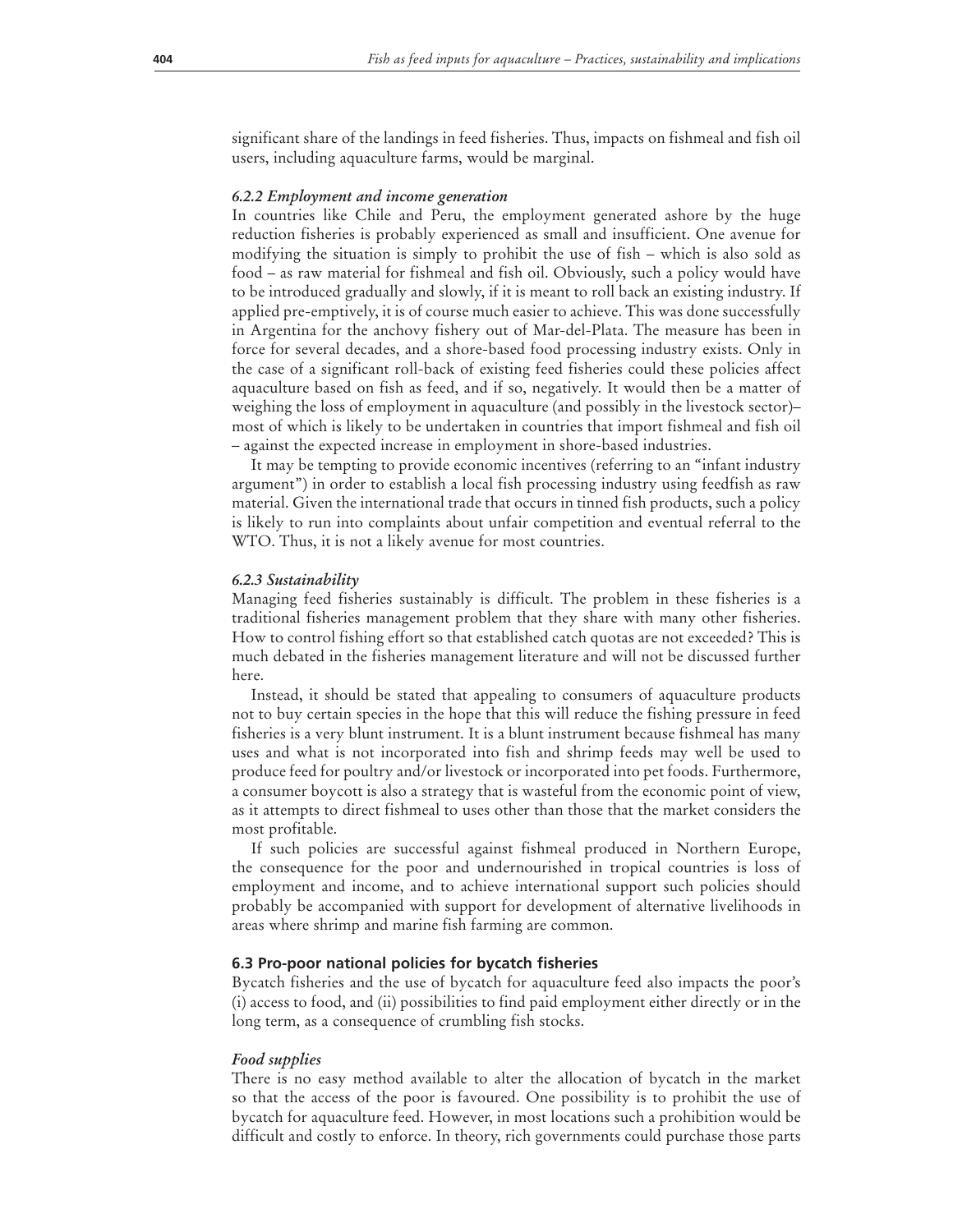significant share of the landings in feed fisheries. Thus, impacts on fishmeal and fish oil users, including aquaculture farms, would be marginal.

#### *6.2.2 Employment and income generation*

In countries like Chile and Peru, the employment generated ashore by the huge reduction fisheries is probably experienced as small and insufficient. One avenue for modifying the situation is simply to prohibit the use of fish – which is also sold as food – as raw material for fishmeal and fish oil. Obviously, such a policy would have to be introduced gradually and slowly, if it is meant to roll back an existing industry. If applied pre-emptively, it is of course much easier to achieve. This was done successfully in Argentina for the anchovy fishery out of Mar-del-Plata. The measure has been in force for several decades, and a shore-based food processing industry exists. Only in the case of a significant roll-back of existing feed fisheries could these policies affect aquaculture based on fish as feed, and if so, negatively. It would then be a matter of weighing the loss of employment in aquaculture (and possibly in the livestock sector)– most of which is likely to be undertaken in countries that import fishmeal and fish oil – against the expected increase in employment in shore-based industries.

It may be tempting to provide economic incentives (referring to an "infant industry argument") in order to establish a local fish processing industry using feedfish as raw material. Given the international trade that occurs in tinned fish products, such a policy is likely to run into complaints about unfair competition and eventual referral to the WTO. Thus, it is not a likely avenue for most countries.

#### *6.2.3 Sustainability*

Managing feed fisheries sustainably is difficult. The problem in these fisheries is a traditional fisheries management problem that they share with many other fisheries. How to control fishing effort so that established catch quotas are not exceeded? This is much debated in the fisheries management literature and will not be discussed further here.

Instead, it should be stated that appealing to consumers of aquaculture products not to buy certain species in the hope that this will reduce the fishing pressure in feed fisheries is a very blunt instrument. It is a blunt instrument because fishmeal has many uses and what is not incorporated into fish and shrimp feeds may well be used to produce feed for poultry and/or livestock or incorporated into pet foods. Furthermore, a consumer boycott is also a strategy that is wasteful from the economic point of view, as it attempts to direct fishmeal to uses other than those that the market considers the most profitable.

If such policies are successful against fishmeal produced in Northern Europe, the consequence for the poor and undernourished in tropical countries is loss of employment and income, and to achieve international support such policies should probably be accompanied with support for development of alternative livelihoods in areas where shrimp and marine fish farming are common.

#### **6.3 Pro-poor national policies for bycatch fisheries**

Bycatch fisheries and the use of bycatch for aquaculture feed also impacts the poor's (i) access to food, and (ii) possibilities to find paid employment either directly or in the long term, as a consequence of crumbling fish stocks.

#### *Food supplies*

There is no easy method available to alter the allocation of bycatch in the market so that the access of the poor is favoured. One possibility is to prohibit the use of bycatch for aquaculture feed. However, in most locations such a prohibition would be difficult and costly to enforce. In theory, rich governments could purchase those parts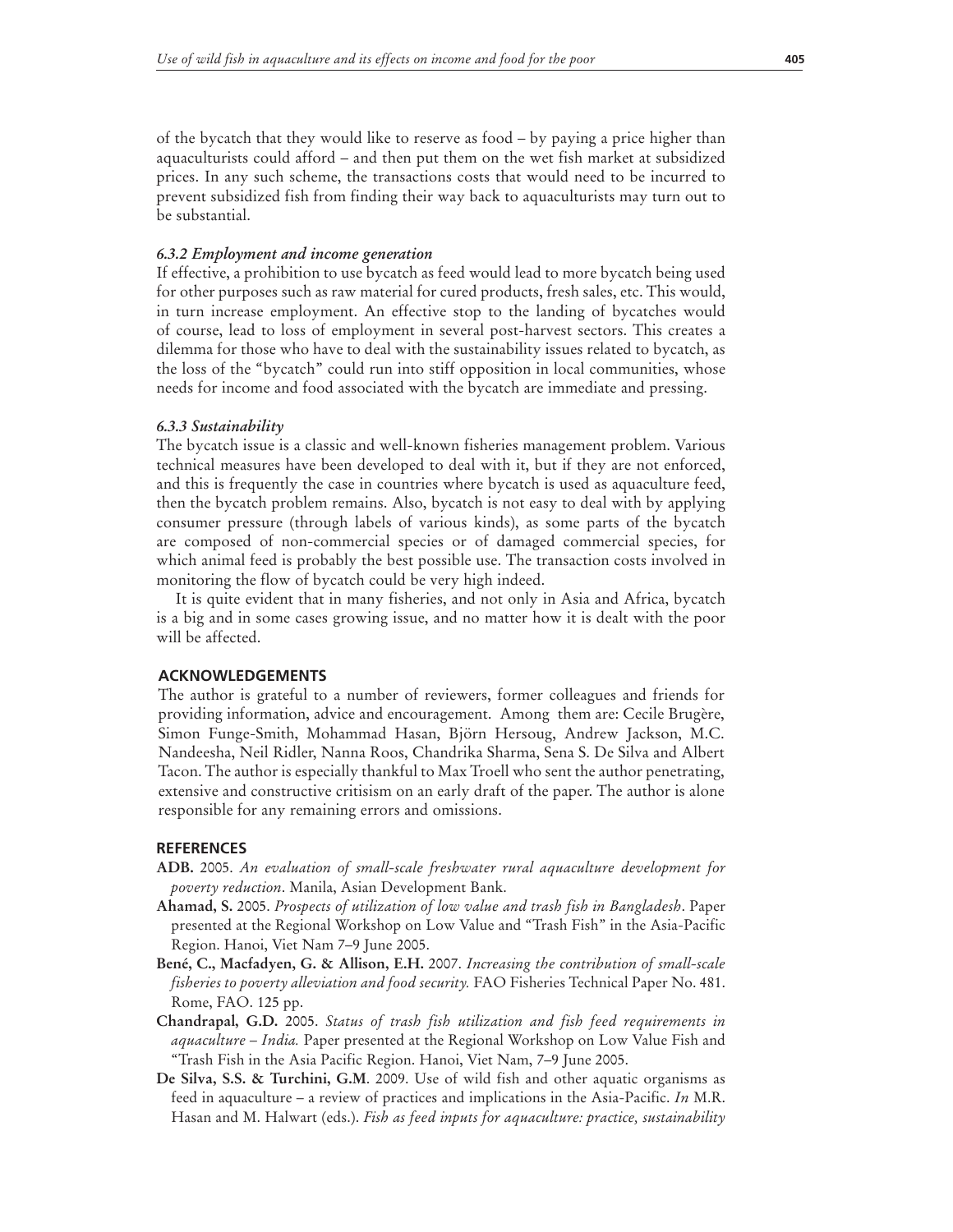of the bycatch that they would like to reserve as food – by paying a price higher than aquaculturists could afford – and then put them on the wet fish market at subsidized prices. In any such scheme, the transactions costs that would need to be incurred to prevent subsidized fish from finding their way back to aquaculturists may turn out to be substantial.

#### *6.3.2 Employment and income generation*

If effective, a prohibition to use bycatch as feed would lead to more bycatch being used for other purposes such as raw material for cured products, fresh sales, etc. This would, in turn increase employment. An effective stop to the landing of bycatches would of course, lead to loss of employment in several post-harvest sectors. This creates a dilemma for those who have to deal with the sustainability issues related to bycatch, as the loss of the "bycatch" could run into stiff opposition in local communities, whose needs for income and food associated with the bycatch are immediate and pressing.

#### *6.3.3 Sustainability*

The bycatch issue is a classic and well-known fisheries management problem. Various technical measures have been developed to deal with it, but if they are not enforced, and this is frequently the case in countries where bycatch is used as aquaculture feed, then the bycatch problem remains. Also, bycatch is not easy to deal with by applying consumer pressure (through labels of various kinds), as some parts of the bycatch are composed of non-commercial species or of damaged commercial species, for which animal feed is probably the best possible use. The transaction costs involved in monitoring the flow of bycatch could be very high indeed.

It is quite evident that in many fisheries, and not only in Asia and Africa, bycatch is a big and in some cases growing issue, and no matter how it is dealt with the poor will be affected.

#### **ACKNOWLEDGEMENTS**

The author is grateful to a number of reviewers, former colleagues and friends for providing information, advice and encouragement. Among them are: Cecile Brugère, Simon Funge-Smith, Mohammad Hasan, Björn Hersoug, Andrew Jackson, M.C. Nandeesha, Neil Ridler, Nanna Roos, Chandrika Sharma, Sena S. De Silva and Albert Tacon. The author is especially thankful to Max Troell who sent the author penetrating, extensive and constructive critisism on an early draft of the paper. The author is alone responsible for any remaining errors and omissions.

#### **REFERENCES**

- **ADB.** 2005. *An evaluation of small-scale freshwater rural aquaculture development for poverty reduction*. Manila, Asian Development Bank.
- **Ahamad, S.** 2005. *Prospects of utilization of low value and trash fish in Bangladesh*. Paper presented at the Regional Workshop on Low Value and "Trash Fish" in the Asia-Pacific Region. Hanoi, Viet Nam 7–9 June 2005.
- **Bené, C., Macfadyen, G. & Allison, E.H.** 2007. *Increasing the contribution of small-scale fisheries to poverty alleviation and food security.* FAO Fisheries Technical Paper No. 481. Rome, FAO. 125 pp.
- **Chandrapal, G.D.** 2005. *Status of trash fish utilization and fish feed requirements in aquaculture – India.* Paper presented at the Regional Workshop on Low Value Fish and "Trash Fish in the Asia Pacific Region. Hanoi, Viet Nam, 7–9 June 2005.
- **De Silva, S.S. & Turchini, G.M**. 2009. Use of wild fish and other aquatic organisms as feed in aquaculture – a review of practices and implications in the Asia-Pacific. *In* M.R. Hasan and M. Halwart (eds.). *Fish as feed inputs for aquaculture: practice, sustainability*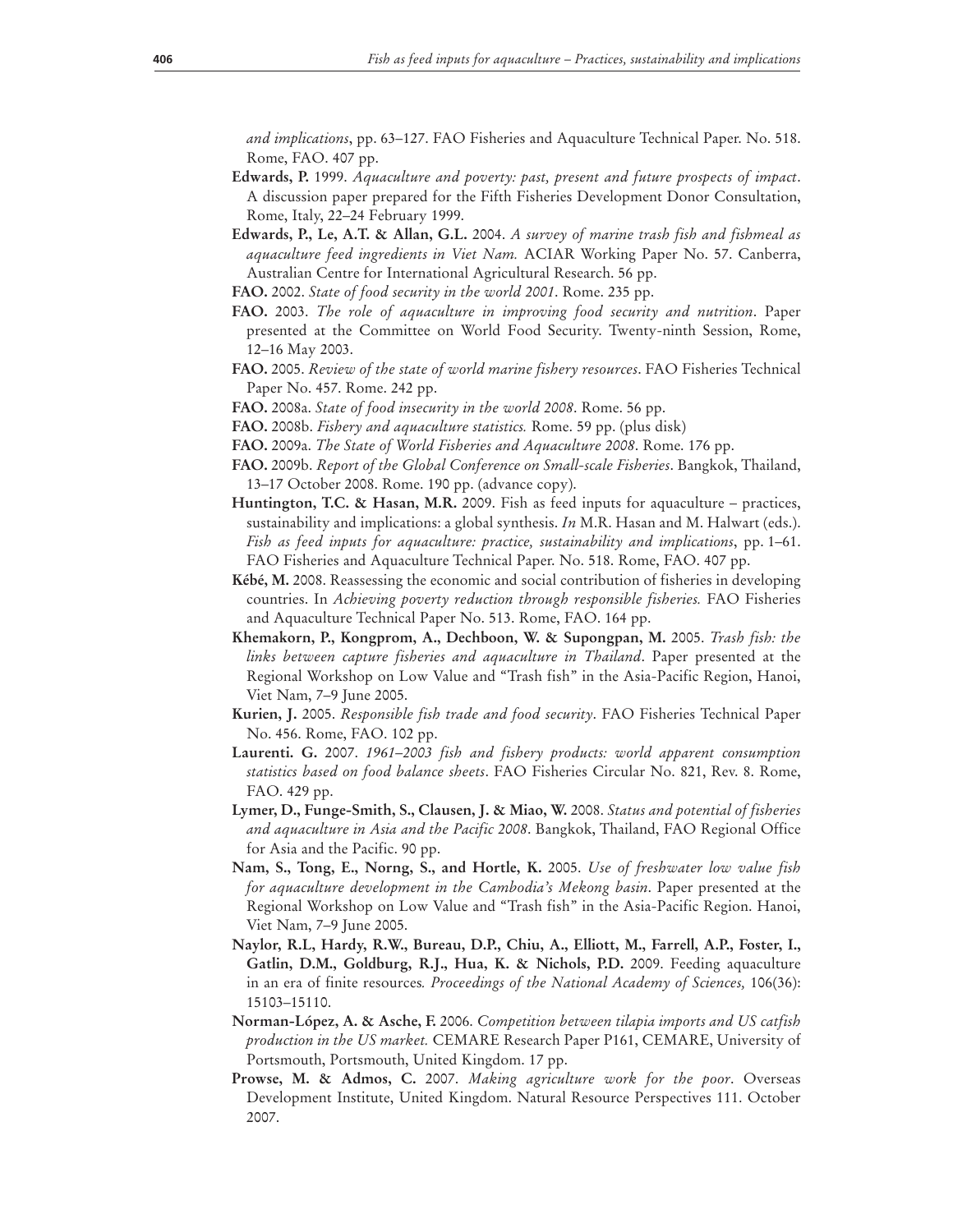*and implications*, pp. 63–127. FAO Fisheries and Aquaculture Technical Paper. No. 518. Rome, FAO. 407 pp.

- **Edwards, P.** 1999. *Aquaculture and poverty: past, present and future prospects of impact*. A discussion paper prepared for the Fifth Fisheries Development Donor Consultation, Rome, Italy, 22–24 February 1999.
- **Edwards, P., Le, A.T. & Allan, G.L.** 2004. *A survey of marine trash fish and fishmeal as aquaculture feed ingredients in Viet Nam.* ACIAR Working Paper No. 57. Canberra, Australian Centre for International Agricultural Research. 56 pp.
- **FAO.** 2002. *State of food security in the world 2001*. Rome. 235 pp.
- **FAO.** 2003. *The role of aquaculture in improving food security and nutrition*. Paper presented at the Committee on World Food Security. Twenty-ninth Session, Rome, 12–16 May 2003.
- **FAO.** 2005. *Review of the state of world marine fishery resources*. FAO Fisheries Technical Paper No. 457. Rome. 242 pp.
- **FAO.** 2008a. *State of food insecurity in the world 2008*. Rome. 56 pp.
- **FAO.** 2008b. *Fishery and aquaculture statistics.* Rome. 59 pp. (plus disk)
- **FAO.** 2009a. *The State of World Fisheries and Aquaculture 2008*. Rome. 176 pp.
- **FAO.** 2009b. *Report of the Global Conference on Small-scale Fisheries*. Bangkok, Thailand, 13–17 October 2008. Rome. 190 pp. (advance copy).
- **Huntington, T.C. & Hasan, M.R.** 2009. Fish as feed inputs for aquaculture practices, sustainability and implications: a global synthesis. *In* M.R. Hasan and M. Halwart (eds.). *Fish as feed inputs for aquaculture: practice, sustainability and implications*, pp. 1–61. FAO Fisheries and Aquaculture Technical Paper. No. 518. Rome, FAO. 407 pp.
- **Kébé, M.** 2008. Reassessing the economic and social contribution of fisheries in developing countries. In *Achieving poverty reduction through responsible fisheries.* FAO Fisheries and Aquaculture Technical Paper No. 513. Rome, FAO. 164 pp.
- **Khemakorn, P., Kongprom, A., Dechboon, W. & Supongpan, M.** 2005. *Trash fish: the links between capture fisheries and aquaculture in Thailand*. Paper presented at the Regional Workshop on Low Value and "Trash fish" in the Asia-Pacific Region, Hanoi, Viet Nam, 7–9 June 2005.
- **Kurien, J.** 2005. *Responsible fish trade and food security*. FAO Fisheries Technical Paper No. 456. Rome, FAO. 102 pp.
- **Laurenti. G.** 2007. *1961–2003 fish and fishery products: world apparent consumption statistics based on food balance sheets*. FAO Fisheries Circular No. 821, Rev. 8. Rome, FAO. 429 pp.
- **Lymer, D., Funge-Smith, S., Clausen, J. & Miao, W.** 2008. *Status and potential of fisheries and aquaculture in Asia and the Pacific 2008*. Bangkok, Thailand, FAO Regional Office for Asia and the Pacific. 90 pp.
- **Nam, S., Tong, E., Norng, S., and Hortle, K.** 2005. *Use of freshwater low value fish for aquaculture development in the Cambodia's Mekong basin*. Paper presented at the Regional Workshop on Low Value and "Trash fish" in the Asia-Pacific Region. Hanoi, Viet Nam, 7–9 June 2005.
- **Naylor, R.L, Hardy, R.W., Bureau, D.P., Chiu, A., Elliott, M., Farrell, A.P., Foster, I., Gatlin, D.M., Goldburg, R.J., Hua, K. & Nichols, P.D.** 2009. Feeding aquaculture in an era of finite resources*. Proceedings of the National Academy of Sciences,* 106(36): 15103–15110.
- **Norman-López, A. & Asche, F.** 2006. *Competition between tilapia imports and US catfish production in the US market.* CEMARE Research Paper P161, CEMARE, University of Portsmouth, Portsmouth, United Kingdom. 17 pp.
- **Prowse, M. & Admos, C.** 2007. *Making agriculture work for the poor*. Overseas Development Institute, United Kingdom. Natural Resource Perspectives 111. October 2007.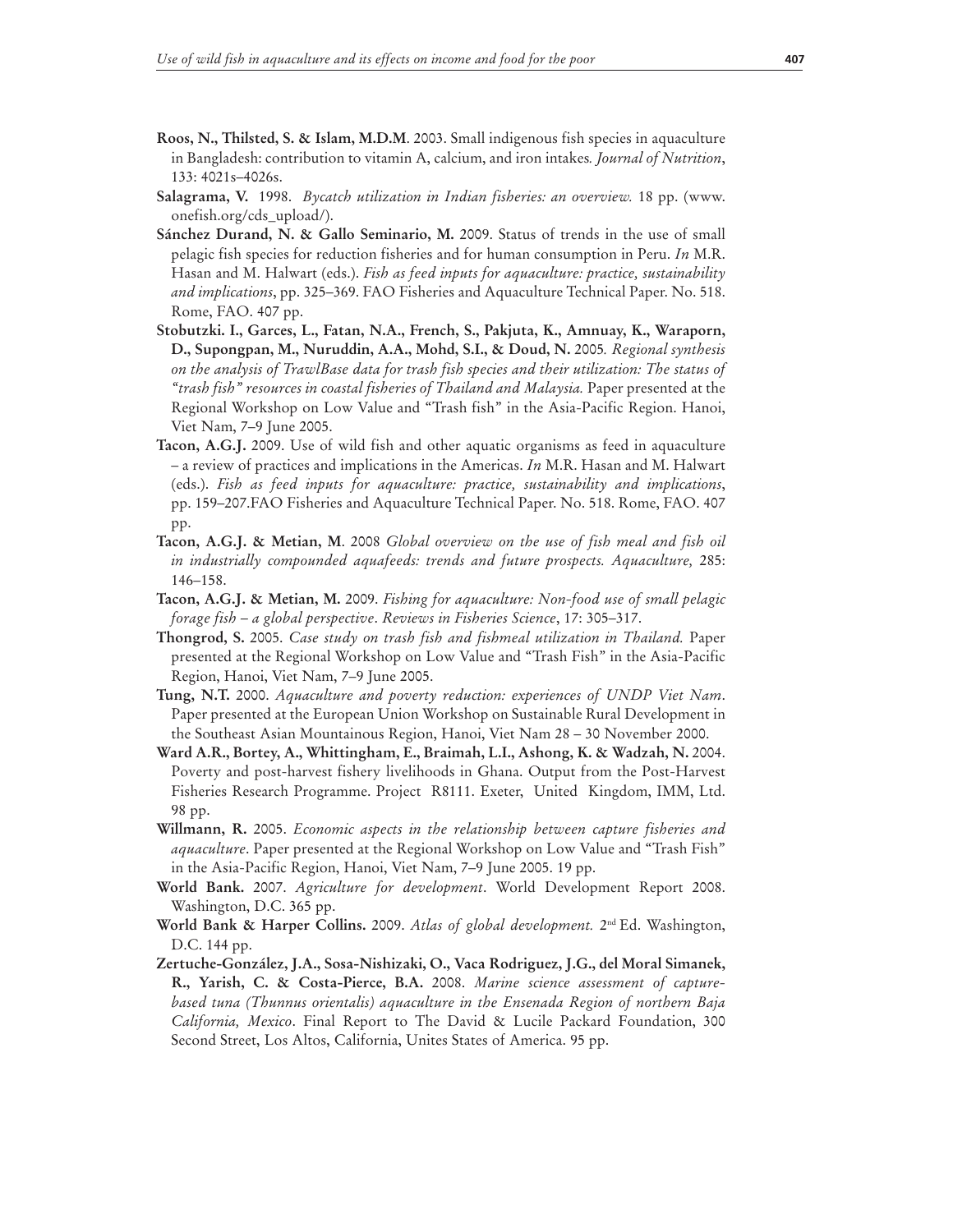- **Roos, N., Thilsted, S. & Islam, M.D.M**. 2003. Small indigenous fish species in aquaculture in Bangladesh: contribution to vitamin A, calcium, and iron intakes*. Journal of Nutrition*, 133: 4021s–4026s.
- **Salagrama, V.** 1998. *Bycatch utilization in Indian fisheries: an overview.* 18 pp. (www. onefish.org/cds\_upload/).
- **Sánchez Durand, N. & Gallo Seminario, M.** 2009. Status of trends in the use of small pelagic fish species for reduction fisheries and for human consumption in Peru. *In* M.R. Hasan and M. Halwart (eds.). *Fish as feed inputs for aquaculture: practice, sustainability and implications*, pp. 325–369. FAO Fisheries and Aquaculture Technical Paper. No. 518. Rome, FAO. 407 pp.
- **Stobutzki. I., Garces, L., Fatan, N.A., French, S., Pakjuta, K., Amnuay, K., Waraporn, D., Supongpan, M., Nuruddin, A.A., Mohd, S.I., & Doud, N.** 2005*. Regional synthesis on the analysis of TrawlBase data for trash fish species and their utilization: The status of "trash fish" resources in coastal fisheries of Thailand and Malaysia.* Paper presented at the Regional Workshop on Low Value and "Trash fish" in the Asia-Pacific Region. Hanoi, Viet Nam, 7–9 June 2005.
- **Tacon, A.G.J.** 2009. Use of wild fish and other aquatic organisms as feed in aquaculture – a review of practices and implications in the Americas. *In* M.R. Hasan and M. Halwart (eds.). *Fish as feed inputs for aquaculture: practice, sustainability and implications*, pp. 159–207.FAO Fisheries and Aquaculture Technical Paper. No. 518. Rome, FAO. 407 pp.
- **Tacon, A.G.J. & Metian, M**. 2008 *Global overview on the use of fish meal and fish oil in industrially compounded aquafeeds: trends and future prospects. Aquaculture,* 285: 146–158.
- **Tacon, A.G.J. & Metian, M.** 2009. *Fishing for aquaculture: Non-food use of small pelagic forage fish – a global perspective*. *Reviews in Fisheries Science*, 17: 305–317.
- **Thongrod, S.** 2005. *Case study on trash fish and fishmeal utilization in Thailand.* Paper presented at the Regional Workshop on Low Value and "Trash Fish" in the Asia-Pacific Region, Hanoi, Viet Nam, 7–9 June 2005.
- **Tung, N.T.** 2000. *Aquaculture and poverty reduction: experiences of UNDP Viet Nam*. Paper presented at the European Union Workshop on Sustainable Rural Development in the Southeast Asian Mountainous Region, Hanoi, Viet Nam 28 – 30 November 2000.
- **Ward A.R., Bortey, A., Whittingham, E., Braimah, L.I., Ashong, K. & Wadzah, N.** 2004. Poverty and post-harvest fishery livelihoods in Ghana. Output from the Post-Harvest Fisheries Research Programme. Project R8111. Exeter, United Kingdom, IMM, Ltd. 98 pp.
- **Willmann, R.** 2005. *Economic aspects in the relationship between capture fisheries and aquaculture*. Paper presented at the Regional Workshop on Low Value and "Trash Fish" in the Asia-Pacific Region, Hanoi, Viet Nam, 7–9 June 2005. 19 pp.
- **World Bank.** 2007. *Agriculture for development*. World Development Report 2008. Washington, D.C. 365 pp.
- **World Bank & Harper Collins.** 2009. *Atlas of global development.* 2nd Ed. Washington, D.C. 144 pp.
- **Zertuche-González, J.A., Sosa-Nishizaki, O., Vaca Rodriguez, J.G., del Moral Simanek, R., Yarish, C. & Costa-Pierce, B.A.** 2008. *Marine science assessment of capturebased tuna (Thunnus orientalis) aquaculture in the Ensenada Region of northern Baja California, Mexico*. Final Report to The David & Lucile Packard Foundation, 300 Second Street, Los Altos, California, Unites States of America. 95 pp.